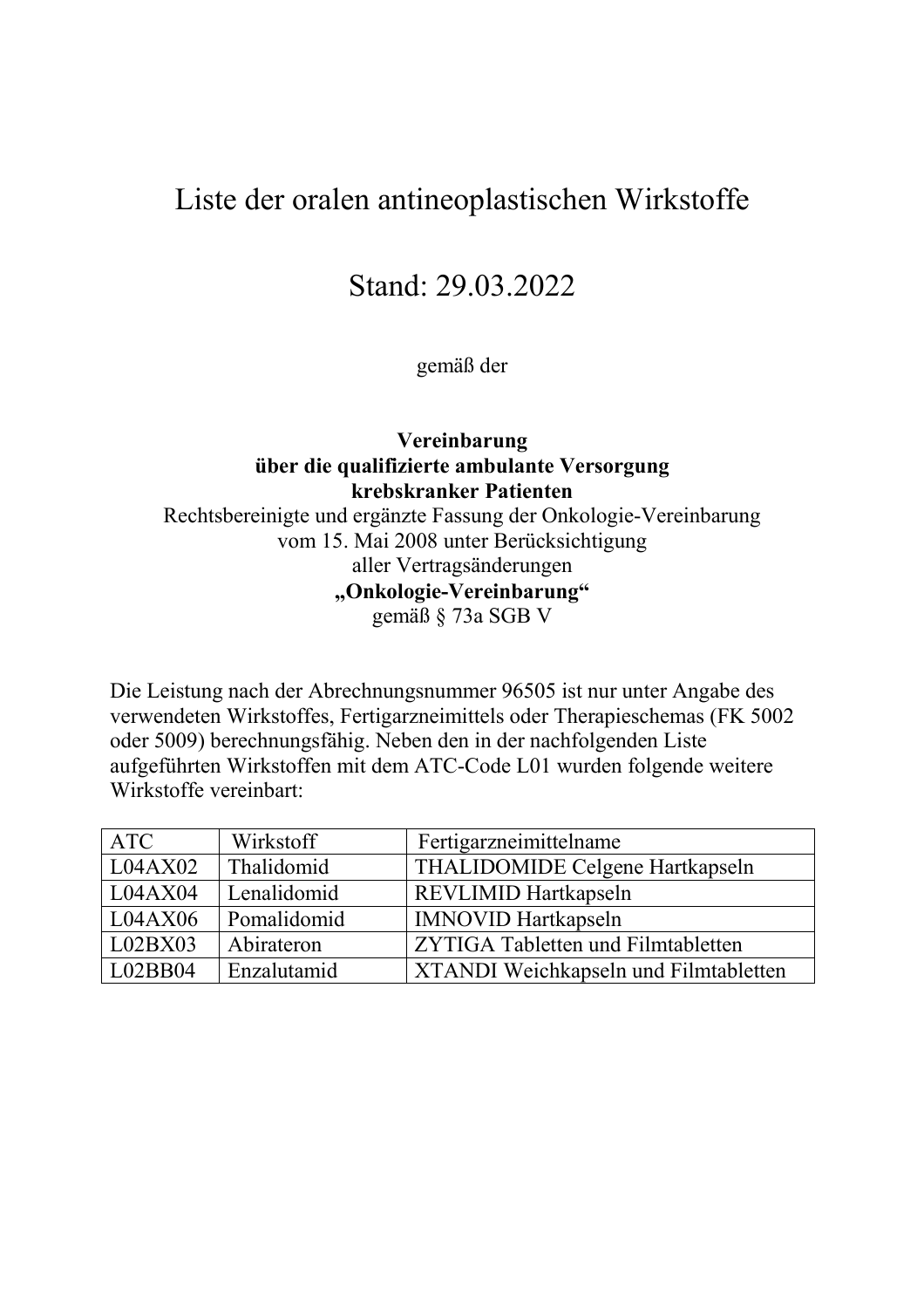# Liste der oralen antineoplastischen Wirkstoffe

# Stand: 29.03.2022

gemäß der

### **Vereinbarung über die qualifizierte ambulante Versorgung krebskranker Patienten** Rechtsbereinigte und ergänzte Fassung der Onkologie-Vereinbarung vom 15. Mai 2008 unter Berücksichtigung aller Vertragsänderungen

**"Onkologie-Vereinbarung"**

gemäß § 73a SGB V

Die Leistung nach der Abrechnungsnummer 96505 ist nur unter Angabe des verwendeten Wirkstoffes, Fertigarzneimittels oder Therapieschemas (FK 5002 oder 5009) berechnungsfähig. Neben den in der nachfolgenden Liste aufgeführten Wirkstoffen mit dem ATC-Code L01 wurden folgende weitere Wirkstoffe vereinbart:

| <b>ATC</b> | Wirkstoff   | Fertigarzneimittelname                       |
|------------|-------------|----------------------------------------------|
| L04AX02    | Thalidomid  | THALIDOMIDE Celgene Hartkapseln              |
| L04AX04    | Lenalidomid | REVLIMID Hartkapseln                         |
| L04AX06    | Pomalidomid | <b>IMNOVID Hartkapseln</b>                   |
| L02BX03    | Abirateron  | ZYTIGA Tabletten und Filmtabletten           |
| L02BB04    | Enzalutamid | <b>XTANDI</b> Weichkapseln und Filmtabletten |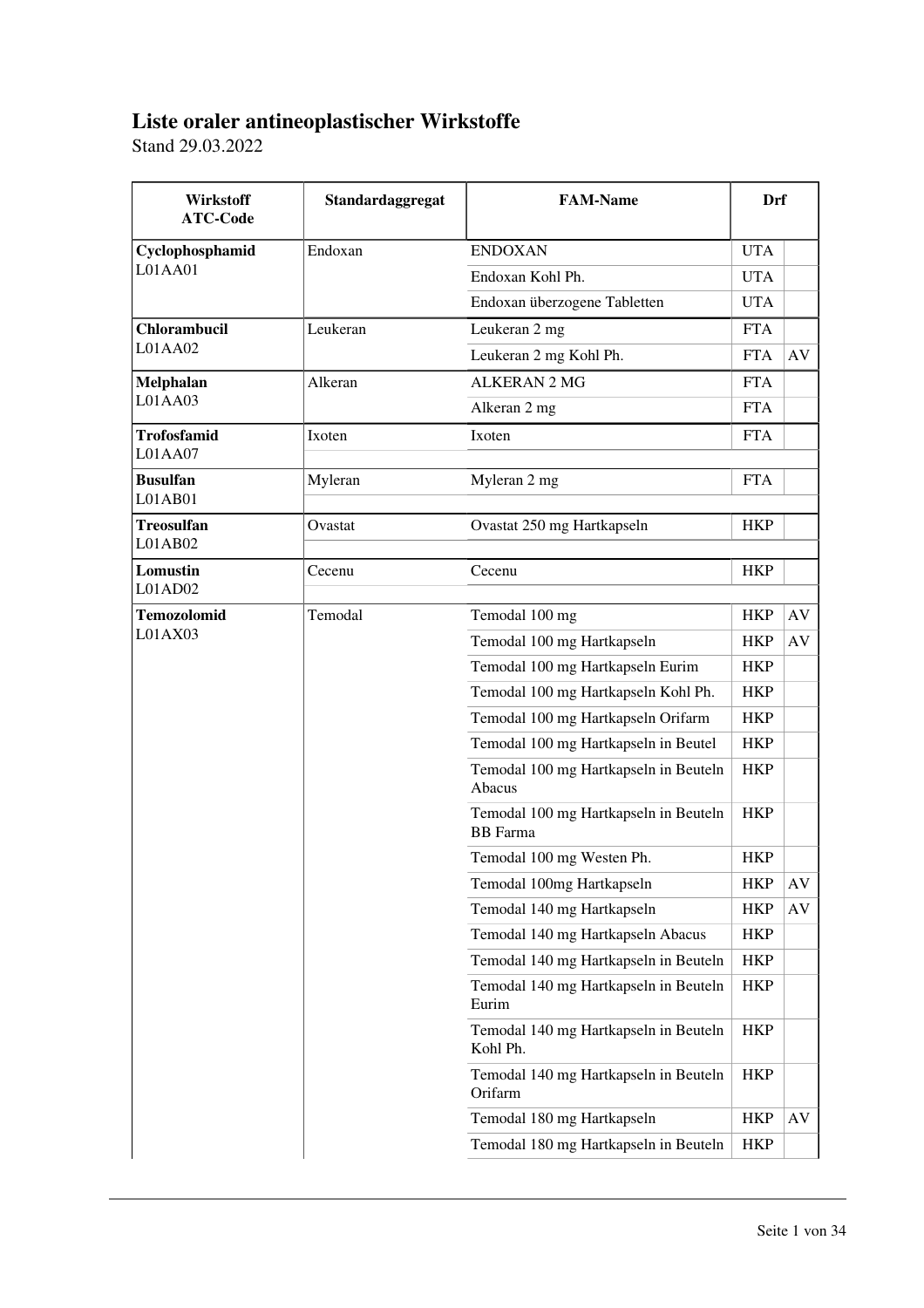## **Liste oraler antineoplastischer Wirkstoffe**

Stand 29.03.2022

| Wirkstoff<br><b>ATC-Code</b>  | Standardaggregat | <b>FAM-Name</b>                                          | Drf        |    |
|-------------------------------|------------------|----------------------------------------------------------|------------|----|
| Cyclophosphamid               | Endoxan          | <b>ENDOXAN</b>                                           | <b>UTA</b> |    |
| L01AA01                       |                  | Endoxan Kohl Ph.                                         | <b>UTA</b> |    |
|                               |                  | Endoxan überzogene Tabletten                             | <b>UTA</b> |    |
| Chlorambucil                  | Leukeran         | Leukeran 2 mg                                            | <b>FTA</b> |    |
| L01AA02                       |                  | Leukeran 2 mg Kohl Ph.                                   | <b>FTA</b> | AV |
| Melphalan                     | Alkeran          | <b>ALKERAN 2 MG</b>                                      | <b>FTA</b> |    |
| L01AA03                       |                  | Alkeran 2 mg                                             | <b>FTA</b> |    |
| <b>Trofosfamid</b><br>L01AA07 | Ixoten           | Ixoten                                                   | <b>FTA</b> |    |
| <b>Busulfan</b><br>L01AB01    | Myleran          | Myleran 2 mg                                             | <b>FTA</b> |    |
| <b>Treosulfan</b><br>L01AB02  | Ovastat          | Ovastat 250 mg Hartkapseln                               | <b>HKP</b> |    |
| Lomustin<br>L01AD02           | Cecenu           | Cecenu                                                   | <b>HKP</b> |    |
| <b>Temozolomid</b>            | Temodal          | Temodal 100 mg                                           | <b>HKP</b> | AV |
| L01AX03                       |                  | Temodal 100 mg Hartkapseln                               | <b>HKP</b> | AV |
|                               |                  | Temodal 100 mg Hartkapseln Eurim                         | <b>HKP</b> |    |
|                               |                  | Temodal 100 mg Hartkapseln Kohl Ph.                      | <b>HKP</b> |    |
|                               |                  | Temodal 100 mg Hartkapseln Orifarm                       | <b>HKP</b> |    |
|                               |                  | Temodal 100 mg Hartkapseln in Beutel                     | <b>HKP</b> |    |
|                               |                  | Temodal 100 mg Hartkapseln in Beuteln<br>Abacus          | <b>HKP</b> |    |
|                               |                  | Temodal 100 mg Hartkapseln in Beuteln<br><b>BB</b> Farma | <b>HKP</b> |    |
|                               |                  | Temodal 100 mg Westen Ph.                                | <b>HKP</b> |    |
|                               |                  | Temodal 100mg Hartkapseln                                | <b>HKP</b> | AV |
|                               |                  | Temodal 140 mg Hartkapseln                               | <b>HKP</b> | AV |
|                               |                  | Temodal 140 mg Hartkapseln Abacus                        | <b>HKP</b> |    |
|                               |                  | Temodal 140 mg Hartkapseln in Beuteln                    | <b>HKP</b> |    |
|                               |                  | Temodal 140 mg Hartkapseln in Beuteln<br>Eurim           | <b>HKP</b> |    |
|                               |                  | Temodal 140 mg Hartkapseln in Beuteln<br>Kohl Ph.        | <b>HKP</b> |    |
|                               |                  | Temodal 140 mg Hartkapseln in Beuteln<br>Orifarm         | <b>HKP</b> |    |
|                               |                  | Temodal 180 mg Hartkapseln                               | <b>HKP</b> | AV |
|                               |                  | Temodal 180 mg Hartkapseln in Beuteln                    | <b>HKP</b> |    |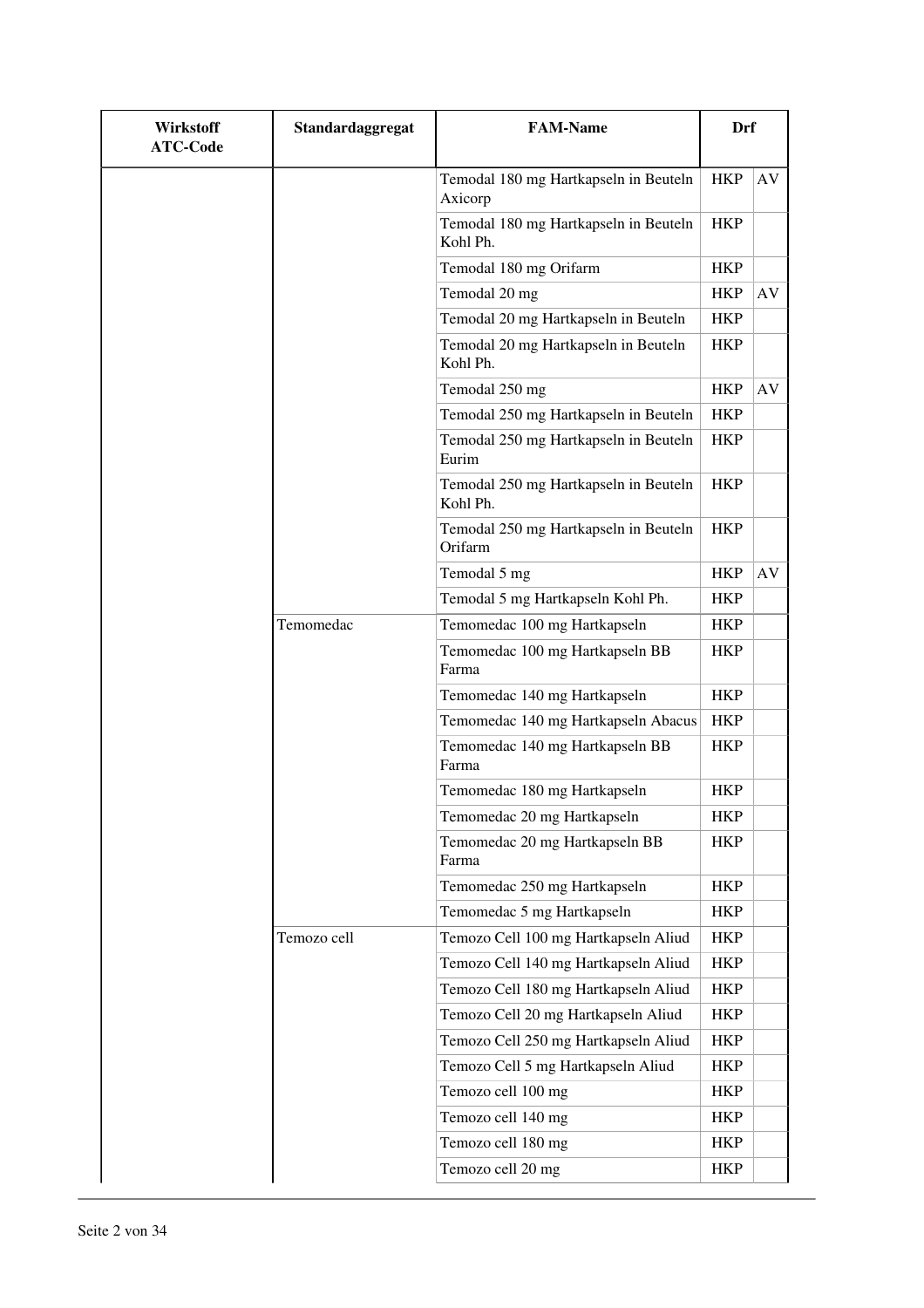| Wirkstoff<br><b>ATC-Code</b> | Standardaggregat | <b>FAM-Name</b>                                   | Drf        |    |
|------------------------------|------------------|---------------------------------------------------|------------|----|
|                              |                  | Temodal 180 mg Hartkapseln in Beuteln<br>Axicorp  | <b>HKP</b> | AV |
|                              |                  | Temodal 180 mg Hartkapseln in Beuteln<br>Kohl Ph. | <b>HKP</b> |    |
|                              |                  | Temodal 180 mg Orifarm                            | <b>HKP</b> |    |
|                              |                  | Temodal 20 mg                                     | <b>HKP</b> | AV |
|                              |                  | Temodal 20 mg Hartkapseln in Beuteln              | <b>HKP</b> |    |
|                              |                  | Temodal 20 mg Hartkapseln in Beuteln<br>Kohl Ph.  | <b>HKP</b> |    |
|                              |                  | Temodal 250 mg                                    | <b>HKP</b> | AV |
|                              |                  | Temodal 250 mg Hartkapseln in Beuteln             | <b>HKP</b> |    |
|                              |                  | Temodal 250 mg Hartkapseln in Beuteln<br>Eurim    | <b>HKP</b> |    |
|                              |                  | Temodal 250 mg Hartkapseln in Beuteln<br>Kohl Ph. | <b>HKP</b> |    |
|                              |                  | Temodal 250 mg Hartkapseln in Beuteln<br>Orifarm  | <b>HKP</b> |    |
|                              |                  | Temodal 5 mg                                      | <b>HKP</b> | AV |
|                              |                  | Temodal 5 mg Hartkapseln Kohl Ph.                 | <b>HKP</b> |    |
|                              | Temomedac        | Temomedac 100 mg Hartkapseln                      | <b>HKP</b> |    |
|                              |                  | Temomedac 100 mg Hartkapseln BB<br>Farma          | <b>HKP</b> |    |
|                              |                  | Temomedac 140 mg Hartkapseln                      | <b>HKP</b> |    |
|                              |                  | Temomedac 140 mg Hartkapseln Abacus               | <b>HKP</b> |    |
|                              |                  | Temomedac 140 mg Hartkapseln BB<br>Farma          | <b>HKP</b> |    |
|                              |                  | Temomedac 180 mg Hartkapseln                      | <b>HKP</b> |    |
|                              |                  | Temomedac 20 mg Hartkapseln                       | HKP        |    |
|                              |                  | Temomedac 20 mg Hartkapseln BB<br>Farma           | <b>HKP</b> |    |
|                              |                  | Temomedac 250 mg Hartkapseln                      | HKP        |    |
|                              |                  | Temomedac 5 mg Hartkapseln                        | <b>HKP</b> |    |
|                              | Temozo cell      | Temozo Cell 100 mg Hartkapseln Aliud              | <b>HKP</b> |    |
|                              |                  | Temozo Cell 140 mg Hartkapseln Aliud              | <b>HKP</b> |    |
|                              |                  | Temozo Cell 180 mg Hartkapseln Aliud              | <b>HKP</b> |    |
|                              |                  | Temozo Cell 20 mg Hartkapseln Aliud               | <b>HKP</b> |    |
|                              |                  | Temozo Cell 250 mg Hartkapseln Aliud              | <b>HKP</b> |    |
|                              |                  | Temozo Cell 5 mg Hartkapseln Aliud                | <b>HKP</b> |    |
|                              |                  | Temozo cell 100 mg                                | <b>HKP</b> |    |
|                              |                  | Temozo cell 140 mg                                | <b>HKP</b> |    |
|                              |                  | Temozo cell 180 mg                                | <b>HKP</b> |    |
|                              |                  | Temozo cell 20 mg                                 | HKP        |    |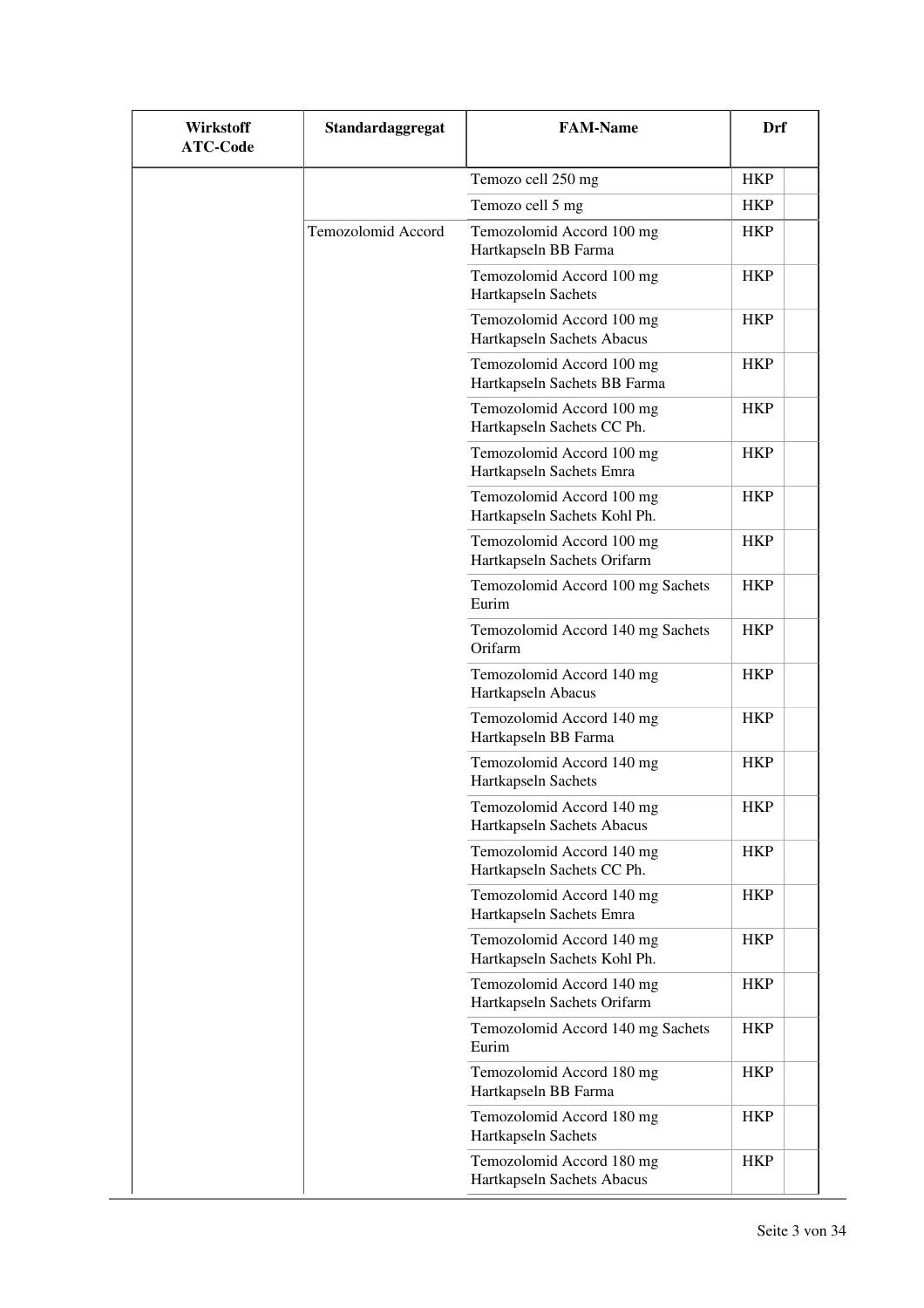| Wirkstoff<br><b>ATC-Code</b> | Standardaggregat   | <b>FAM-Name</b>                                           | Drf        |
|------------------------------|--------------------|-----------------------------------------------------------|------------|
|                              |                    | Temozo cell 250 mg                                        | <b>HKP</b> |
|                              |                    | Temozo cell 5 mg                                          | <b>HKP</b> |
|                              | Temozolomid Accord | Temozolomid Accord 100 mg<br>Hartkapseln BB Farma         | <b>HKP</b> |
|                              |                    | Temozolomid Accord 100 mg<br>Hartkapseln Sachets          | <b>HKP</b> |
|                              |                    | Temozolomid Accord 100 mg<br>Hartkapseln Sachets Abacus   | <b>HKP</b> |
|                              |                    | Temozolomid Accord 100 mg<br>Hartkapseln Sachets BB Farma | <b>HKP</b> |
|                              |                    | Temozolomid Accord 100 mg<br>Hartkapseln Sachets CC Ph.   | <b>HKP</b> |
|                              |                    | Temozolomid Accord 100 mg<br>Hartkapseln Sachets Emra     | <b>HKP</b> |
|                              |                    | Temozolomid Accord 100 mg<br>Hartkapseln Sachets Kohl Ph. | <b>HKP</b> |
|                              |                    | Temozolomid Accord 100 mg<br>Hartkapseln Sachets Orifarm  | <b>HKP</b> |
|                              |                    | Temozolomid Accord 100 mg Sachets<br>Eurim                | <b>HKP</b> |
|                              |                    | Temozolomid Accord 140 mg Sachets<br>Orifarm              | <b>HKP</b> |
|                              |                    | Temozolomid Accord 140 mg<br>Hartkapseln Abacus           | <b>HKP</b> |
|                              |                    | Temozolomid Accord 140 mg<br>Hartkapseln BB Farma         | <b>HKP</b> |
|                              |                    | Temozolomid Accord 140 mg<br>Hartkapseln Sachets          | <b>HKP</b> |
|                              |                    | Temozolomid Accord 140 mg<br>Hartkapseln Sachets Abacus   | <b>HKP</b> |
|                              |                    | Temozolomid Accord 140 mg<br>Hartkapseln Sachets CC Ph.   | HKP        |
|                              |                    | Temozolomid Accord 140 mg<br>Hartkapseln Sachets Emra     | <b>HKP</b> |
|                              |                    | Temozolomid Accord 140 mg<br>Hartkapseln Sachets Kohl Ph. | HKP        |
|                              |                    | Temozolomid Accord 140 mg<br>Hartkapseln Sachets Orifarm  | HKP        |
|                              |                    | Temozolomid Accord 140 mg Sachets<br>Eurim                | <b>HKP</b> |
|                              |                    | Temozolomid Accord 180 mg<br>Hartkapseln BB Farma         | HKP        |
|                              |                    | Temozolomid Accord 180 mg<br>Hartkapseln Sachets          | <b>HKP</b> |
|                              |                    | Temozolomid Accord 180 mg<br>Hartkapseln Sachets Abacus   | <b>HKP</b> |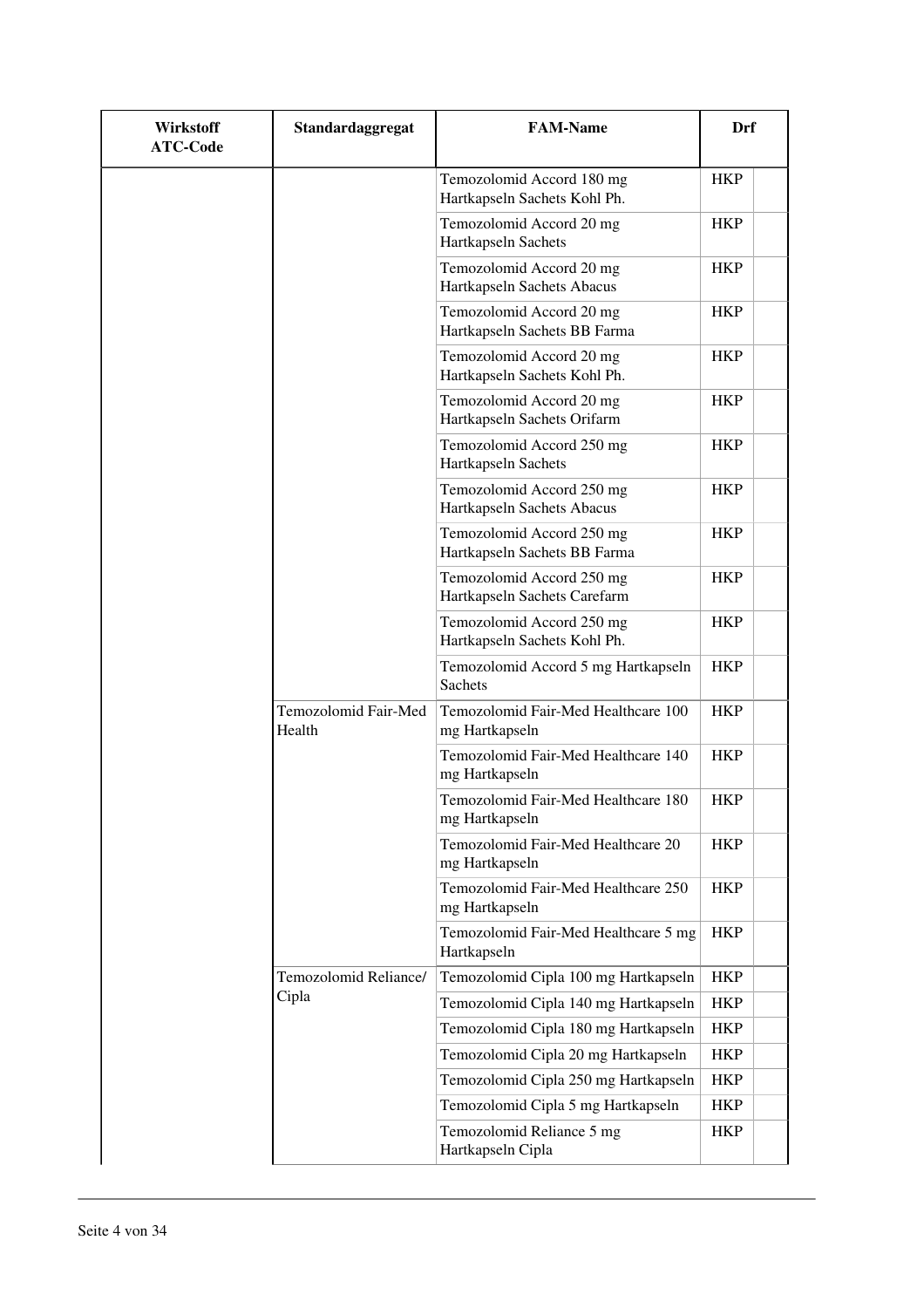| Wirkstoff<br><b>ATC-Code</b> | Standardaggregat               | <b>FAM-Name</b>                                           | Drf        |
|------------------------------|--------------------------------|-----------------------------------------------------------|------------|
|                              |                                | Temozolomid Accord 180 mg<br>Hartkapseln Sachets Kohl Ph. | <b>HKP</b> |
|                              |                                | Temozolomid Accord 20 mg<br>Hartkapseln Sachets           | <b>HKP</b> |
|                              |                                | Temozolomid Accord 20 mg<br>Hartkapseln Sachets Abacus    | <b>HKP</b> |
|                              |                                | Temozolomid Accord 20 mg<br>Hartkapseln Sachets BB Farma  | <b>HKP</b> |
|                              |                                | Temozolomid Accord 20 mg<br>Hartkapseln Sachets Kohl Ph.  | <b>HKP</b> |
|                              |                                | Temozolomid Accord 20 mg<br>Hartkapseln Sachets Orifarm   | <b>HKP</b> |
|                              |                                | Temozolomid Accord 250 mg<br>Hartkapseln Sachets          | <b>HKP</b> |
|                              |                                | Temozolomid Accord 250 mg<br>Hartkapseln Sachets Abacus   | <b>HKP</b> |
|                              |                                | Temozolomid Accord 250 mg<br>Hartkapseln Sachets BB Farma | <b>HKP</b> |
|                              |                                | Temozolomid Accord 250 mg<br>Hartkapseln Sachets Carefarm | <b>HKP</b> |
|                              |                                | Temozolomid Accord 250 mg<br>Hartkapseln Sachets Kohl Ph. | <b>HKP</b> |
|                              |                                | Temozolomid Accord 5 mg Hartkapseln<br><b>Sachets</b>     | <b>HKP</b> |
|                              | Temozolomid Fair-Med<br>Health | Temozolomid Fair-Med Healthcare 100<br>mg Hartkapseln     | <b>HKP</b> |
|                              |                                | Temozolomid Fair-Med Healthcare 140<br>mg Hartkapseln     | <b>HKP</b> |
|                              |                                | Temozolomid Fair-Med Healthcare 180<br>mg Hartkapseln     | <b>HKP</b> |
|                              |                                | Temozolomid Fair-Med Healthcare 20<br>mg Hartkapseln      | <b>HKP</b> |
|                              |                                | Temozolomid Fair-Med Healthcare 250<br>mg Hartkapseln     | <b>HKP</b> |
|                              |                                | Temozolomid Fair-Med Healthcare 5 mg<br>Hartkapseln       | <b>HKP</b> |
|                              | Temozolomid Reliance/          | Temozolomid Cipla 100 mg Hartkapseln                      | <b>HKP</b> |
|                              | Cipla                          | Temozolomid Cipla 140 mg Hartkapseln                      | <b>HKP</b> |
|                              |                                | Temozolomid Cipla 180 mg Hartkapseln                      | <b>HKP</b> |
|                              |                                | Temozolomid Cipla 20 mg Hartkapseln                       | <b>HKP</b> |
|                              |                                | Temozolomid Cipla 250 mg Hartkapseln                      | <b>HKP</b> |
|                              |                                | Temozolomid Cipla 5 mg Hartkapseln                        | <b>HKP</b> |
|                              |                                | Temozolomid Reliance 5 mg<br>Hartkapseln Cipla            | <b>HKP</b> |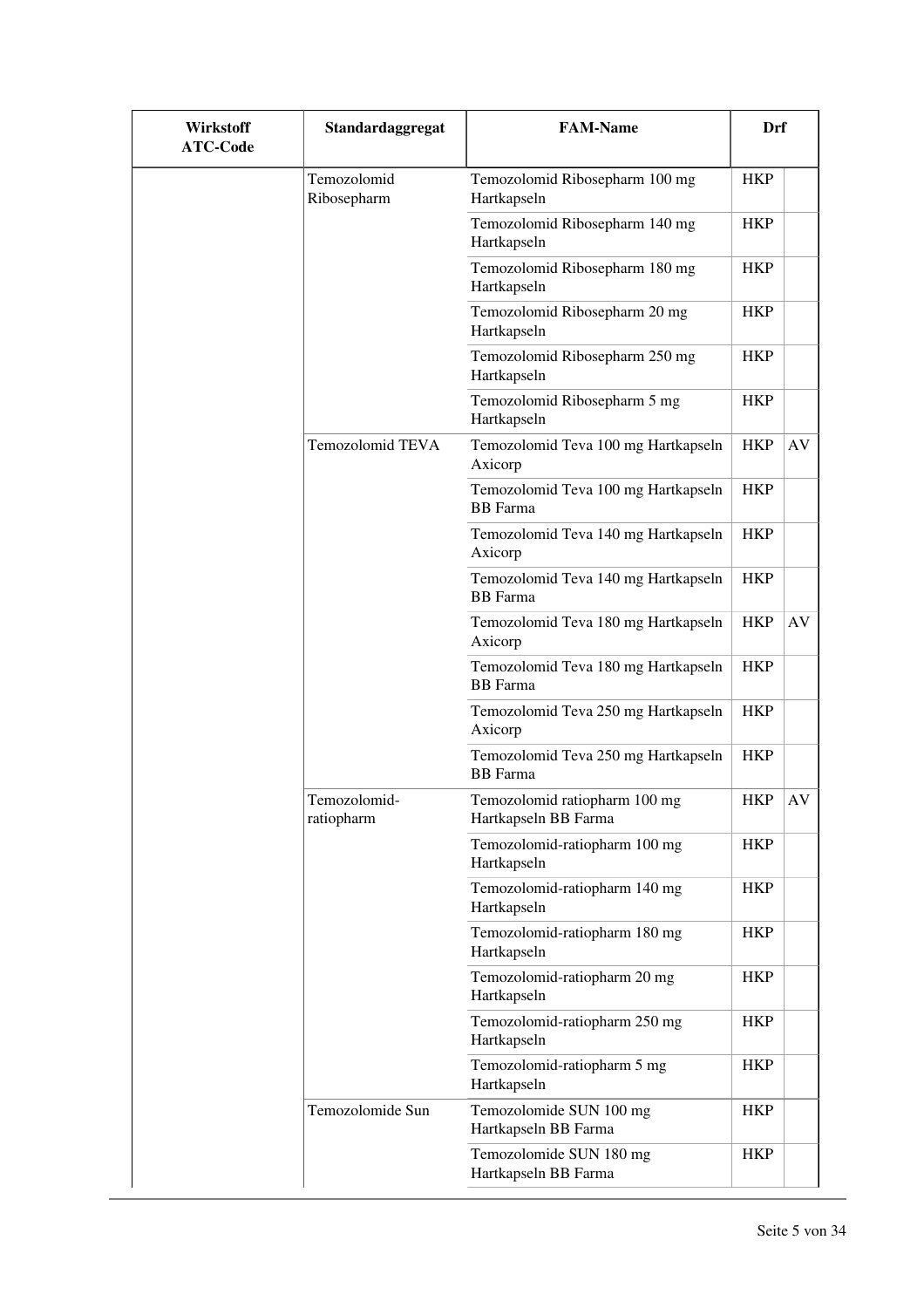| <b>Wirkstoff</b><br><b>ATC-Code</b> | Standardaggregat           | <b>FAM-Name</b>                                        | Drf        |    |
|-------------------------------------|----------------------------|--------------------------------------------------------|------------|----|
|                                     | Temozolomid<br>Ribosepharm | Temozolomid Ribosepharm 100 mg<br>Hartkapseln          | <b>HKP</b> |    |
|                                     |                            | Temozolomid Ribosepharm 140 mg<br>Hartkapseln          | <b>HKP</b> |    |
|                                     |                            | Temozolomid Ribosepharm 180 mg<br>Hartkapseln          | <b>HKP</b> |    |
|                                     |                            | Temozolomid Ribosepharm 20 mg<br>Hartkapseln           | <b>HKP</b> |    |
|                                     |                            | Temozolomid Ribosepharm 250 mg<br>Hartkapseln          | <b>HKP</b> |    |
|                                     |                            | Temozolomid Ribosepharm 5 mg<br>Hartkapseln            | <b>HKP</b> |    |
|                                     | Temozolomid TEVA           | Temozolomid Teva 100 mg Hartkapseln<br>Axicorp         | <b>HKP</b> | AV |
|                                     |                            | Temozolomid Teva 100 mg Hartkapseln<br><b>BB</b> Farma | <b>HKP</b> |    |
|                                     |                            | Temozolomid Teva 140 mg Hartkapseln<br>Axicorp         | <b>HKP</b> |    |
|                                     |                            | Temozolomid Teva 140 mg Hartkapseln<br><b>BB</b> Farma | <b>HKP</b> |    |
|                                     |                            | Temozolomid Teva 180 mg Hartkapseln<br>Axicorp         | <b>HKP</b> | AV |
|                                     |                            | Temozolomid Teva 180 mg Hartkapseln<br><b>BB</b> Farma | <b>HKP</b> |    |
|                                     |                            | Temozolomid Teva 250 mg Hartkapseln<br>Axicorp         | <b>HKP</b> |    |
|                                     |                            | Temozolomid Teva 250 mg Hartkapseln<br><b>BB</b> Farma | <b>HKP</b> |    |
|                                     | Temozolomid-<br>ratiopharm | Temozolomid ratiopharm 100 mg<br>Hartkapseln BB Farma  | <b>HKP</b> | AV |
|                                     |                            | Temozolomid-ratiopharm 100 mg<br>Hartkapseln           | <b>HKP</b> |    |
|                                     |                            | Temozolomid-ratiopharm 140 mg<br>Hartkapseln           | <b>HKP</b> |    |
|                                     |                            | Temozolomid-ratiopharm 180 mg<br>Hartkapseln           | <b>HKP</b> |    |
|                                     |                            | Temozolomid-ratiopharm 20 mg<br>Hartkapseln            | <b>HKP</b> |    |
|                                     |                            | Temozolomid-ratiopharm 250 mg<br>Hartkapseln           | <b>HKP</b> |    |
|                                     |                            | Temozolomid-ratiopharm 5 mg<br>Hartkapseln             | HKP        |    |
|                                     | Temozolomide Sun           | Temozolomide SUN 100 mg<br>Hartkapseln BB Farma        | HKP        |    |
|                                     |                            | Temozolomide SUN 180 mg<br>Hartkapseln BB Farma        | <b>HKP</b> |    |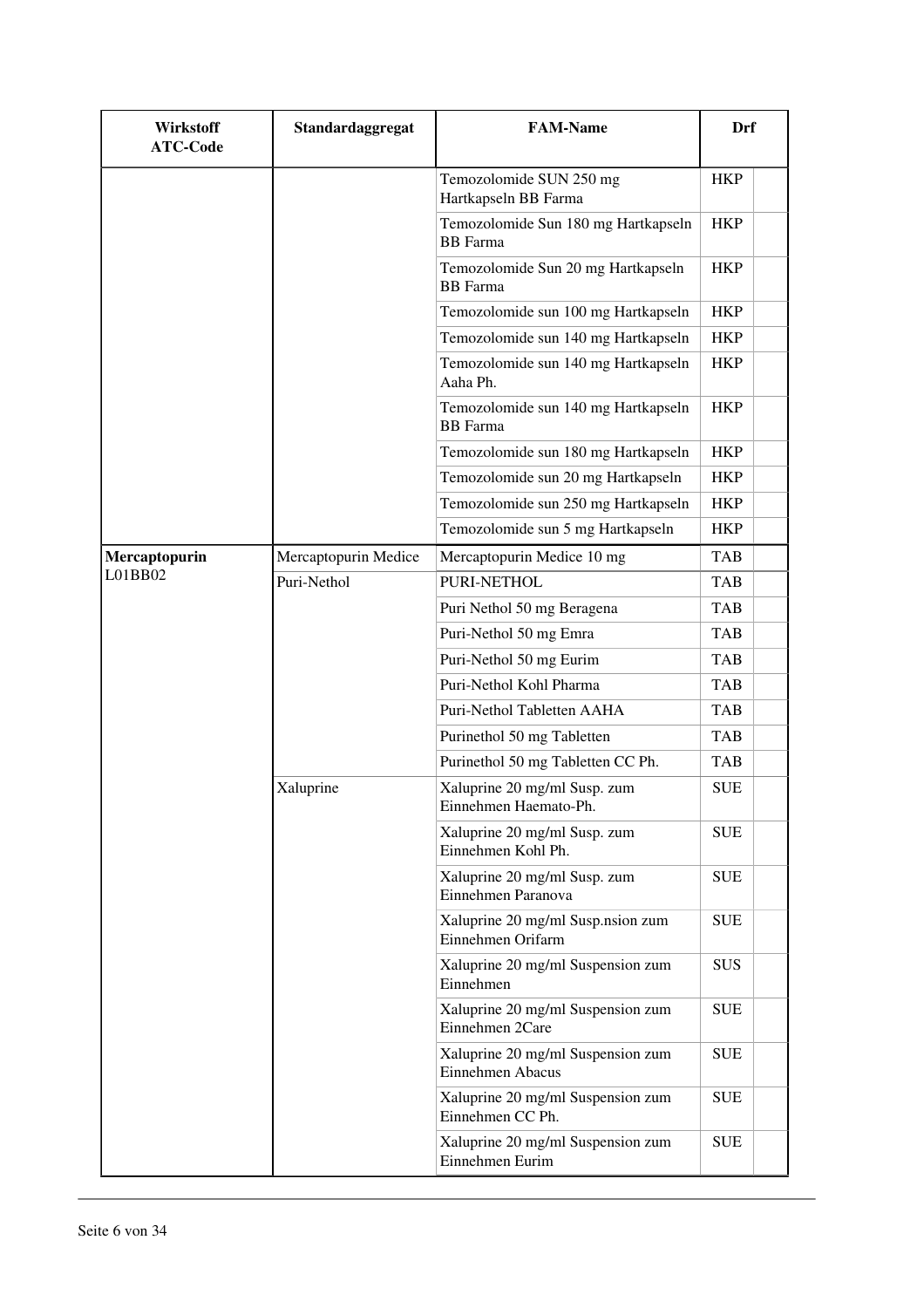| <b>Wirkstoff</b><br><b>ATC-Code</b> | Standardaggregat     | <b>FAM-Name</b>                                        | Drf        |
|-------------------------------------|----------------------|--------------------------------------------------------|------------|
|                                     |                      | Temozolomide SUN 250 mg<br>Hartkapseln BB Farma        | <b>HKP</b> |
|                                     |                      | Temozolomide Sun 180 mg Hartkapseln<br><b>BB</b> Farma | <b>HKP</b> |
|                                     |                      | Temozolomide Sun 20 mg Hartkapseln<br><b>BB</b> Farma  | <b>HKP</b> |
|                                     |                      | Temozolomide sun 100 mg Hartkapseln                    | <b>HKP</b> |
|                                     |                      | Temozolomide sun 140 mg Hartkapseln                    | <b>HKP</b> |
|                                     |                      | Temozolomide sun 140 mg Hartkapseln<br>Aaha Ph.        | <b>HKP</b> |
|                                     |                      | Temozolomide sun 140 mg Hartkapseln<br><b>BB</b> Farma | <b>HKP</b> |
|                                     |                      | Temozolomide sun 180 mg Hartkapseln                    | <b>HKP</b> |
|                                     |                      | Temozolomide sun 20 mg Hartkapseln                     | <b>HKP</b> |
|                                     |                      | Temozolomide sun 250 mg Hartkapseln                    | <b>HKP</b> |
|                                     |                      | Temozolomide sun 5 mg Hartkapseln                      | <b>HKP</b> |
| Mercaptopurin                       | Mercaptopurin Medice | Mercaptopurin Medice 10 mg                             | <b>TAB</b> |
| L01BB02                             | Puri-Nethol          | PURI-NETHOL                                            | <b>TAB</b> |
|                                     |                      | Puri Nethol 50 mg Beragena                             | <b>TAB</b> |
|                                     |                      | Puri-Nethol 50 mg Emra                                 | <b>TAB</b> |
|                                     |                      | Puri-Nethol 50 mg Eurim                                | <b>TAB</b> |
|                                     |                      | Puri-Nethol Kohl Pharma                                | <b>TAB</b> |
|                                     |                      | Puri-Nethol Tabletten AAHA                             | TAB        |
|                                     |                      | Purinethol 50 mg Tabletten                             | TAB        |
|                                     |                      | Purinethol 50 mg Tabletten CC Ph.                      | <b>TAB</b> |
|                                     | Xaluprine            | Xaluprine 20 mg/ml Susp. zum<br>Einnehmen Haemato-Ph.  | <b>SUE</b> |
|                                     |                      | Xaluprine 20 mg/ml Susp. zum<br>Einnehmen Kohl Ph.     | <b>SUE</b> |
|                                     |                      | Xaluprine 20 mg/ml Susp. zum<br>Einnehmen Paranova     | <b>SUE</b> |
|                                     |                      | Xaluprine 20 mg/ml Susp.nsion zum<br>Einnehmen Orifarm | <b>SUE</b> |
|                                     |                      | Xaluprine 20 mg/ml Suspension zum<br>Einnehmen         | <b>SUS</b> |
|                                     |                      | Xaluprine 20 mg/ml Suspension zum<br>Einnehmen 2Care   | <b>SUE</b> |
|                                     |                      | Xaluprine 20 mg/ml Suspension zum<br>Einnehmen Abacus  | <b>SUE</b> |
|                                     |                      | Xaluprine 20 mg/ml Suspension zum<br>Einnehmen CC Ph.  | <b>SUE</b> |
|                                     |                      | Xaluprine 20 mg/ml Suspension zum<br>Einnehmen Eurim   | <b>SUE</b> |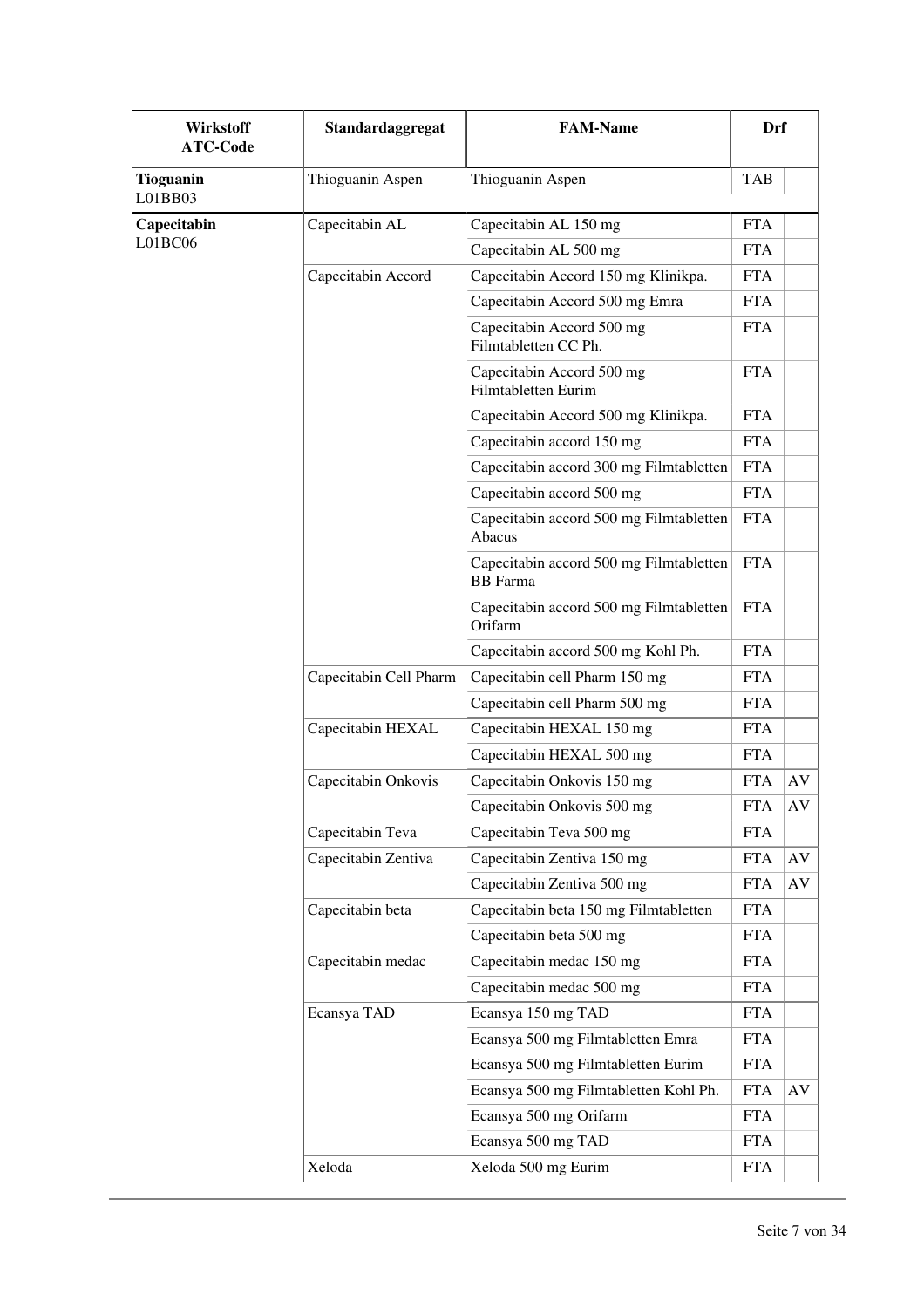| <b>Wirkstoff</b><br><b>ATC-Code</b> | Standardaggregat       | <b>FAM-Name</b>                                            | Drf        |           |
|-------------------------------------|------------------------|------------------------------------------------------------|------------|-----------|
| <b>Tioguanin</b><br>L01BB03         | Thioguanin Aspen       | Thioguanin Aspen                                           | <b>TAB</b> |           |
| Capecitabin                         | Capecitabin AL         | Capecitabin AL 150 mg                                      | <b>FTA</b> |           |
| L01BC06                             |                        | Capecitabin AL 500 mg                                      | <b>FTA</b> |           |
|                                     | Capecitabin Accord     | Capecitabin Accord 150 mg Klinikpa.                        | <b>FTA</b> |           |
|                                     |                        | Capecitabin Accord 500 mg Emra                             | <b>FTA</b> |           |
|                                     |                        | Capecitabin Accord 500 mg<br>Filmtabletten CC Ph.          | <b>FTA</b> |           |
|                                     |                        | Capecitabin Accord 500 mg<br>Filmtabletten Eurim           | <b>FTA</b> |           |
|                                     |                        | Capecitabin Accord 500 mg Klinikpa.                        | <b>FTA</b> |           |
|                                     |                        | Capecitabin accord 150 mg                                  | <b>FTA</b> |           |
|                                     |                        | Capecitabin accord 300 mg Filmtabletten                    | <b>FTA</b> |           |
|                                     |                        | Capecitabin accord 500 mg                                  | <b>FTA</b> |           |
|                                     |                        | Capecitabin accord 500 mg Filmtabletten<br>Abacus          | <b>FTA</b> |           |
|                                     |                        | Capecitabin accord 500 mg Filmtabletten<br><b>BB</b> Farma | <b>FTA</b> |           |
|                                     |                        | Capecitabin accord 500 mg Filmtabletten<br>Orifarm         | <b>FTA</b> |           |
|                                     |                        | Capecitabin accord 500 mg Kohl Ph.                         | <b>FTA</b> |           |
|                                     | Capecitabin Cell Pharm | Capecitabin cell Pharm 150 mg                              | <b>FTA</b> |           |
|                                     |                        | Capecitabin cell Pharm 500 mg                              | <b>FTA</b> |           |
|                                     | Capecitabin HEXAL      | Capecitabin HEXAL 150 mg                                   | <b>FTA</b> |           |
|                                     |                        | Capecitabin HEXAL 500 mg                                   | <b>FTA</b> |           |
|                                     | Capecitabin Onkovis    | Capecitabin Onkovis 150 mg                                 | <b>FTA</b> | AV        |
|                                     |                        | Capecitabin Onkovis 500 mg                                 | <b>FTA</b> | AV        |
|                                     | Capecitabin Teva       | Capecitabin Teva 500 mg                                    | <b>FTA</b> |           |
|                                     | Capecitabin Zentiva    | Capecitabin Zentiva 150 mg                                 | <b>FTA</b> | AV        |
|                                     |                        | Capecitabin Zentiva 500 mg                                 | <b>FTA</b> | $\rm{AV}$ |
|                                     | Capecitabin beta       | Capecitabin beta 150 mg Filmtabletten                      | <b>FTA</b> |           |
|                                     |                        | Capecitabin beta 500 mg                                    | <b>FTA</b> |           |
|                                     | Capecitabin medac      | Capecitabin medac 150 mg                                   | <b>FTA</b> |           |
|                                     |                        | Capecitabin medac 500 mg                                   | <b>FTA</b> |           |
|                                     | Ecansya TAD            | Ecansya 150 mg TAD                                         | <b>FTA</b> |           |
|                                     |                        | Ecansya 500 mg Filmtabletten Emra                          | <b>FTA</b> |           |
|                                     |                        | Ecansya 500 mg Filmtabletten Eurim                         | <b>FTA</b> |           |
|                                     |                        | Ecansya 500 mg Filmtabletten Kohl Ph.                      | <b>FTA</b> | AV        |
|                                     |                        | Ecansya 500 mg Orifarm                                     | <b>FTA</b> |           |
|                                     |                        | Ecansya 500 mg TAD                                         | <b>FTA</b> |           |
|                                     | Xeloda                 | Xeloda 500 mg Eurim                                        | <b>FTA</b> |           |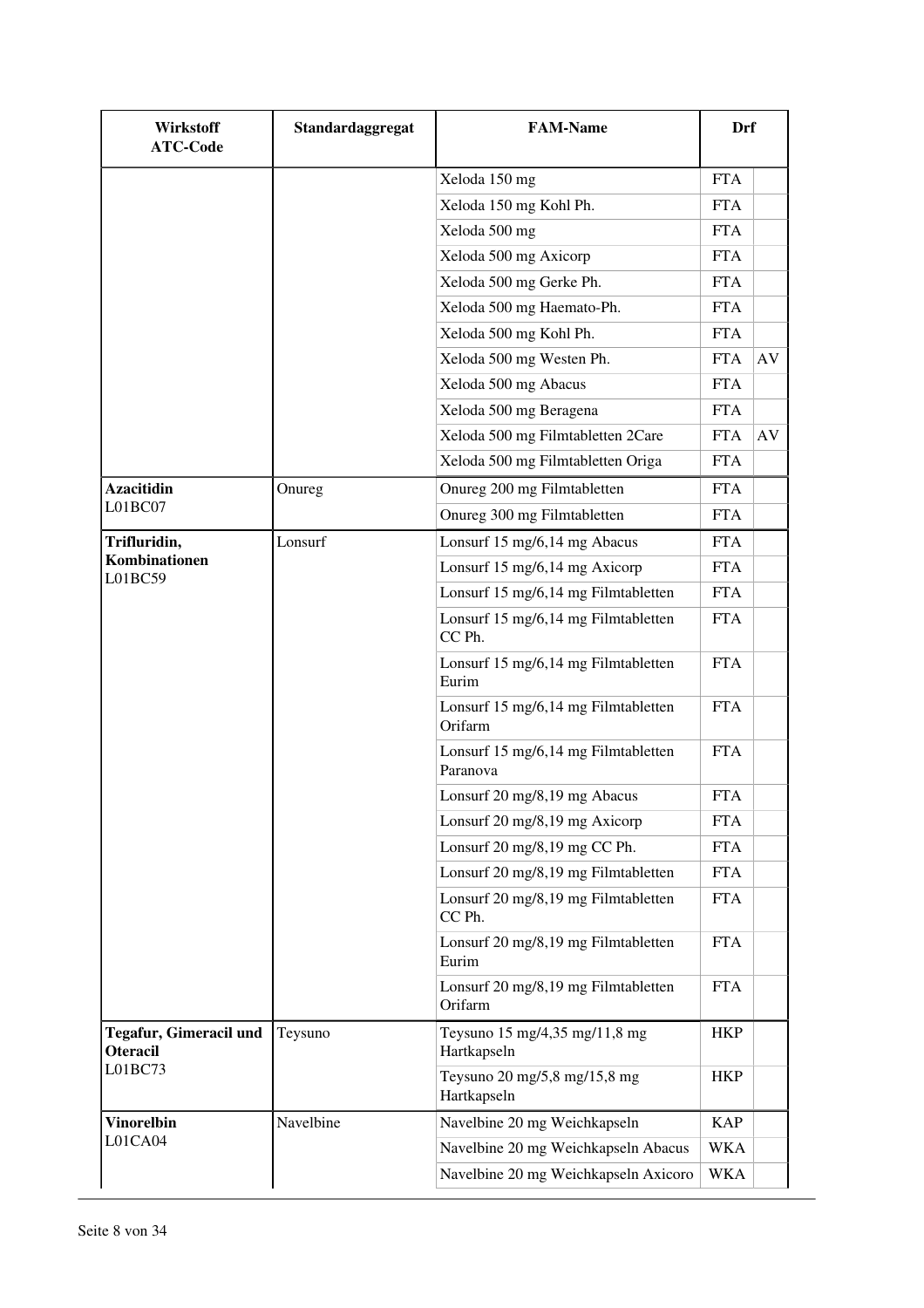| Wirkstoff<br><b>ATC-Code</b>              | Standardaggregat | <b>FAM-Name</b>                                 | Drf        |    |
|-------------------------------------------|------------------|-------------------------------------------------|------------|----|
|                                           |                  | Xeloda 150 mg                                   | <b>FTA</b> |    |
|                                           |                  | Xeloda 150 mg Kohl Ph.                          | <b>FTA</b> |    |
|                                           |                  | Xeloda 500 mg                                   | <b>FTA</b> |    |
|                                           |                  | Xeloda 500 mg Axicorp                           | <b>FTA</b> |    |
|                                           |                  | Xeloda 500 mg Gerke Ph.                         | <b>FTA</b> |    |
|                                           |                  | Xeloda 500 mg Haemato-Ph.                       | <b>FTA</b> |    |
|                                           |                  | Xeloda 500 mg Kohl Ph.                          | <b>FTA</b> |    |
|                                           |                  | Xeloda 500 mg Westen Ph.                        | <b>FTA</b> | AV |
|                                           |                  | Xeloda 500 mg Abacus                            | <b>FTA</b> |    |
|                                           |                  | Xeloda 500 mg Beragena                          | <b>FTA</b> |    |
|                                           |                  | Xeloda 500 mg Filmtabletten 2Care               | <b>FTA</b> | AV |
|                                           |                  | Xeloda 500 mg Filmtabletten Origa               | <b>FTA</b> |    |
| <b>Azacitidin</b>                         | Onureg           | Onureg 200 mg Filmtabletten                     | <b>FTA</b> |    |
| LO1BC07                                   |                  | Onureg 300 mg Filmtabletten                     | <b>FTA</b> |    |
| Trifluridin,                              | Lonsurf          | Lonsurf 15 mg/6,14 mg Abacus                    | <b>FTA</b> |    |
| Kombinationen<br>L01BC59                  |                  | Lonsurf 15 mg/6,14 mg Axicorp                   | <b>FTA</b> |    |
|                                           |                  | Lonsurf 15 mg/6,14 mg Filmtabletten             | <b>FTA</b> |    |
|                                           |                  | Lonsurf 15 mg/6,14 mg Filmtabletten<br>CC Ph.   | <b>FTA</b> |    |
|                                           |                  | Lonsurf 15 mg/6,14 mg Filmtabletten<br>Eurim    | <b>FTA</b> |    |
|                                           |                  | Lonsurf 15 mg/6,14 mg Filmtabletten<br>Orifarm  | <b>FTA</b> |    |
|                                           |                  | Lonsurf 15 mg/6,14 mg Filmtabletten<br>Paranova | <b>FTA</b> |    |
|                                           |                  | Lonsurf 20 mg/8,19 mg Abacus                    | <b>FTA</b> |    |
|                                           |                  | Lonsurf 20 mg/8,19 mg Axicorp                   | <b>FTA</b> |    |
|                                           |                  | Lonsurf 20 mg/8,19 mg CC Ph.                    | <b>FTA</b> |    |
|                                           |                  | Lonsurf 20 mg/8,19 mg Filmtabletten             | <b>FTA</b> |    |
|                                           |                  | Lonsurf 20 mg/8,19 mg Filmtabletten<br>CC Ph.   | <b>FTA</b> |    |
|                                           |                  | Lonsurf 20 mg/8,19 mg Filmtabletten<br>Eurim    | <b>FTA</b> |    |
|                                           |                  | Lonsurf 20 mg/8,19 mg Filmtabletten<br>Orifarm  | <b>FTA</b> |    |
| Tegafur, Gimeracil und<br><b>Oteracil</b> | Teysuno          | Teysuno 15 mg/4,35 mg/11,8 mg<br>Hartkapseln    | <b>HKP</b> |    |
| L01BC73                                   |                  | Teysuno 20 mg/5,8 mg/15,8 mg<br>Hartkapseln     | <b>HKP</b> |    |
| <b>Vinorelbin</b>                         | Navelbine        | Navelbine 20 mg Weichkapseln                    | <b>KAP</b> |    |
| L01CA04                                   |                  | Navelbine 20 mg Weichkapseln Abacus             | WKA        |    |
|                                           |                  | Navelbine 20 mg Weichkapseln Axicoro            | WKA        |    |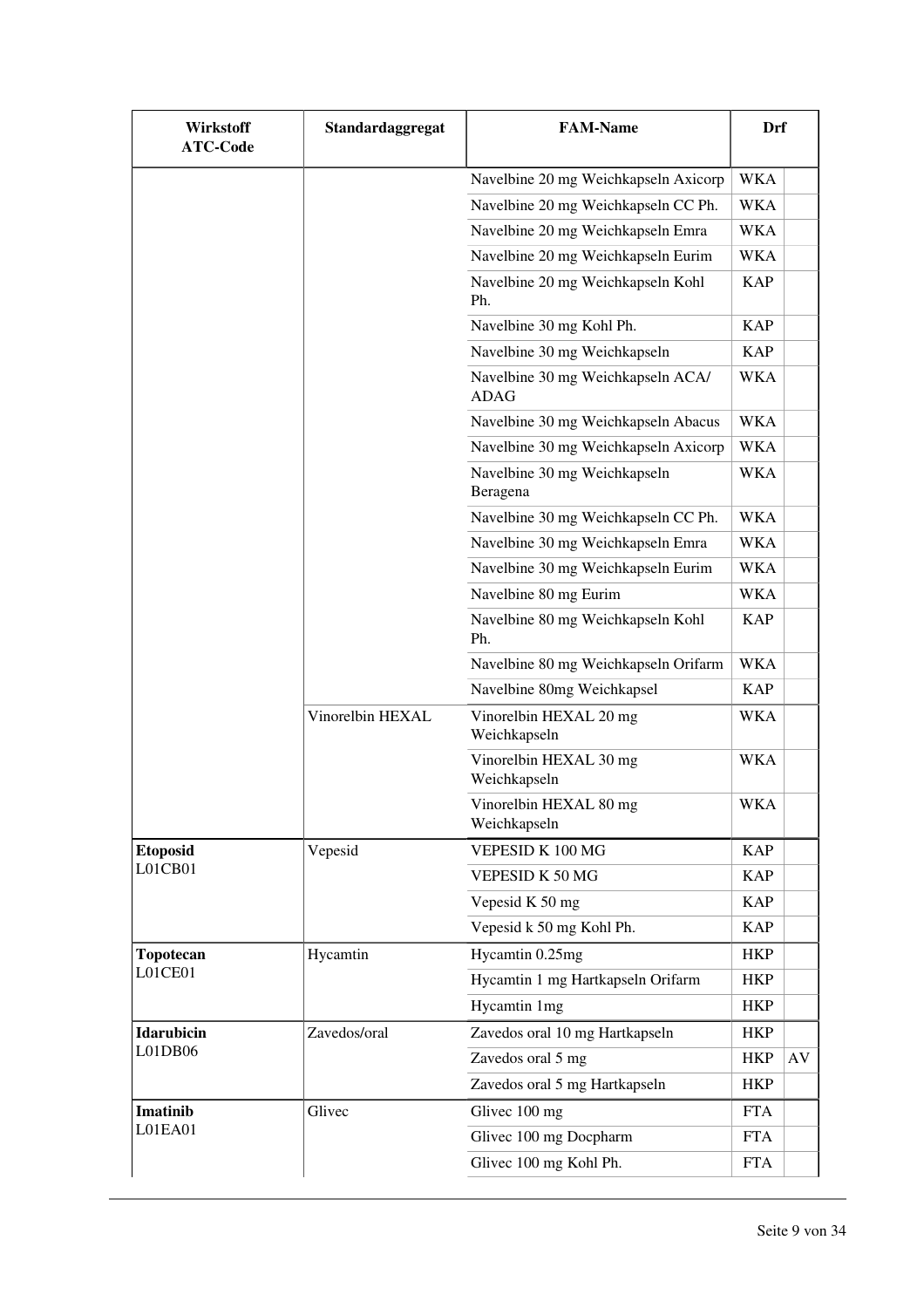| Wirkstoff<br><b>ATC-Code</b> | Standardaggregat | <b>FAM-Name</b>                                  | Drf        |    |
|------------------------------|------------------|--------------------------------------------------|------------|----|
|                              |                  | Navelbine 20 mg Weichkapseln Axicorp             | <b>WKA</b> |    |
|                              |                  | Navelbine 20 mg Weichkapseln CC Ph.              | <b>WKA</b> |    |
|                              |                  | Navelbine 20 mg Weichkapseln Emra                | WKA        |    |
|                              |                  | Navelbine 20 mg Weichkapseln Eurim               | <b>WKA</b> |    |
|                              |                  | Navelbine 20 mg Weichkapseln Kohl<br>Ph.         | <b>KAP</b> |    |
|                              |                  | Navelbine 30 mg Kohl Ph.                         | <b>KAP</b> |    |
|                              |                  | Navelbine 30 mg Weichkapseln                     | <b>KAP</b> |    |
|                              |                  | Navelbine 30 mg Weichkapseln ACA/<br><b>ADAG</b> | <b>WKA</b> |    |
|                              |                  | Navelbine 30 mg Weichkapseln Abacus              | <b>WKA</b> |    |
|                              |                  | Navelbine 30 mg Weichkapseln Axicorp             | <b>WKA</b> |    |
|                              |                  | Navelbine 30 mg Weichkapseln<br>Beragena         | <b>WKA</b> |    |
|                              |                  | Navelbine 30 mg Weichkapseln CC Ph.              | <b>WKA</b> |    |
|                              |                  | Navelbine 30 mg Weichkapseln Emra                | <b>WKA</b> |    |
|                              |                  | Navelbine 30 mg Weichkapseln Eurim               | <b>WKA</b> |    |
|                              |                  | Navelbine 80 mg Eurim                            | WKA        |    |
|                              |                  | Navelbine 80 mg Weichkapseln Kohl<br>Ph.         | <b>KAP</b> |    |
|                              |                  | Navelbine 80 mg Weichkapseln Orifarm             | <b>WKA</b> |    |
|                              |                  | Navelbine 80mg Weichkapsel                       | <b>KAP</b> |    |
|                              | Vinorelbin HEXAL | Vinorelbin HEXAL 20 mg<br>Weichkapseln           | WKA        |    |
|                              |                  | Vinorelbin HEXAL 30 mg<br>Weichkapseln           | <b>WKA</b> |    |
|                              |                  | Vinorelbin HEXAL 80 mg<br>Weichkapseln           | <b>WKA</b> |    |
| <b>Etoposid</b>              | Vepesid          | VEPESID K 100 MG                                 | <b>KAP</b> |    |
| L01CB01                      |                  | VEPESID K 50 MG                                  | <b>KAP</b> |    |
|                              |                  | Vepesid K 50 mg                                  | <b>KAP</b> |    |
|                              |                  | Vepesid k 50 mg Kohl Ph.                         | <b>KAP</b> |    |
| Topotecan                    | Hycamtin         | Hycamtin 0.25mg                                  | <b>HKP</b> |    |
| L01CE01                      |                  | Hycamtin 1 mg Hartkapseln Orifarm                | <b>HKP</b> |    |
|                              |                  | Hycamtin 1mg                                     | <b>HKP</b> |    |
| <b>Idarubicin</b>            | Zavedos/oral     | Zavedos oral 10 mg Hartkapseln                   | <b>HKP</b> |    |
| L01DB06                      |                  | Zavedos oral 5 mg                                | <b>HKP</b> | AV |
|                              |                  | Zavedos oral 5 mg Hartkapseln                    | <b>HKP</b> |    |
| <b>Imatinib</b>              | Glivec           | Glivec 100 mg                                    | <b>FTA</b> |    |
| L01EA01                      |                  | Glivec 100 mg Docpharm                           | <b>FTA</b> |    |
|                              |                  | Glivec 100 mg Kohl Ph.                           | <b>FTA</b> |    |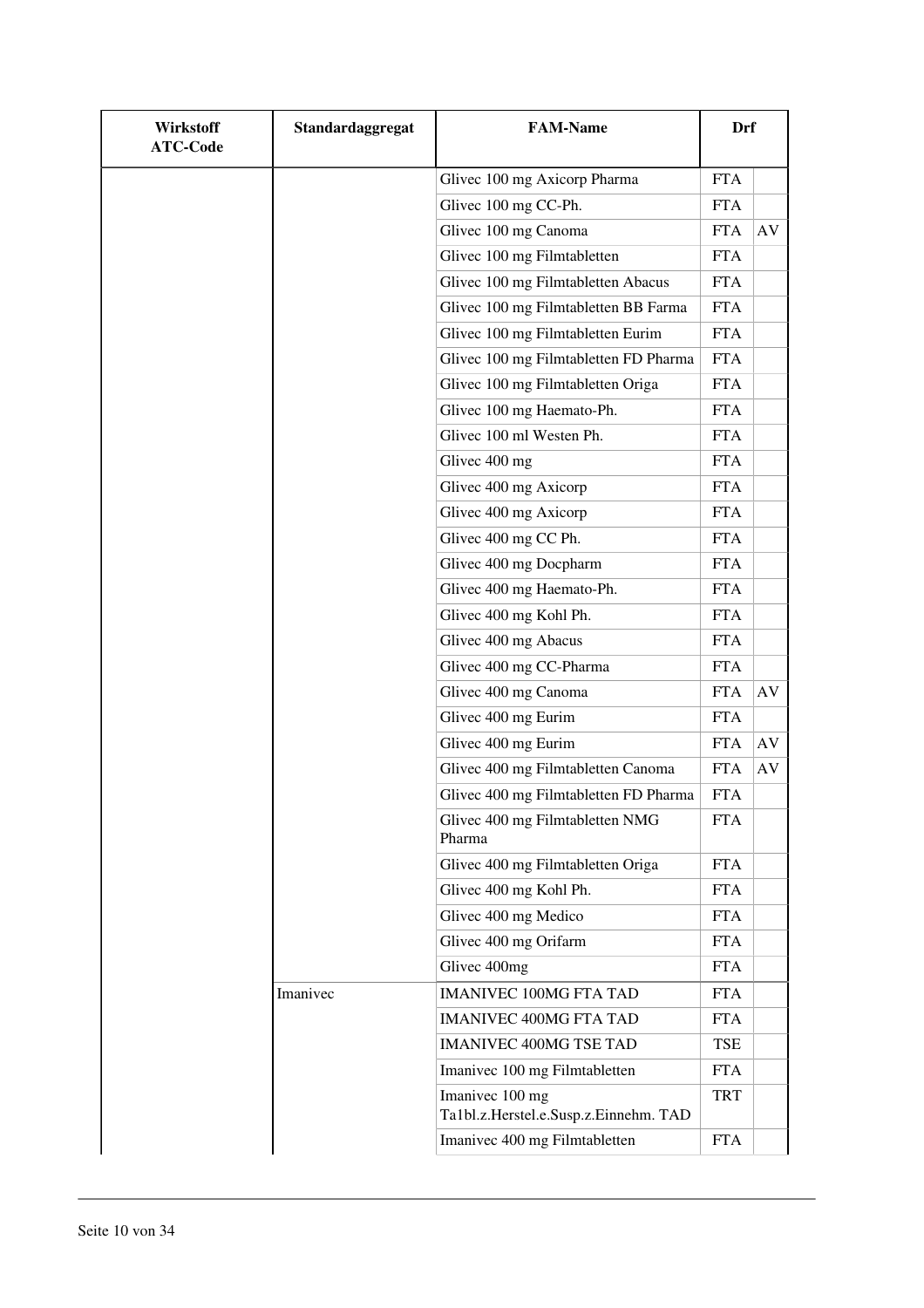| <b>Wirkstoff</b><br><b>ATC-Code</b> | Standardaggregat | <b>FAM-Name</b>                                          | <b>Drf</b> |           |
|-------------------------------------|------------------|----------------------------------------------------------|------------|-----------|
|                                     |                  | Glivec 100 mg Axicorp Pharma                             | <b>FTA</b> |           |
|                                     |                  | Glivec 100 mg CC-Ph.                                     | <b>FTA</b> |           |
|                                     |                  | Glivec 100 mg Canoma                                     | <b>FTA</b> | AV        |
|                                     |                  | Glivec 100 mg Filmtabletten                              | <b>FTA</b> |           |
|                                     |                  | Glivec 100 mg Filmtabletten Abacus                       | <b>FTA</b> |           |
|                                     |                  | Glivec 100 mg Filmtabletten BB Farma                     | <b>FTA</b> |           |
|                                     |                  | Glivec 100 mg Filmtabletten Eurim                        | <b>FTA</b> |           |
|                                     |                  | Glivec 100 mg Filmtabletten FD Pharma                    | <b>FTA</b> |           |
|                                     |                  | Glivec 100 mg Filmtabletten Origa                        | <b>FTA</b> |           |
|                                     |                  | Glivec 100 mg Haemato-Ph.                                | <b>FTA</b> |           |
|                                     |                  | Glivec 100 ml Westen Ph.                                 | <b>FTA</b> |           |
|                                     |                  | Glivec 400 mg                                            | <b>FTA</b> |           |
|                                     |                  | Glivec 400 mg Axicorp                                    | <b>FTA</b> |           |
|                                     |                  | Glivec 400 mg Axicorp                                    | <b>FTA</b> |           |
|                                     |                  | Glivec 400 mg CC Ph.                                     | <b>FTA</b> |           |
|                                     |                  | Glivec 400 mg Docpharm                                   | <b>FTA</b> |           |
|                                     |                  | Glivec 400 mg Haemato-Ph.                                | <b>FTA</b> |           |
|                                     |                  | Glivec 400 mg Kohl Ph.                                   | <b>FTA</b> |           |
|                                     |                  | Glivec 400 mg Abacus                                     | <b>FTA</b> |           |
|                                     |                  | Glivec 400 mg CC-Pharma                                  | <b>FTA</b> |           |
|                                     |                  | Glivec 400 mg Canoma                                     | <b>FTA</b> | AV        |
|                                     |                  | Glivec 400 mg Eurim                                      | <b>FTA</b> |           |
|                                     |                  | Glivec 400 mg Eurim                                      | <b>FTA</b> | AV        |
|                                     |                  | Glivec 400 mg Filmtabletten Canoma                       | <b>FTA</b> | $\rm{AV}$ |
|                                     |                  | Glivec 400 mg Filmtabletten FD Pharma                    | <b>FTA</b> |           |
|                                     |                  | Glivec 400 mg Filmtabletten NMG<br>Pharma                | <b>FTA</b> |           |
|                                     |                  | Glivec 400 mg Filmtabletten Origa                        | <b>FTA</b> |           |
|                                     |                  | Glivec 400 mg Kohl Ph.                                   | <b>FTA</b> |           |
|                                     |                  | Glivec 400 mg Medico                                     | <b>FTA</b> |           |
|                                     |                  | Glivec 400 mg Orifarm                                    | <b>FTA</b> |           |
|                                     |                  | Glivec 400mg                                             | <b>FTA</b> |           |
|                                     | Imanivec         | <b>IMANIVEC 100MG FTA TAD</b>                            | <b>FTA</b> |           |
|                                     |                  | <b>IMANIVEC 400MG FTA TAD</b>                            | <b>FTA</b> |           |
|                                     |                  | <b>IMANIVEC 400MG TSE TAD</b>                            | TSE        |           |
|                                     |                  | Imanivec 100 mg Filmtabletten                            | <b>FTA</b> |           |
|                                     |                  | Imanivec 100 mg<br>Ta1bl.z.Herstel.e.Susp.z.Einnehm. TAD | <b>TRT</b> |           |
|                                     |                  | Imanivec 400 mg Filmtabletten                            | <b>FTA</b> |           |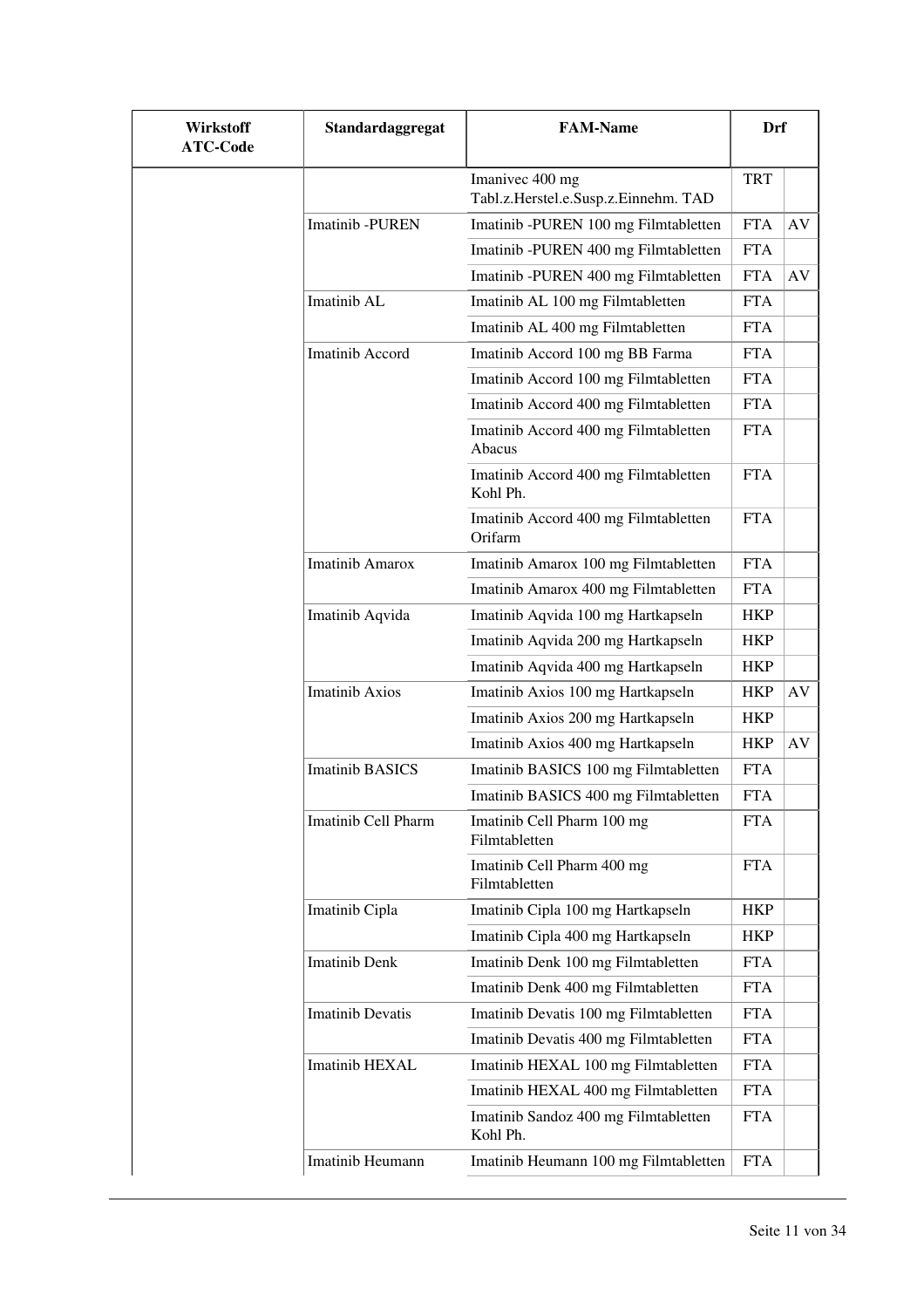| <b>Wirkstoff</b><br><b>ATC-Code</b> | Standardaggregat        | <b>FAM-Name</b>                                         | Drf        |    |
|-------------------------------------|-------------------------|---------------------------------------------------------|------------|----|
|                                     |                         | Imanivec 400 mg<br>Tabl.z.Herstel.e.Susp.z.Einnehm. TAD | <b>TRT</b> |    |
|                                     | Imatinib -PUREN         | Imatinib -PUREN 100 mg Filmtabletten                    | <b>FTA</b> | AV |
|                                     |                         | Imatinib -PUREN 400 mg Filmtabletten                    | <b>FTA</b> |    |
|                                     |                         | Imatinib -PUREN 400 mg Filmtabletten                    | <b>FTA</b> | AV |
|                                     | Imatinib AL             | Imatinib AL 100 mg Filmtabletten                        | <b>FTA</b> |    |
|                                     |                         | Imatinib AL 400 mg Filmtabletten                        | <b>FTA</b> |    |
|                                     | Imatinib Accord         | Imatinib Accord 100 mg BB Farma                         | <b>FTA</b> |    |
|                                     |                         | Imatinib Accord 100 mg Filmtabletten                    | <b>FTA</b> |    |
|                                     |                         | Imatinib Accord 400 mg Filmtabletten                    | <b>FTA</b> |    |
|                                     |                         | Imatinib Accord 400 mg Filmtabletten<br>Abacus          | <b>FTA</b> |    |
|                                     |                         | Imatinib Accord 400 mg Filmtabletten<br>Kohl Ph.        | <b>FTA</b> |    |
|                                     |                         | Imatinib Accord 400 mg Filmtabletten<br>Orifarm         | <b>FTA</b> |    |
|                                     | <b>Imatinib Amarox</b>  | Imatinib Amarox 100 mg Filmtabletten                    | <b>FTA</b> |    |
|                                     |                         | Imatinib Amarox 400 mg Filmtabletten                    | <b>FTA</b> |    |
|                                     | Imatinib Aqvida         | Imatinib Aqvida 100 mg Hartkapseln                      | <b>HKP</b> |    |
|                                     |                         | Imatinib Aqvida 200 mg Hartkapseln                      | <b>HKP</b> |    |
|                                     |                         | Imatinib Aqvida 400 mg Hartkapseln                      | <b>HKP</b> |    |
|                                     | <b>Imatinib Axios</b>   | Imatinib Axios 100 mg Hartkapseln                       | <b>HKP</b> | AV |
|                                     |                         | Imatinib Axios 200 mg Hartkapseln                       | <b>HKP</b> |    |
|                                     |                         | Imatinib Axios 400 mg Hartkapseln                       | <b>HKP</b> | AV |
|                                     | <b>Imatinib BASICS</b>  | Imatinib BASICS 100 mg Filmtabletten                    | <b>FTA</b> |    |
|                                     |                         | Imatinib BASICS 400 mg Filmtabletten                    | <b>FTA</b> |    |
|                                     | Imatinib Cell Pharm     | Imatinib Cell Pharm 100 mg<br>Filmtabletten             | <b>FTA</b> |    |
|                                     |                         | Imatinib Cell Pharm 400 mg<br>Filmtabletten             | <b>FTA</b> |    |
|                                     | Imatinib Cipla          | Imatinib Cipla 100 mg Hartkapseln                       | <b>HKP</b> |    |
|                                     |                         | Imatinib Cipla 400 mg Hartkapseln                       | <b>HKP</b> |    |
|                                     | <b>Imatinib Denk</b>    | Imatinib Denk 100 mg Filmtabletten                      | <b>FTA</b> |    |
|                                     |                         | Imatinib Denk 400 mg Filmtabletten                      | <b>FTA</b> |    |
|                                     | <b>Imatinib Devatis</b> | Imatinib Devatis 100 mg Filmtabletten                   | <b>FTA</b> |    |
|                                     |                         | Imatinib Devatis 400 mg Filmtabletten                   | <b>FTA</b> |    |
|                                     | Imatinib HEXAL          | Imatinib HEXAL 100 mg Filmtabletten                     | <b>FTA</b> |    |
|                                     |                         | Imatinib HEXAL 400 mg Filmtabletten                     | <b>FTA</b> |    |
|                                     |                         | Imatinib Sandoz 400 mg Filmtabletten<br>Kohl Ph.        | <b>FTA</b> |    |
|                                     | Imatinib Heumann        | Imatinib Heumann 100 mg Filmtabletten                   | <b>FTA</b> |    |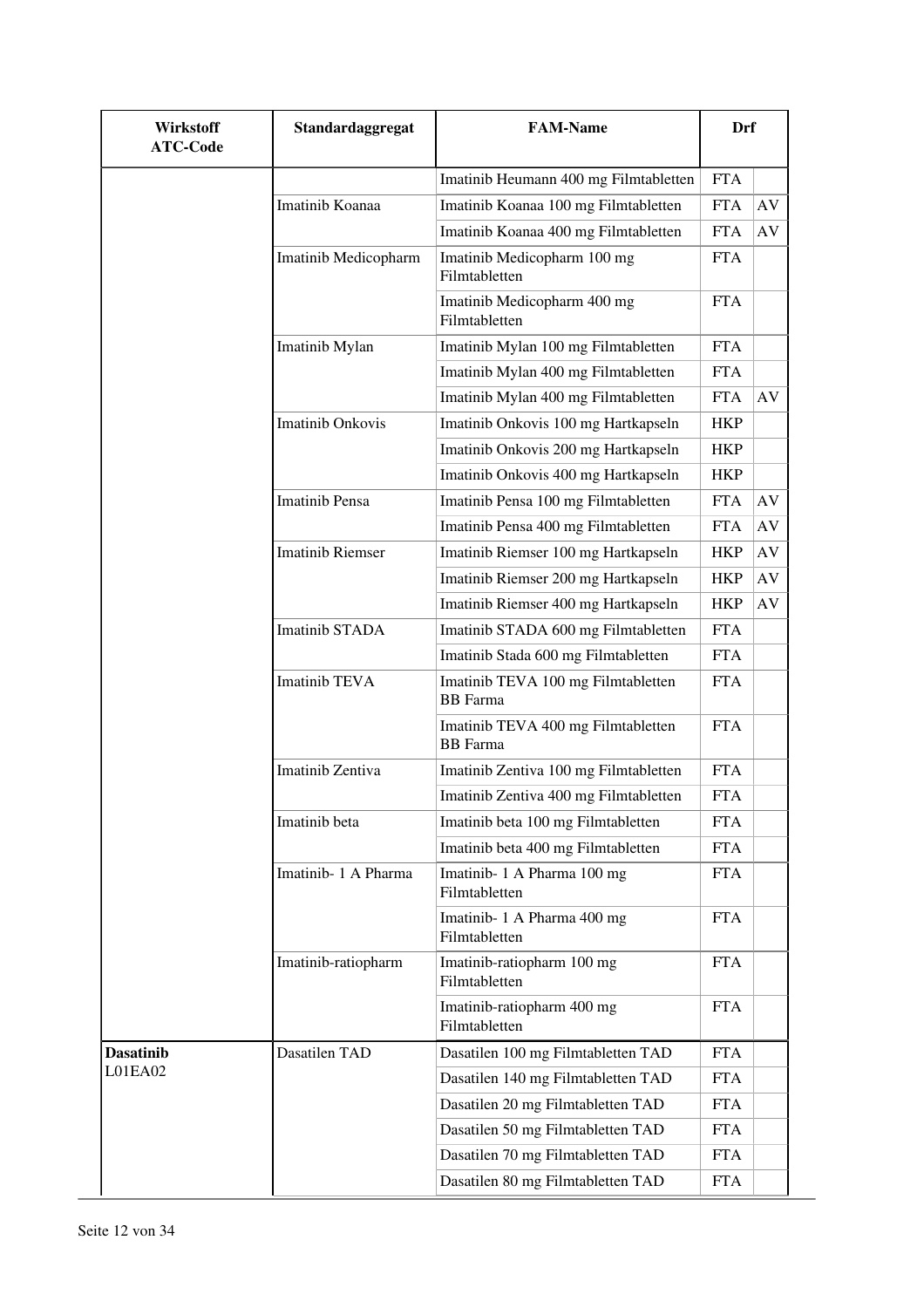| Wirkstoff<br><b>ATC-Code</b> | Standardaggregat        | <b>FAM-Name</b>                                       | Drf        |    |
|------------------------------|-------------------------|-------------------------------------------------------|------------|----|
|                              |                         | Imatinib Heumann 400 mg Filmtabletten                 | <b>FTA</b> |    |
|                              | Imatinib Koanaa         | Imatinib Koanaa 100 mg Filmtabletten                  | <b>FTA</b> | AV |
|                              |                         | Imatinib Koanaa 400 mg Filmtabletten                  | <b>FTA</b> | AV |
|                              | Imatinib Medicopharm    | Imatinib Medicopharm 100 mg<br>Filmtabletten          | <b>FTA</b> |    |
|                              |                         | Imatinib Medicopharm 400 mg<br>Filmtabletten          | <b>FTA</b> |    |
|                              | Imatinib Mylan          | Imatinib Mylan 100 mg Filmtabletten                   | <b>FTA</b> |    |
|                              |                         | Imatinib Mylan 400 mg Filmtabletten                   | <b>FTA</b> |    |
|                              |                         | Imatinib Mylan 400 mg Filmtabletten                   | <b>FTA</b> | AV |
|                              | <b>Imatinib Onkovis</b> | Imatinib Onkovis 100 mg Hartkapseln                   | <b>HKP</b> |    |
|                              |                         | Imatinib Onkovis 200 mg Hartkapseln                   | <b>HKP</b> |    |
|                              |                         | Imatinib Onkovis 400 mg Hartkapseln                   | <b>HKP</b> |    |
|                              | <b>Imatinib Pensa</b>   | Imatinib Pensa 100 mg Filmtabletten                   | <b>FTA</b> | AV |
|                              |                         | Imatinib Pensa 400 mg Filmtabletten                   | <b>FTA</b> | AV |
|                              | <b>Imatinib Riemser</b> | Imatinib Riemser 100 mg Hartkapseln                   | <b>HKP</b> | AV |
|                              |                         | Imatinib Riemser 200 mg Hartkapseln                   | <b>HKP</b> | AV |
|                              |                         | Imatinib Riemser 400 mg Hartkapseln                   | <b>HKP</b> | AV |
|                              | <b>Imatinib STADA</b>   | Imatinib STADA 600 mg Filmtabletten                   | <b>FTA</b> |    |
|                              |                         | Imatinib Stada 600 mg Filmtabletten                   | <b>FTA</b> |    |
|                              | <b>Imatinib TEVA</b>    | Imatinib TEVA 100 mg Filmtabletten<br><b>BB</b> Farma | <b>FTA</b> |    |
|                              |                         | Imatinib TEVA 400 mg Filmtabletten<br><b>BB</b> Farma | <b>FTA</b> |    |
|                              | Imatinib Zentiva        | Imatinib Zentiva 100 mg Filmtabletten                 | <b>FTA</b> |    |
|                              |                         | Imatinib Zentiva 400 mg Filmtabletten                 | <b>FTA</b> |    |
|                              | Imatinib beta           | Imatinib beta 100 mg Filmtabletten                    | <b>FTA</b> |    |
|                              |                         | Imatinib beta 400 mg Filmtabletten                    | <b>FTA</b> |    |
|                              | Imatinib-1 A Pharma     | Imatinib-1 A Pharma 100 mg<br>Filmtabletten           | <b>FTA</b> |    |
|                              |                         | Imatinib-1 A Pharma 400 mg<br>Filmtabletten           | <b>FTA</b> |    |
|                              | Imatinib-ratiopharm     | Imatinib-ratiopharm 100 mg<br>Filmtabletten           | <b>FTA</b> |    |
|                              |                         | Imatinib-ratiopharm 400 mg<br>Filmtabletten           | <b>FTA</b> |    |
| <b>Dasatinib</b>             | Dasatilen TAD           | Dasatilen 100 mg Filmtabletten TAD                    | <b>FTA</b> |    |
| L01EA02                      |                         | Dasatilen 140 mg Filmtabletten TAD                    | <b>FTA</b> |    |
|                              |                         | Dasatilen 20 mg Filmtabletten TAD                     | <b>FTA</b> |    |
|                              |                         | Dasatilen 50 mg Filmtabletten TAD                     | <b>FTA</b> |    |
|                              |                         | Dasatilen 70 mg Filmtabletten TAD                     | <b>FTA</b> |    |
|                              |                         | Dasatilen 80 mg Filmtabletten TAD                     | <b>FTA</b> |    |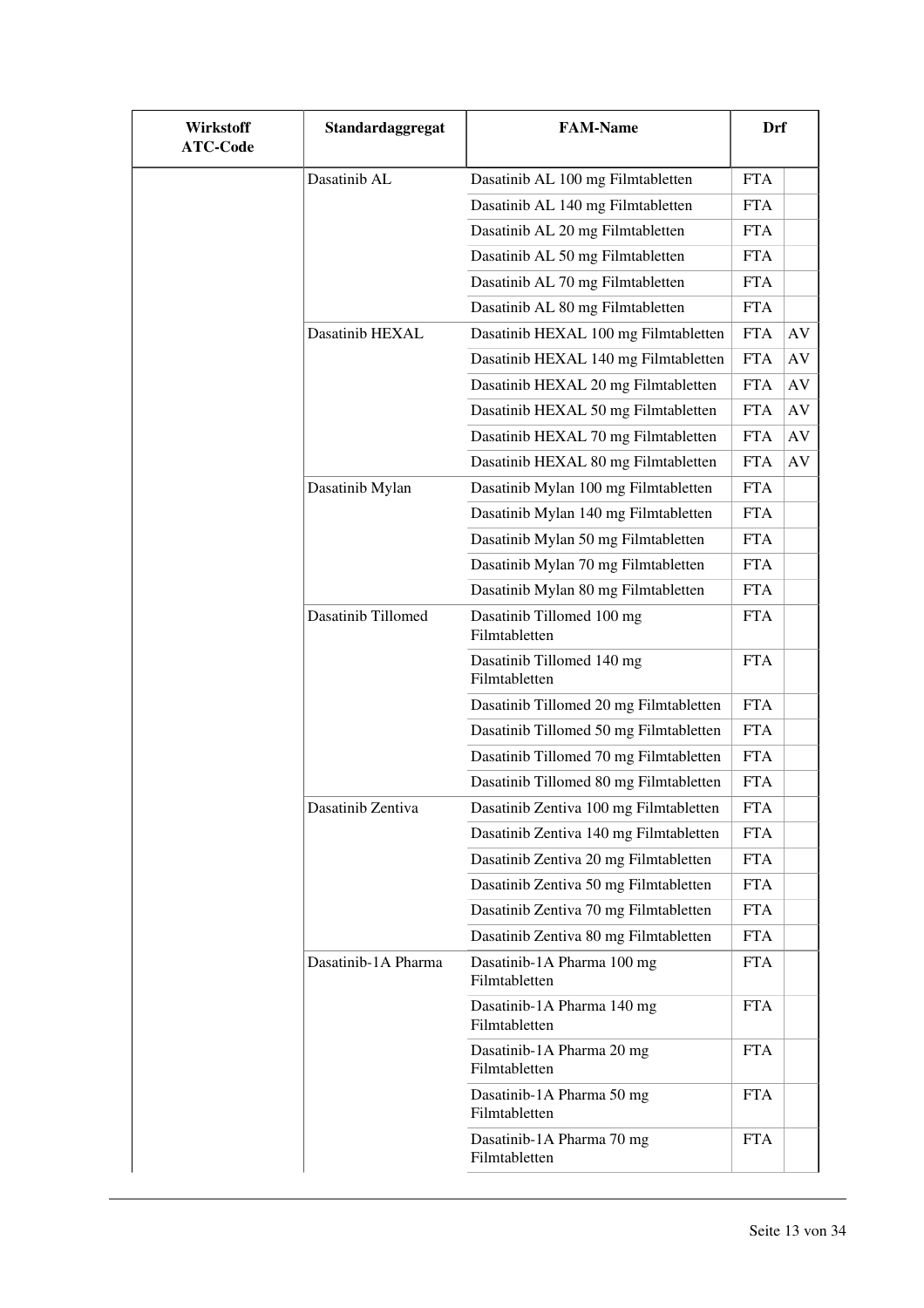| Wirkstoff<br><b>ATC-Code</b> | Standardaggregat    | <b>FAM-Name</b>                             | Drf        |    |
|------------------------------|---------------------|---------------------------------------------|------------|----|
|                              | Dasatinib AL        | Dasatinib AL 100 mg Filmtabletten           | <b>FTA</b> |    |
|                              |                     | Dasatinib AL 140 mg Filmtabletten           | <b>FTA</b> |    |
|                              |                     | Dasatinib AL 20 mg Filmtabletten            | <b>FTA</b> |    |
|                              |                     | Dasatinib AL 50 mg Filmtabletten            | <b>FTA</b> |    |
|                              |                     | Dasatinib AL 70 mg Filmtabletten            | <b>FTA</b> |    |
|                              |                     | Dasatinib AL 80 mg Filmtabletten            | <b>FTA</b> |    |
|                              | Dasatinib HEXAL     | Dasatinib HEXAL 100 mg Filmtabletten        | <b>FTA</b> | AV |
|                              |                     | Dasatinib HEXAL 140 mg Filmtabletten        | <b>FTA</b> | AV |
|                              |                     | Dasatinib HEXAL 20 mg Filmtabletten         | <b>FTA</b> | AV |
|                              |                     | Dasatinib HEXAL 50 mg Filmtabletten         | <b>FTA</b> | AV |
|                              |                     | Dasatinib HEXAL 70 mg Filmtabletten         | <b>FTA</b> | AV |
|                              |                     | Dasatinib HEXAL 80 mg Filmtabletten         | <b>FTA</b> | AV |
|                              | Dasatinib Mylan     | Dasatinib Mylan 100 mg Filmtabletten        | <b>FTA</b> |    |
|                              |                     | Dasatinib Mylan 140 mg Filmtabletten        | <b>FTA</b> |    |
|                              |                     | Dasatinib Mylan 50 mg Filmtabletten         | <b>FTA</b> |    |
|                              |                     | Dasatinib Mylan 70 mg Filmtabletten         | <b>FTA</b> |    |
|                              |                     | Dasatinib Mylan 80 mg Filmtabletten         | <b>FTA</b> |    |
|                              | Dasatinib Tillomed  | Dasatinib Tillomed 100 mg<br>Filmtabletten  | <b>FTA</b> |    |
|                              |                     | Dasatinib Tillomed 140 mg<br>Filmtabletten  | <b>FTA</b> |    |
|                              |                     | Dasatinib Tillomed 20 mg Filmtabletten      | <b>FTA</b> |    |
|                              |                     | Dasatinib Tillomed 50 mg Filmtabletten      | <b>FTA</b> |    |
|                              |                     | Dasatinib Tillomed 70 mg Filmtabletten      | <b>FTA</b> |    |
|                              |                     | Dasatinib Tillomed 80 mg Filmtabletten      | <b>FTA</b> |    |
|                              | Dasatinib Zentiva   | Dasatinib Zentiva 100 mg Filmtabletten      | <b>FTA</b> |    |
|                              |                     | Dasatinib Zentiva 140 mg Filmtabletten      | <b>FTA</b> |    |
|                              |                     | Dasatinib Zentiva 20 mg Filmtabletten       | <b>FTA</b> |    |
|                              |                     | Dasatinib Zentiva 50 mg Filmtabletten       | <b>FTA</b> |    |
|                              |                     | Dasatinib Zentiva 70 mg Filmtabletten       | <b>FTA</b> |    |
|                              |                     | Dasatinib Zentiva 80 mg Filmtabletten       | <b>FTA</b> |    |
|                              | Dasatinib-1A Pharma | Dasatinib-1A Pharma 100 mg<br>Filmtabletten | <b>FTA</b> |    |
|                              |                     | Dasatinib-1A Pharma 140 mg<br>Filmtabletten | <b>FTA</b> |    |
|                              |                     | Dasatinib-1A Pharma 20 mg<br>Filmtabletten  | <b>FTA</b> |    |
|                              |                     | Dasatinib-1A Pharma 50 mg<br>Filmtabletten  | <b>FTA</b> |    |
|                              |                     | Dasatinib-1A Pharma 70 mg<br>Filmtabletten  | <b>FTA</b> |    |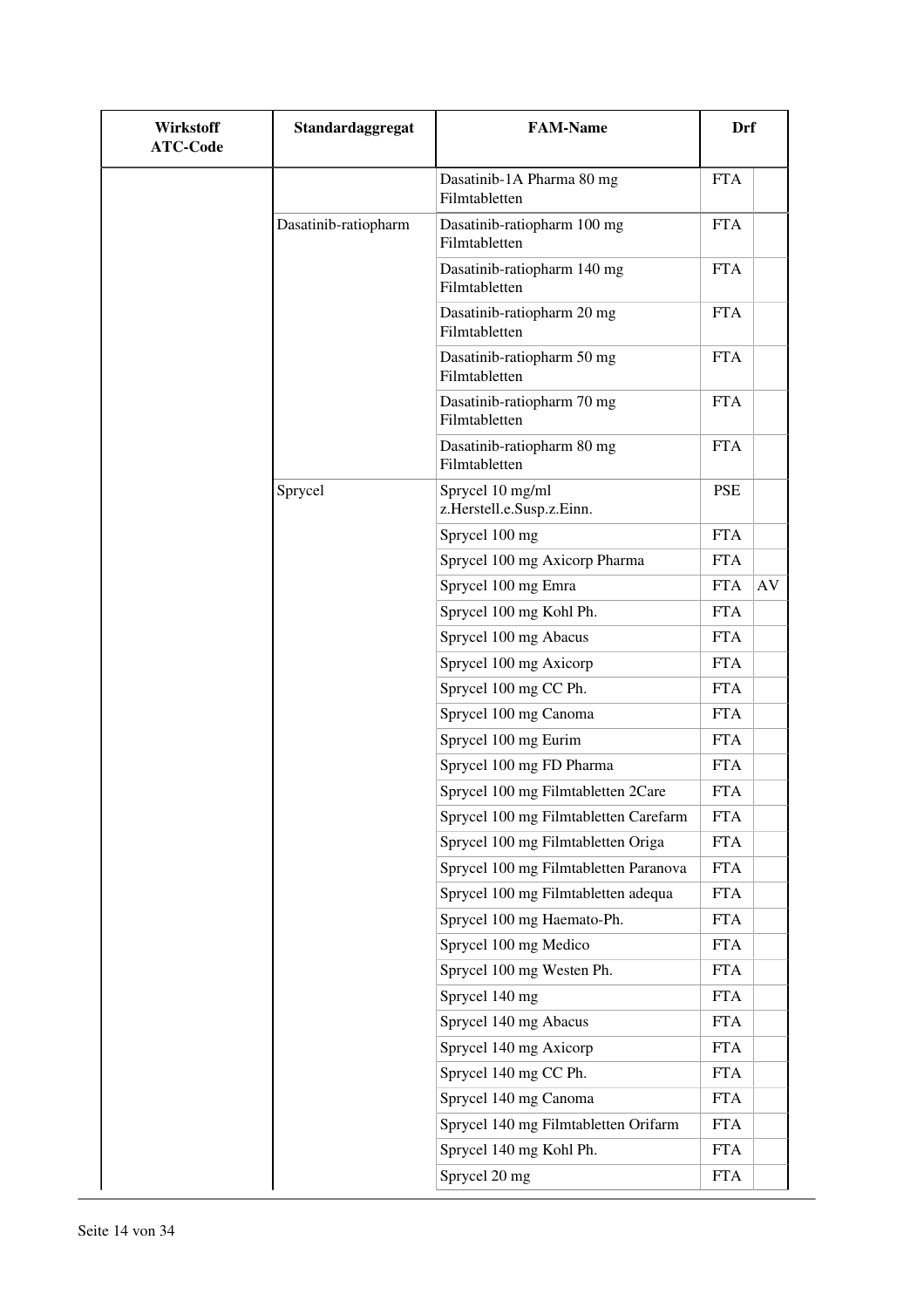| Wirkstoff<br><b>ATC-Code</b> | Standardaggregat     | <b>FAM-Name</b>                               | Drf        |    |
|------------------------------|----------------------|-----------------------------------------------|------------|----|
|                              |                      | Dasatinib-1A Pharma 80 mg<br>Filmtabletten    | <b>FTA</b> |    |
|                              | Dasatinib-ratiopharm | Dasatinib-ratiopharm 100 mg<br>Filmtabletten  | <b>FTA</b> |    |
|                              |                      | Dasatinib-ratiopharm 140 mg<br>Filmtabletten  | <b>FTA</b> |    |
|                              |                      | Dasatinib-ratiopharm 20 mg<br>Filmtabletten   | <b>FTA</b> |    |
|                              |                      | Dasatinib-ratiopharm 50 mg<br>Filmtabletten   | <b>FTA</b> |    |
|                              |                      | Dasatinib-ratiopharm 70 mg<br>Filmtabletten   | <b>FTA</b> |    |
|                              |                      | Dasatinib-ratiopharm 80 mg<br>Filmtabletten   | <b>FTA</b> |    |
|                              | Sprycel              | Sprycel 10 mg/ml<br>z.Herstell.e.Susp.z.Einn. | <b>PSE</b> |    |
|                              |                      | Sprycel 100 mg                                | <b>FTA</b> |    |
|                              |                      | Sprycel 100 mg Axicorp Pharma                 | <b>FTA</b> |    |
|                              |                      | Sprycel 100 mg Emra                           | <b>FTA</b> | AV |
|                              |                      | Sprycel 100 mg Kohl Ph.                       | <b>FTA</b> |    |
|                              |                      | Sprycel 100 mg Abacus                         | <b>FTA</b> |    |
|                              |                      | Sprycel 100 mg Axicorp                        | <b>FTA</b> |    |
|                              |                      | Sprycel 100 mg CC Ph.                         | <b>FTA</b> |    |
|                              |                      | Sprycel 100 mg Canoma                         | <b>FTA</b> |    |
|                              |                      | Sprycel 100 mg Eurim                          | <b>FTA</b> |    |
|                              |                      | Sprycel 100 mg FD Pharma                      | <b>FTA</b> |    |
|                              |                      | Sprycel 100 mg Filmtabletten 2Care            | <b>FTA</b> |    |
|                              |                      | Sprycel 100 mg Filmtabletten Carefarm         | <b>FTA</b> |    |
|                              |                      | Sprycel 100 mg Filmtabletten Origa            | <b>FTA</b> |    |
|                              |                      | Sprycel 100 mg Filmtabletten Paranova         | <b>FTA</b> |    |
|                              |                      | Sprycel 100 mg Filmtabletten adequa           | <b>FTA</b> |    |
|                              |                      | Sprycel 100 mg Haemato-Ph.                    | <b>FTA</b> |    |
|                              |                      | Sprycel 100 mg Medico                         | <b>FTA</b> |    |
|                              |                      | Sprycel 100 mg Westen Ph.                     | <b>FTA</b> |    |
|                              |                      | Sprycel 140 mg                                | <b>FTA</b> |    |
|                              |                      | Sprycel 140 mg Abacus                         | <b>FTA</b> |    |
|                              |                      | Sprycel 140 mg Axicorp                        | <b>FTA</b> |    |
|                              |                      | Sprycel 140 mg CC Ph.                         | <b>FTA</b> |    |
|                              |                      | Sprycel 140 mg Canoma                         | <b>FTA</b> |    |
|                              |                      | Sprycel 140 mg Filmtabletten Orifarm          | <b>FTA</b> |    |
|                              |                      | Sprycel 140 mg Kohl Ph.                       | <b>FTA</b> |    |
|                              |                      | Sprycel 20 mg                                 | <b>FTA</b> |    |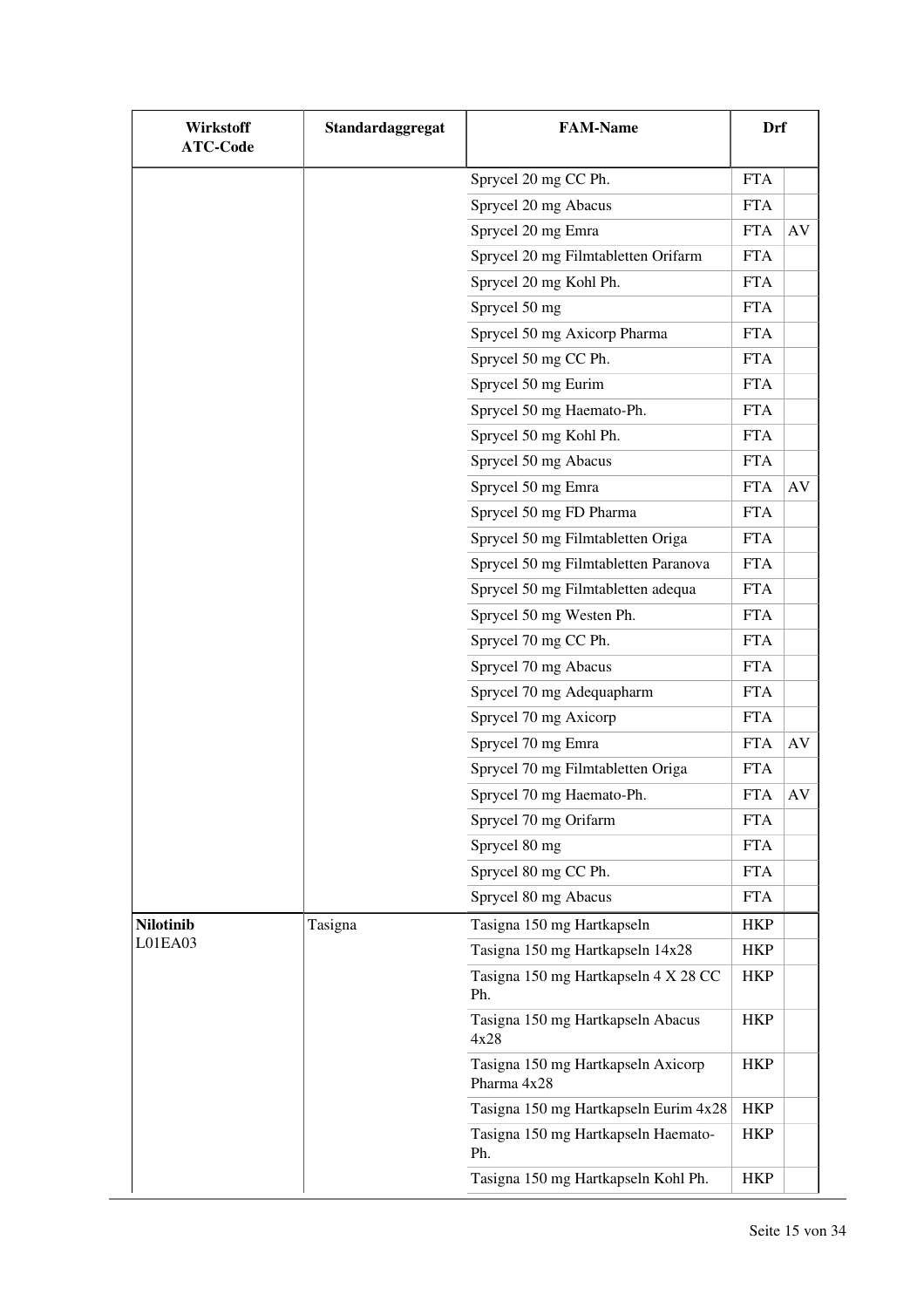| <b>Wirkstoff</b><br><b>ATC-Code</b> | Standardaggregat | <b>FAM-Name</b>                                   | Drf        |           |
|-------------------------------------|------------------|---------------------------------------------------|------------|-----------|
|                                     |                  | Sprycel 20 mg CC Ph.                              | <b>FTA</b> |           |
|                                     |                  | Sprycel 20 mg Abacus                              | <b>FTA</b> |           |
|                                     |                  | Sprycel 20 mg Emra                                | <b>FTA</b> | AV        |
|                                     |                  | Sprycel 20 mg Filmtabletten Orifarm               | <b>FTA</b> |           |
|                                     |                  | Sprycel 20 mg Kohl Ph.                            | <b>FTA</b> |           |
|                                     |                  | Sprycel 50 mg                                     | <b>FTA</b> |           |
|                                     |                  | Sprycel 50 mg Axicorp Pharma                      | <b>FTA</b> |           |
|                                     |                  | Sprycel 50 mg CC Ph.                              | <b>FTA</b> |           |
|                                     |                  | Sprycel 50 mg Eurim                               | <b>FTA</b> |           |
|                                     |                  | Sprycel 50 mg Haemato-Ph.                         | <b>FTA</b> |           |
|                                     |                  | Sprycel 50 mg Kohl Ph.                            | <b>FTA</b> |           |
|                                     |                  | Sprycel 50 mg Abacus                              | <b>FTA</b> |           |
|                                     |                  | Sprycel 50 mg Emra                                | <b>FTA</b> | AV        |
|                                     |                  | Sprycel 50 mg FD Pharma                           | <b>FTA</b> |           |
|                                     |                  | Sprycel 50 mg Filmtabletten Origa                 | <b>FTA</b> |           |
|                                     |                  | Sprycel 50 mg Filmtabletten Paranova              | <b>FTA</b> |           |
|                                     |                  | Sprycel 50 mg Filmtabletten adequa                | <b>FTA</b> |           |
|                                     |                  | Sprycel 50 mg Westen Ph.                          | <b>FTA</b> |           |
|                                     |                  | Sprycel 70 mg CC Ph.                              | <b>FTA</b> |           |
|                                     |                  | Sprycel 70 mg Abacus                              | <b>FTA</b> |           |
|                                     |                  | Sprycel 70 mg Adequapharm                         | <b>FTA</b> |           |
|                                     |                  | Sprycel 70 mg Axicorp                             | <b>FTA</b> |           |
|                                     |                  | Sprycel 70 mg Emra                                | <b>FTA</b> | AV        |
|                                     |                  | Sprycel 70 mg Filmtabletten Origa                 | <b>FTA</b> |           |
|                                     |                  | Sprycel 70 mg Haemato-Ph.                         | <b>FTA</b> | $\rm{AV}$ |
|                                     |                  | Sprycel 70 mg Orifarm                             | <b>FTA</b> |           |
|                                     |                  | Sprycel 80 mg                                     | <b>FTA</b> |           |
|                                     |                  | Sprycel 80 mg CC Ph.                              | <b>FTA</b> |           |
|                                     |                  | Sprycel 80 mg Abacus                              | <b>FTA</b> |           |
| <b>Nilotinib</b>                    | Tasigna          | Tasigna 150 mg Hartkapseln                        | <b>HKP</b> |           |
| L01EA03                             |                  | Tasigna 150 mg Hartkapseln 14x28                  | HKP        |           |
|                                     |                  | Tasigna 150 mg Hartkapseln 4 X 28 CC<br>Ph.       | <b>HKP</b> |           |
|                                     |                  | Tasigna 150 mg Hartkapseln Abacus<br>4x28         | <b>HKP</b> |           |
|                                     |                  | Tasigna 150 mg Hartkapseln Axicorp<br>Pharma 4x28 | <b>HKP</b> |           |
|                                     |                  | Tasigna 150 mg Hartkapseln Eurim 4x28             | <b>HKP</b> |           |
|                                     |                  | Tasigna 150 mg Hartkapseln Haemato-<br>Ph.        | <b>HKP</b> |           |
|                                     |                  | Tasigna 150 mg Hartkapseln Kohl Ph.               | <b>HKP</b> |           |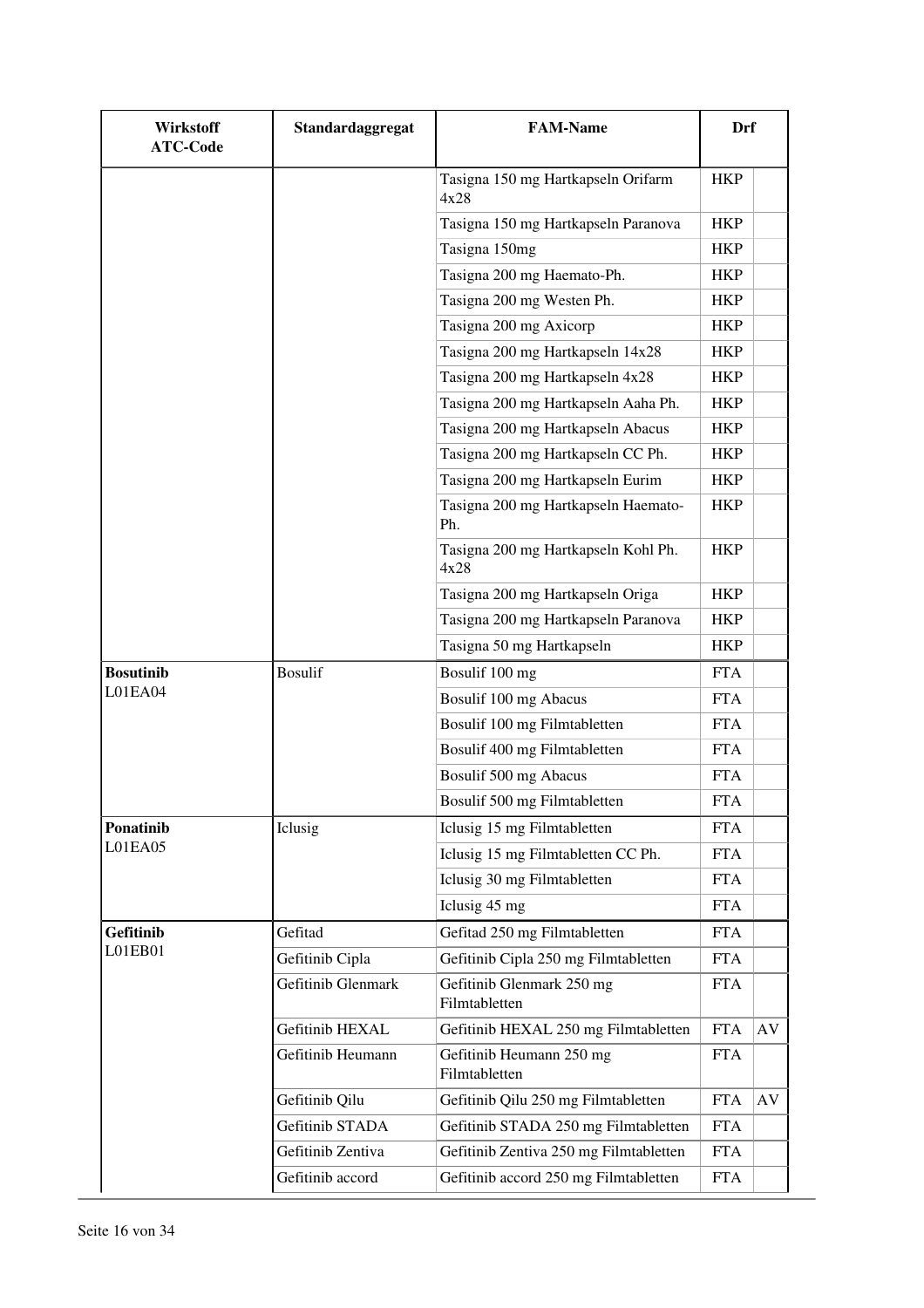| Wirkstoff<br><b>ATC-Code</b> | Standardaggregat   | <b>FAM-Name</b>                             | <b>Drf</b> |    |
|------------------------------|--------------------|---------------------------------------------|------------|----|
|                              |                    | Tasigna 150 mg Hartkapseln Orifarm<br>4x28  | <b>HKP</b> |    |
|                              |                    | Tasigna 150 mg Hartkapseln Paranova         | <b>HKP</b> |    |
|                              |                    | Tasigna 150mg                               | <b>HKP</b> |    |
|                              |                    | Tasigna 200 mg Haemato-Ph.                  | <b>HKP</b> |    |
|                              |                    | Tasigna 200 mg Westen Ph.                   | <b>HKP</b> |    |
|                              |                    | Tasigna 200 mg Axicorp                      | <b>HKP</b> |    |
|                              |                    | Tasigna 200 mg Hartkapseln 14x28            | <b>HKP</b> |    |
|                              |                    | Tasigna 200 mg Hartkapseln 4x28             | <b>HKP</b> |    |
|                              |                    | Tasigna 200 mg Hartkapseln Aaha Ph.         | <b>HKP</b> |    |
|                              |                    | Tasigna 200 mg Hartkapseln Abacus           | <b>HKP</b> |    |
|                              |                    | Tasigna 200 mg Hartkapseln CC Ph.           | <b>HKP</b> |    |
|                              |                    | Tasigna 200 mg Hartkapseln Eurim            | <b>HKP</b> |    |
|                              |                    | Tasigna 200 mg Hartkapseln Haemato-<br>Ph.  | <b>HKP</b> |    |
|                              |                    | Tasigna 200 mg Hartkapseln Kohl Ph.<br>4x28 | <b>HKP</b> |    |
|                              |                    | Tasigna 200 mg Hartkapseln Origa            | <b>HKP</b> |    |
|                              |                    | Tasigna 200 mg Hartkapseln Paranova         | <b>HKP</b> |    |
|                              |                    | Tasigna 50 mg Hartkapseln                   | <b>HKP</b> |    |
| <b>Bosutinib</b>             | <b>Bosulif</b>     | Bosulif 100 mg                              | <b>FTA</b> |    |
| L01EA04                      |                    | Bosulif 100 mg Abacus                       | <b>FTA</b> |    |
|                              |                    | Bosulif 100 mg Filmtabletten                | <b>FTA</b> |    |
|                              |                    | Bosulif 400 mg Filmtabletten                | <b>FTA</b> |    |
|                              |                    | Bosulif 500 mg Abacus                       | <b>FTA</b> |    |
|                              |                    | Bosulif 500 mg Filmtabletten                | FTA        |    |
| Ponatinib                    | Iclusig            | Iclusig 15 mg Filmtabletten                 | <b>FTA</b> |    |
| L01EA05                      |                    | Iclusig 15 mg Filmtabletten CC Ph.          | <b>FTA</b> |    |
|                              |                    | Iclusig 30 mg Filmtabletten                 | <b>FTA</b> |    |
|                              |                    | Iclusig 45 mg                               | <b>FTA</b> |    |
| Gefitinib                    | Gefitad            | Gefitad 250 mg Filmtabletten                | <b>FTA</b> |    |
| L01EB01                      | Gefitinib Cipla    | Gefitinib Cipla 250 mg Filmtabletten        | <b>FTA</b> |    |
|                              | Gefitinib Glenmark | Gefitinib Glenmark 250 mg<br>Filmtabletten  | <b>FTA</b> |    |
|                              | Gefitinib HEXAL    | Gefitinib HEXAL 250 mg Filmtabletten        | <b>FTA</b> | AV |
|                              | Gefitinib Heumann  | Gefitinib Heumann 250 mg<br>Filmtabletten   | <b>FTA</b> |    |
|                              | Gefitinib Qilu     | Gefitinib Qilu 250 mg Filmtabletten         | <b>FTA</b> | AV |
|                              | Gefitinib STADA    | Gefitinib STADA 250 mg Filmtabletten        | <b>FTA</b> |    |
|                              | Gefitinib Zentiva  | Gefitinib Zentiva 250 mg Filmtabletten      | <b>FTA</b> |    |
|                              | Gefitinib accord   | Gefitinib accord 250 mg Filmtabletten       | <b>FTA</b> |    |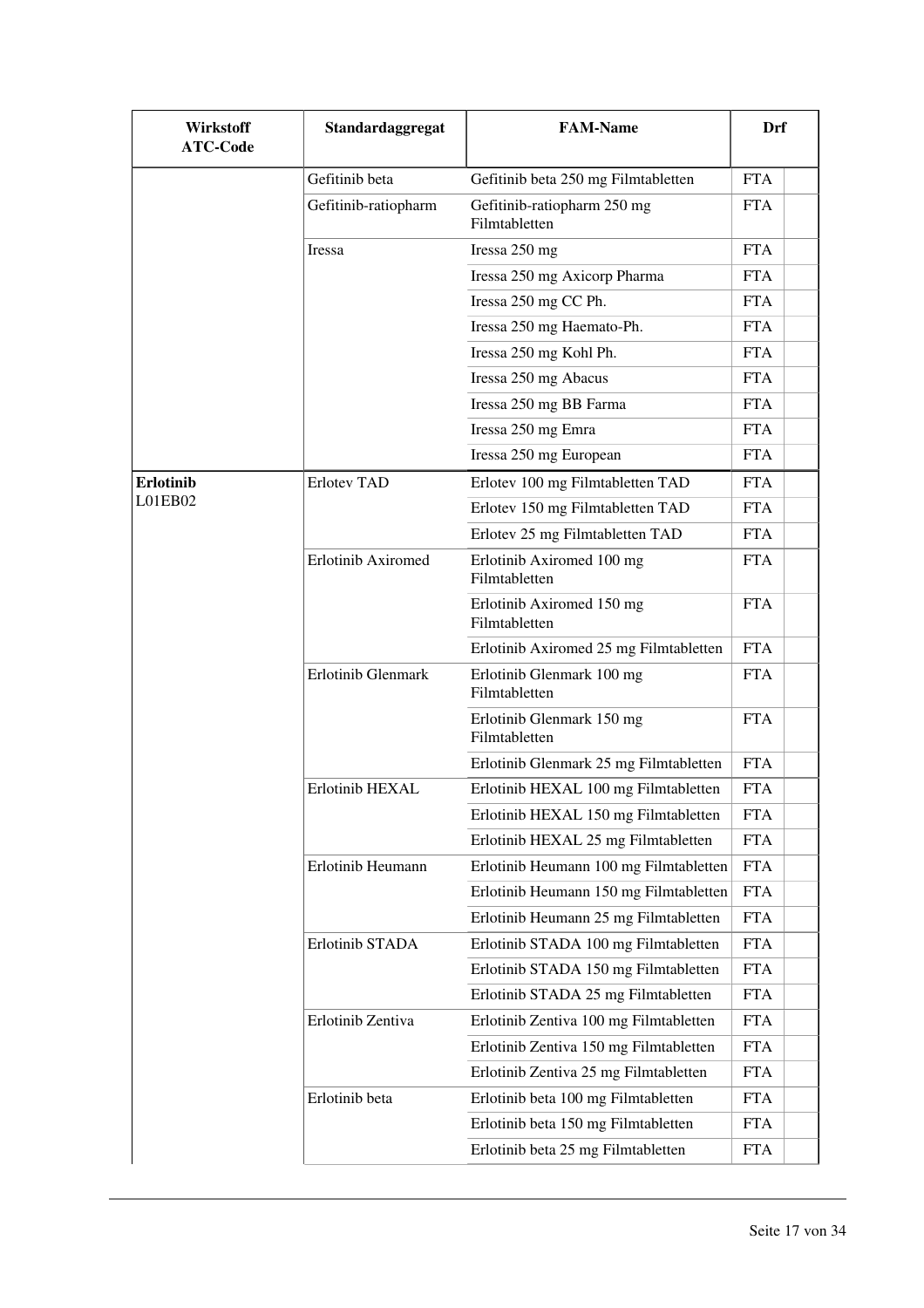| Wirkstoff<br><b>ATC-Code</b> | Standardaggregat          | <b>FAM-Name</b>                              | Drf        |
|------------------------------|---------------------------|----------------------------------------------|------------|
|                              | Gefitinib beta            | Gefitinib beta 250 mg Filmtabletten          | <b>FTA</b> |
|                              | Gefitinib-ratiopharm      | Gefitinib-ratiopharm 250 mg<br>Filmtabletten | <b>FTA</b> |
|                              | Iressa                    | Iressa 250 mg                                | <b>FTA</b> |
|                              |                           | Iressa 250 mg Axicorp Pharma                 | <b>FTA</b> |
|                              |                           | Iressa 250 mg CC Ph.                         | <b>FTA</b> |
|                              |                           | Iressa 250 mg Haemato-Ph.                    | <b>FTA</b> |
|                              |                           | Iressa 250 mg Kohl Ph.                       | <b>FTA</b> |
|                              |                           | Iressa 250 mg Abacus                         | <b>FTA</b> |
|                              |                           | Iressa 250 mg BB Farma                       | <b>FTA</b> |
|                              |                           | Iressa 250 mg Emra                           | <b>FTA</b> |
|                              |                           | Iressa 250 mg European                       | <b>FTA</b> |
| <b>Erlotinib</b>             | <b>Erlotev TAD</b>        | Erlotev 100 mg Filmtabletten TAD             | <b>FTA</b> |
| LO1EB02                      |                           | Erlotev 150 mg Filmtabletten TAD             | <b>FTA</b> |
|                              |                           | Erlotev 25 mg Filmtabletten TAD              | <b>FTA</b> |
|                              | <b>Erlotinib Axiromed</b> | Erlotinib Axiromed 100 mg<br>Filmtabletten   | <b>FTA</b> |
|                              |                           | Erlotinib Axiromed 150 mg<br>Filmtabletten   | <b>FTA</b> |
|                              |                           | Erlotinib Axiromed 25 mg Filmtabletten       | <b>FTA</b> |
|                              | Erlotinib Glenmark        | Erlotinib Glenmark 100 mg<br>Filmtabletten   | <b>FTA</b> |
|                              |                           | Erlotinib Glenmark 150 mg<br>Filmtabletten   | <b>FTA</b> |
|                              |                           | Erlotinib Glenmark 25 mg Filmtabletten       | <b>FTA</b> |
|                              | Erlotinib HEXAL           | Erlotinib HEXAL 100 mg Filmtabletten         | <b>FTA</b> |
|                              |                           | Erlotinib HEXAL 150 mg Filmtabletten         | <b>FTA</b> |
|                              |                           | Erlotinib HEXAL 25 mg Filmtabletten          | <b>FTA</b> |
|                              | Erlotinib Heumann         | Erlotinib Heumann 100 mg Filmtabletten       | <b>FTA</b> |
|                              |                           | Erlotinib Heumann 150 mg Filmtabletten       | <b>FTA</b> |
|                              |                           | Erlotinib Heumann 25 mg Filmtabletten        | <b>FTA</b> |
|                              | Erlotinib STADA           | Erlotinib STADA 100 mg Filmtabletten         | <b>FTA</b> |
|                              |                           | Erlotinib STADA 150 mg Filmtabletten         | <b>FTA</b> |
|                              |                           | Erlotinib STADA 25 mg Filmtabletten          | <b>FTA</b> |
|                              | Erlotinib Zentiva         | Erlotinib Zentiva 100 mg Filmtabletten       | <b>FTA</b> |
|                              |                           | Erlotinib Zentiva 150 mg Filmtabletten       | <b>FTA</b> |
|                              |                           | Erlotinib Zentiva 25 mg Filmtabletten        | <b>FTA</b> |
|                              | Erlotinib beta            | Erlotinib beta 100 mg Filmtabletten          | <b>FTA</b> |
|                              |                           | Erlotinib beta 150 mg Filmtabletten          | <b>FTA</b> |
|                              |                           | Erlotinib beta 25 mg Filmtabletten           | <b>FTA</b> |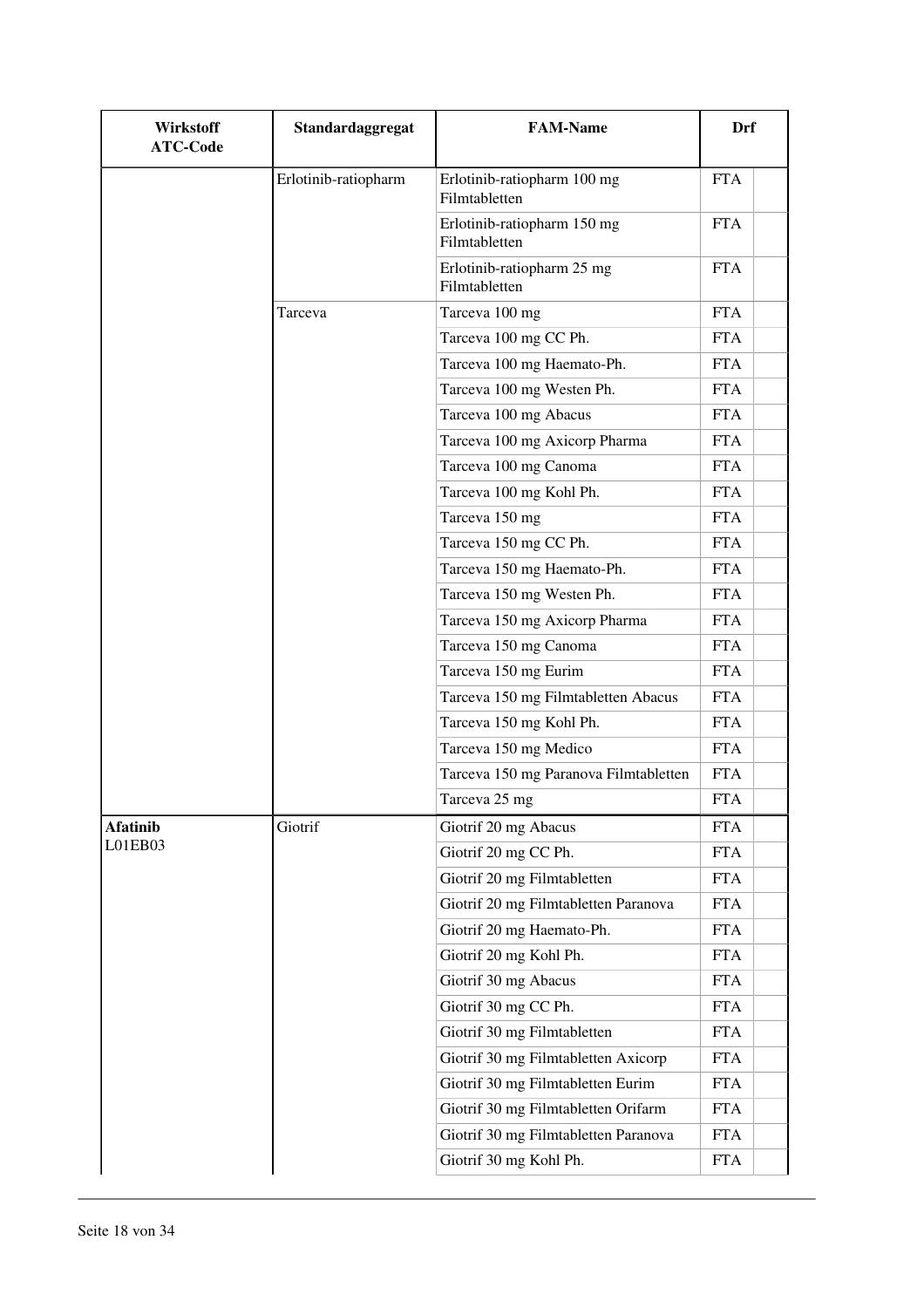| Wirkstoff<br><b>ATC-Code</b> | Standardaggregat     | <b>FAM-Name</b>                              | Drf        |
|------------------------------|----------------------|----------------------------------------------|------------|
|                              | Erlotinib-ratiopharm | Erlotinib-ratiopharm 100 mg<br>Filmtabletten | <b>FTA</b> |
|                              |                      | Erlotinib-ratiopharm 150 mg<br>Filmtabletten | <b>FTA</b> |
|                              |                      | Erlotinib-ratiopharm 25 mg<br>Filmtabletten  | <b>FTA</b> |
|                              | Tarceva              | Tarceva 100 mg                               | <b>FTA</b> |
|                              |                      | Tarceva 100 mg CC Ph.                        | <b>FTA</b> |
|                              |                      | Tarceva 100 mg Haemato-Ph.                   | <b>FTA</b> |
|                              |                      | Tarceva 100 mg Westen Ph.                    | <b>FTA</b> |
|                              |                      | Tarceva 100 mg Abacus                        | <b>FTA</b> |
|                              |                      | Tarceva 100 mg Axicorp Pharma                | <b>FTA</b> |
|                              |                      | Tarceva 100 mg Canoma                        | <b>FTA</b> |
|                              |                      | Tarceva 100 mg Kohl Ph.                      | <b>FTA</b> |
|                              |                      | Tarceva 150 mg                               | <b>FTA</b> |
|                              |                      | Tarceva 150 mg CC Ph.                        | <b>FTA</b> |
|                              |                      | Tarceva 150 mg Haemato-Ph.                   | <b>FTA</b> |
|                              |                      | Tarceva 150 mg Westen Ph.                    | <b>FTA</b> |
|                              |                      | Tarceva 150 mg Axicorp Pharma                | <b>FTA</b> |
|                              |                      | Tarceva 150 mg Canoma                        | <b>FTA</b> |
|                              |                      | Tarceva 150 mg Eurim                         | <b>FTA</b> |
|                              |                      | Tarceva 150 mg Filmtabletten Abacus          | <b>FTA</b> |
|                              |                      | Tarceva 150 mg Kohl Ph.                      | <b>FTA</b> |
|                              |                      | Tarceva 150 mg Medico                        | <b>FTA</b> |
|                              |                      | Tarceva 150 mg Paranova Filmtabletten        | <b>FTA</b> |
|                              |                      | Tarceva 25 mg                                | <b>FTA</b> |
| <b>Afatinib</b>              | Giotrif              | Giotrif 20 mg Abacus                         | <b>FTA</b> |
| L01EB03                      |                      | Giotrif 20 mg CC Ph.                         | <b>FTA</b> |
|                              |                      | Giotrif 20 mg Filmtabletten                  | <b>FTA</b> |
|                              |                      | Giotrif 20 mg Filmtabletten Paranova         | <b>FTA</b> |
|                              |                      | Giotrif 20 mg Haemato-Ph.                    | <b>FTA</b> |
|                              |                      | Giotrif 20 mg Kohl Ph.                       | <b>FTA</b> |
|                              |                      | Giotrif 30 mg Abacus                         | <b>FTA</b> |
|                              |                      | Giotrif 30 mg CC Ph.                         | <b>FTA</b> |
|                              |                      | Giotrif 30 mg Filmtabletten                  | <b>FTA</b> |
|                              |                      | Giotrif 30 mg Filmtabletten Axicorp          | <b>FTA</b> |
|                              |                      | Giotrif 30 mg Filmtabletten Eurim            | <b>FTA</b> |
|                              |                      | Giotrif 30 mg Filmtabletten Orifarm          | <b>FTA</b> |
|                              |                      | Giotrif 30 mg Filmtabletten Paranova         | <b>FTA</b> |
|                              |                      | Giotrif 30 mg Kohl Ph.                       | <b>FTA</b> |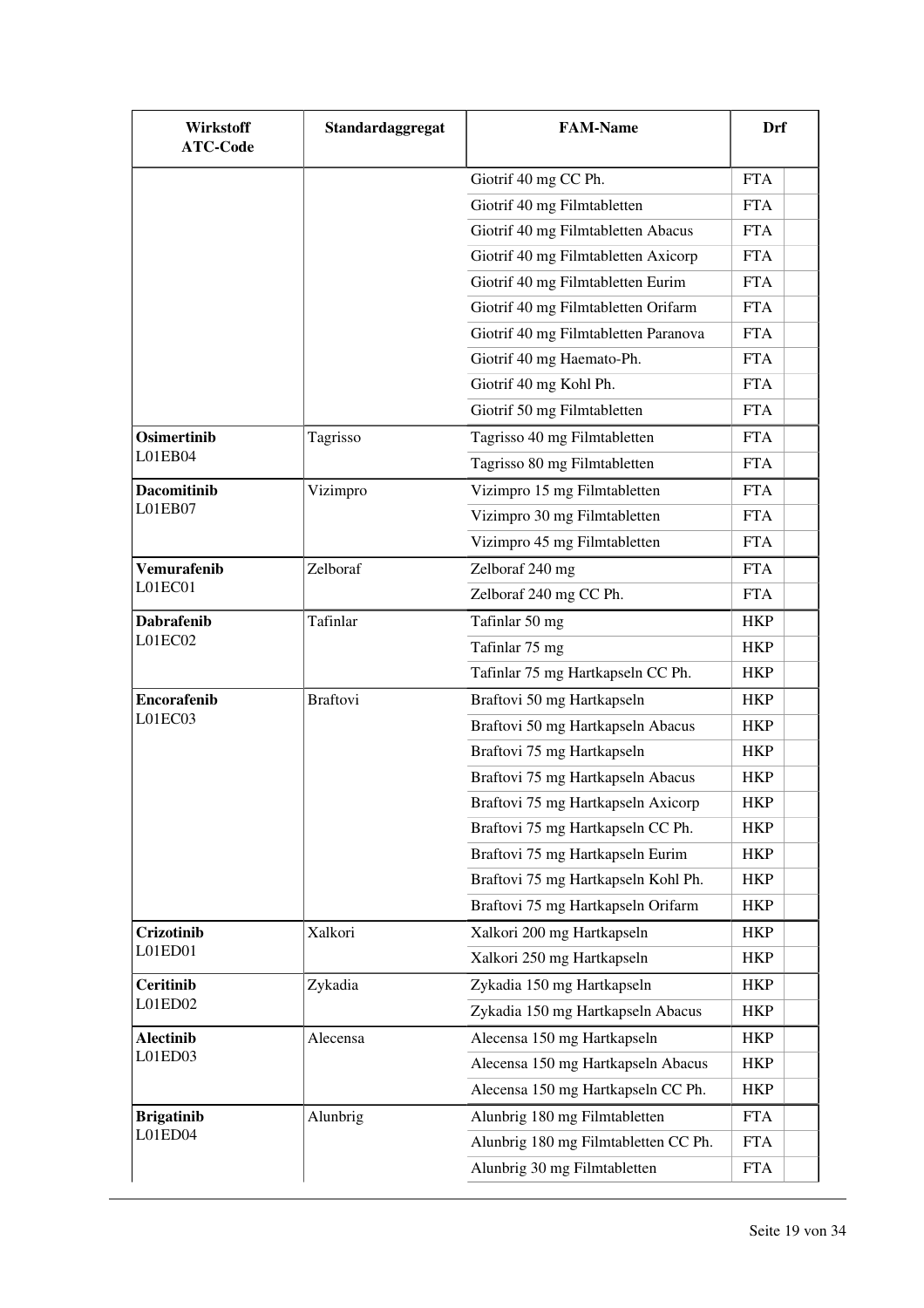| Wirkstoff<br><b>ATC-Code</b> | Standardaggregat | <b>FAM-Name</b>                      | Drf        |
|------------------------------|------------------|--------------------------------------|------------|
|                              |                  | Giotrif 40 mg CC Ph.                 | <b>FTA</b> |
|                              |                  | Giotrif 40 mg Filmtabletten          | <b>FTA</b> |
|                              |                  | Giotrif 40 mg Filmtabletten Abacus   | <b>FTA</b> |
|                              |                  | Giotrif 40 mg Filmtabletten Axicorp  | <b>FTA</b> |
|                              |                  | Giotrif 40 mg Filmtabletten Eurim    | <b>FTA</b> |
|                              |                  | Giotrif 40 mg Filmtabletten Orifarm  | <b>FTA</b> |
|                              |                  | Giotrif 40 mg Filmtabletten Paranova | <b>FTA</b> |
|                              |                  | Giotrif 40 mg Haemato-Ph.            | <b>FTA</b> |
|                              |                  | Giotrif 40 mg Kohl Ph.               | <b>FTA</b> |
|                              |                  | Giotrif 50 mg Filmtabletten          | <b>FTA</b> |
| <b>Osimertinib</b>           | Tagrisso         | Tagrisso 40 mg Filmtabletten         | <b>FTA</b> |
| L01EB04                      |                  | Tagrisso 80 mg Filmtabletten         | <b>FTA</b> |
| <b>Dacomitinib</b>           | Vizimpro         | Vizimpro 15 mg Filmtabletten         | <b>FTA</b> |
| L01EB07                      |                  | Vizimpro 30 mg Filmtabletten         | <b>FTA</b> |
|                              |                  | Vizimpro 45 mg Filmtabletten         | <b>FTA</b> |
| <b>Vemurafenib</b>           | Zelboraf         | Zelboraf 240 mg                      | <b>FTA</b> |
| L01EC01                      |                  | Zelboraf 240 mg CC Ph.               | <b>FTA</b> |
| <b>Dabrafenib</b>            | Tafinlar         | Tafinlar 50 mg                       | <b>HKP</b> |
| L01EC02                      |                  | Tafinlar 75 mg                       | <b>HKP</b> |
|                              |                  | Tafinlar 75 mg Hartkapseln CC Ph.    | <b>HKP</b> |
| <b>Encorafenib</b>           | <b>Braftovi</b>  | Braftovi 50 mg Hartkapseln           | <b>HKP</b> |
| L01EC03                      |                  | Braftovi 50 mg Hartkapseln Abacus    | <b>HKP</b> |
|                              |                  | Braftovi 75 mg Hartkapseln           | <b>HKP</b> |
|                              |                  | Braftovi 75 mg Hartkapseln Abacus    | <b>HKP</b> |
|                              |                  | Braftovi 75 mg Hartkapseln Axicorp   | <b>HKP</b> |
|                              |                  | Braftovi 75 mg Hartkapseln CC Ph.    | <b>HKP</b> |
|                              |                  | Braftovi 75 mg Hartkapseln Eurim     | <b>HKP</b> |
|                              |                  | Braftovi 75 mg Hartkapseln Kohl Ph.  | <b>HKP</b> |
|                              |                  | Braftovi 75 mg Hartkapseln Orifarm   | HKP        |
| <b>Crizotinib</b>            | Xalkori          | Xalkori 200 mg Hartkapseln           | HKP        |
| L01ED01                      |                  | Xalkori 250 mg Hartkapseln           | <b>HKP</b> |
| <b>Ceritinib</b>             | Zykadia          | Zykadia 150 mg Hartkapseln           | <b>HKP</b> |
| L01ED02                      |                  | Zykadia 150 mg Hartkapseln Abacus    | <b>HKP</b> |
| <b>Alectinib</b>             | Alecensa         | Alecensa 150 mg Hartkapseln          | <b>HKP</b> |
| L01ED03                      |                  | Alecensa 150 mg Hartkapseln Abacus   | <b>HKP</b> |
|                              |                  | Alecensa 150 mg Hartkapseln CC Ph.   | <b>HKP</b> |
| <b>Brigatinib</b>            | Alunbrig         | Alunbrig 180 mg Filmtabletten        | <b>FTA</b> |
| L01ED04                      |                  | Alunbrig 180 mg Filmtabletten CC Ph. | <b>FTA</b> |
|                              |                  | Alunbrig 30 mg Filmtabletten         | <b>FTA</b> |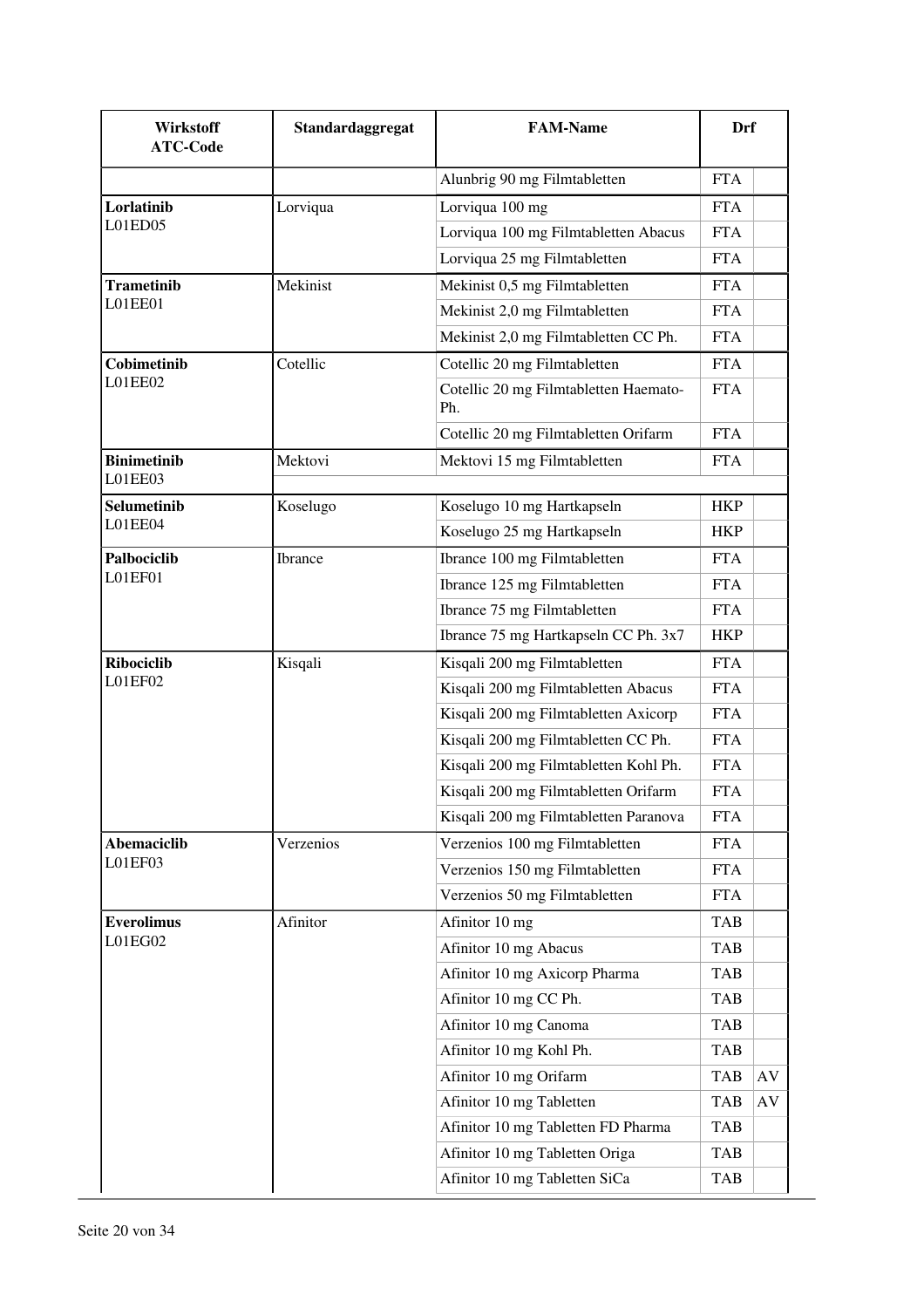| Wirkstoff<br><b>ATC-Code</b>  | Standardaggregat | <b>FAM-Name</b>                              | Drf        |    |
|-------------------------------|------------------|----------------------------------------------|------------|----|
|                               |                  | Alunbrig 90 mg Filmtabletten                 | <b>FTA</b> |    |
| Lorlatinib                    | Lorviqua         | Lorviqua 100 mg                              | <b>FTA</b> |    |
| L01ED05                       |                  | Lorviqua 100 mg Filmtabletten Abacus         | <b>FTA</b> |    |
|                               |                  | Lorviqua 25 mg Filmtabletten                 | <b>FTA</b> |    |
| <b>Trametinib</b>             | Mekinist         | Mekinist 0,5 mg Filmtabletten                | <b>FTA</b> |    |
| L01EE01                       |                  | Mekinist 2,0 mg Filmtabletten                | <b>FTA</b> |    |
|                               |                  | Mekinist 2,0 mg Filmtabletten CC Ph.         | <b>FTA</b> |    |
| Cobimetinib                   | Cotellic         | Cotellic 20 mg Filmtabletten                 | <b>FTA</b> |    |
| L01EE02                       |                  | Cotellic 20 mg Filmtabletten Haemato-<br>Ph. | <b>FTA</b> |    |
|                               |                  | Cotellic 20 mg Filmtabletten Orifarm         | <b>FTA</b> |    |
| <b>Binimetinib</b>            | Mektovi          | Mektovi 15 mg Filmtabletten                  | <b>FTA</b> |    |
| L01EE03                       |                  |                                              |            |    |
| <b>Selumetinib</b><br>L01EE04 | Koselugo         | Koselugo 10 mg Hartkapseln                   | <b>HKP</b> |    |
|                               |                  | Koselugo 25 mg Hartkapseln                   | <b>HKP</b> |    |
| Palbociclib                   | <b>Ibrance</b>   | Ibrance 100 mg Filmtabletten                 | <b>FTA</b> |    |
| L01EF01                       |                  | Ibrance 125 mg Filmtabletten                 | <b>FTA</b> |    |
|                               |                  | Ibrance 75 mg Filmtabletten                  | <b>FTA</b> |    |
|                               |                  | Ibrance 75 mg Hartkapseln CC Ph. 3x7         | <b>HKP</b> |    |
| <b>Ribociclib</b>             | Kisqali          | Kisqali 200 mg Filmtabletten                 | <b>FTA</b> |    |
| L01EF02                       |                  | Kisqali 200 mg Filmtabletten Abacus          | <b>FTA</b> |    |
|                               |                  | Kisqali 200 mg Filmtabletten Axicorp         | <b>FTA</b> |    |
|                               |                  | Kisqali 200 mg Filmtabletten CC Ph.          | <b>FTA</b> |    |
|                               |                  | Kisqali 200 mg Filmtabletten Kohl Ph.        | <b>FTA</b> |    |
|                               |                  | Kisqali 200 mg Filmtabletten Orifarm         | <b>FTA</b> |    |
|                               |                  | Kisqali 200 mg Filmtabletten Paranova        | <b>FTA</b> |    |
| <b>Abemaciclib</b>            | Verzenios        | Verzenios 100 mg Filmtabletten               | <b>FTA</b> |    |
| L01EF03                       |                  | Verzenios 150 mg Filmtabletten               | <b>FTA</b> |    |
|                               |                  | Verzenios 50 mg Filmtabletten                | <b>FTA</b> |    |
| <b>Everolimus</b>             | Afinitor         | Afinitor 10 mg                               | TAB        |    |
| L01EG02                       |                  | Afinitor 10 mg Abacus                        | <b>TAB</b> |    |
|                               |                  | Afinitor 10 mg Axicorp Pharma                | TAB        |    |
|                               |                  | Afinitor 10 mg CC Ph.                        | <b>TAB</b> |    |
|                               |                  | Afinitor 10 mg Canoma                        | <b>TAB</b> |    |
|                               |                  | Afinitor 10 mg Kohl Ph.                      | <b>TAB</b> |    |
|                               |                  | Afinitor 10 mg Orifarm                       | <b>TAB</b> | AV |
|                               |                  | Afinitor 10 mg Tabletten                     | <b>TAB</b> | AV |
|                               |                  | Afinitor 10 mg Tabletten FD Pharma           | <b>TAB</b> |    |
|                               |                  | Afinitor 10 mg Tabletten Origa               | <b>TAB</b> |    |
|                               |                  | Afinitor 10 mg Tabletten SiCa                | <b>TAB</b> |    |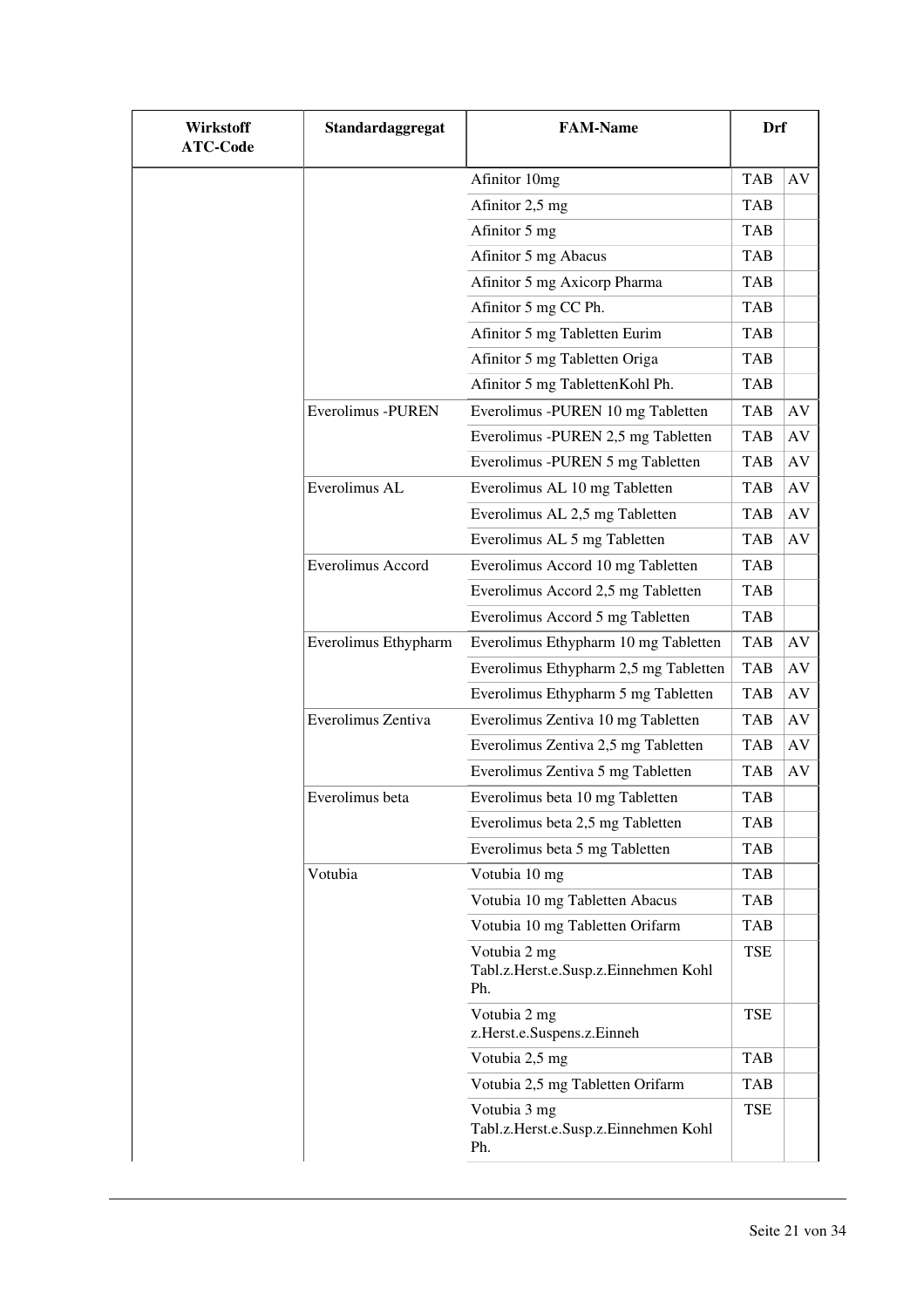| Wirkstoff<br><b>ATC-Code</b> | Standardaggregat     | <b>FAM-Name</b>                                             | <b>Drf</b> |           |
|------------------------------|----------------------|-------------------------------------------------------------|------------|-----------|
|                              |                      | Afinitor 10mg                                               | <b>TAB</b> | AV        |
|                              |                      | Afinitor 2,5 mg                                             | <b>TAB</b> |           |
|                              |                      | Afinitor 5 mg                                               | <b>TAB</b> |           |
|                              |                      | Afinitor 5 mg Abacus                                        | <b>TAB</b> |           |
|                              |                      | Afinitor 5 mg Axicorp Pharma                                | <b>TAB</b> |           |
|                              |                      | Afinitor 5 mg CC Ph.                                        | <b>TAB</b> |           |
|                              |                      | Afinitor 5 mg Tabletten Eurim                               | <b>TAB</b> |           |
|                              |                      | Afinitor 5 mg Tabletten Origa                               | <b>TAB</b> |           |
|                              |                      | Afinitor 5 mg TablettenKohl Ph.                             | <b>TAB</b> |           |
|                              | Everolimus -PUREN    | Everolimus -PUREN 10 mg Tabletten                           | <b>TAB</b> | AV        |
|                              |                      | Everolimus -PUREN 2,5 mg Tabletten                          | <b>TAB</b> | AV        |
|                              |                      | Everolimus -PUREN 5 mg Tabletten                            | <b>TAB</b> | AV        |
|                              | Everolimus AL        | Everolimus AL 10 mg Tabletten                               | <b>TAB</b> | AV        |
|                              |                      | Everolimus AL 2,5 mg Tabletten                              | <b>TAB</b> | $\rm{AV}$ |
|                              |                      | Everolimus AL 5 mg Tabletten                                | <b>TAB</b> | AV        |
|                              | Everolimus Accord    | Everolimus Accord 10 mg Tabletten                           | <b>TAB</b> |           |
|                              |                      | Everolimus Accord 2,5 mg Tabletten                          | <b>TAB</b> |           |
|                              |                      | Everolimus Accord 5 mg Tabletten                            | <b>TAB</b> |           |
|                              | Everolimus Ethypharm | Everolimus Ethypharm 10 mg Tabletten                        | <b>TAB</b> | AV        |
|                              |                      | Everolimus Ethypharm 2,5 mg Tabletten                       | <b>TAB</b> | AV        |
|                              |                      | Everolimus Ethypharm 5 mg Tabletten                         | <b>TAB</b> | AV        |
|                              | Everolimus Zentiva   | Everolimus Zentiva 10 mg Tabletten                          | <b>TAB</b> | AV        |
|                              |                      | Everolimus Zentiva 2,5 mg Tabletten                         | <b>TAB</b> | $\rm{AV}$ |
|                              |                      | Everolimus Zentiva 5 mg Tabletten                           | <b>TAB</b> | AV        |
|                              | Everolimus beta      | Everolimus beta 10 mg Tabletten                             | <b>TAB</b> |           |
|                              |                      | Everolimus beta 2,5 mg Tabletten                            | <b>TAB</b> |           |
|                              |                      | Everolimus beta 5 mg Tabletten                              | <b>TAB</b> |           |
|                              | Votubia              | Votubia 10 mg                                               | TAB        |           |
|                              |                      | Votubia 10 mg Tabletten Abacus                              | <b>TAB</b> |           |
|                              |                      | Votubia 10 mg Tabletten Orifarm                             | TAB        |           |
|                              |                      | Votubia 2 mg<br>Tabl.z.Herst.e.Susp.z.Einnehmen Kohl<br>Ph. | TSE        |           |
|                              |                      | Votubia 2 mg<br>z.Herst.e.Suspens.z.Einneh                  | <b>TSE</b> |           |
|                              |                      | Votubia 2,5 mg                                              | TAB        |           |
|                              |                      | Votubia 2,5 mg Tabletten Orifarm                            | <b>TAB</b> |           |
|                              |                      | Votubia 3 mg<br>Tabl.z.Herst.e.Susp.z.Einnehmen Kohl<br>Ph. | TSE        |           |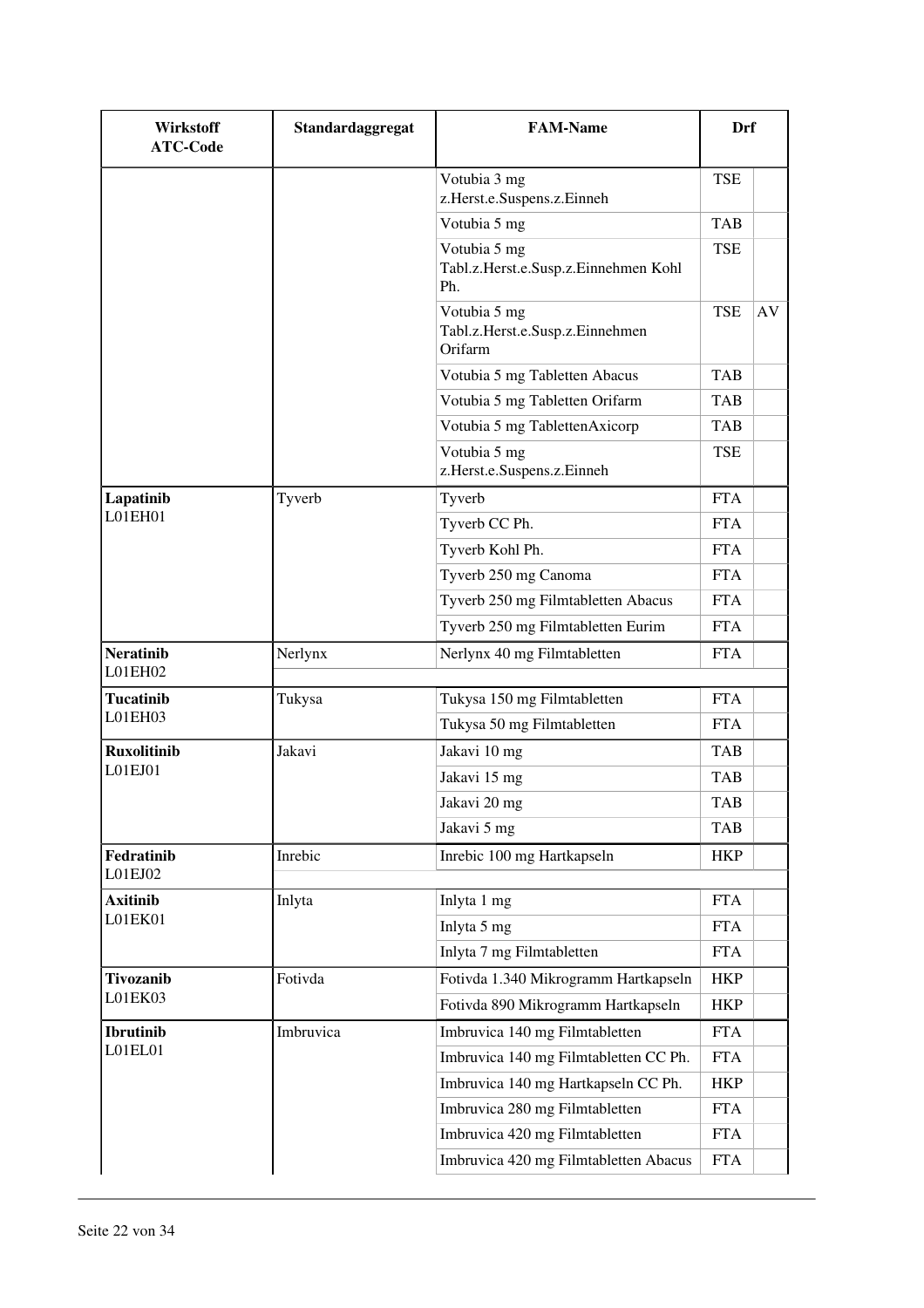| <b>Wirkstoff</b><br><b>ATC-Code</b> | Standardaggregat | <b>FAM-Name</b>                                             | Drf        |    |
|-------------------------------------|------------------|-------------------------------------------------------------|------------|----|
|                                     |                  | Votubia 3 mg<br>z.Herst.e.Suspens.z.Einneh                  | <b>TSE</b> |    |
|                                     |                  | Votubia 5 mg                                                | <b>TAB</b> |    |
|                                     |                  | Votubia 5 mg<br>Tabl.z.Herst.e.Susp.z.Einnehmen Kohl<br>Ph. | TSE        |    |
|                                     |                  | Votubia 5 mg<br>Tabl.z.Herst.e.Susp.z.Einnehmen<br>Orifarm  | <b>TSE</b> | AV |
|                                     |                  | Votubia 5 mg Tabletten Abacus                               | <b>TAB</b> |    |
|                                     |                  | Votubia 5 mg Tabletten Orifarm                              | <b>TAB</b> |    |
|                                     |                  | Votubia 5 mg TablettenAxicorp                               | <b>TAB</b> |    |
|                                     |                  | Votubia 5 mg<br>z.Herst.e.Suspens.z.Einneh                  | TSE        |    |
| Lapatinib                           | Tyverb           | Tyverb                                                      | <b>FTA</b> |    |
| L01EH01                             |                  | Tyverb CC Ph.                                               | <b>FTA</b> |    |
|                                     |                  | Tyverb Kohl Ph.                                             | <b>FTA</b> |    |
|                                     |                  | Tyverb 250 mg Canoma                                        | <b>FTA</b> |    |
|                                     |                  | Tyverb 250 mg Filmtabletten Abacus                          | <b>FTA</b> |    |
|                                     |                  | Tyverb 250 mg Filmtabletten Eurim                           | <b>FTA</b> |    |
| <b>Neratinib</b><br>L01EH02         | Nerlynx          | Nerlynx 40 mg Filmtabletten                                 | <b>FTA</b> |    |
| <b>Tucatinib</b>                    | Tukysa           | Tukysa 150 mg Filmtabletten                                 | <b>FTA</b> |    |
| L01EH03                             |                  | Tukysa 50 mg Filmtabletten                                  | <b>FTA</b> |    |
| <b>Ruxolitinib</b>                  | Jakavi           | Jakavi 10 mg                                                | <b>TAB</b> |    |
| L01EJ01                             |                  | Jakavi 15 mg                                                | <b>TAB</b> |    |
|                                     |                  | Jakavi 20 mg                                                | <b>TAB</b> |    |
|                                     |                  | Jakavi 5 mg                                                 | <b>TAB</b> |    |
| Fedratinib<br>L01EJ02               | Inrebic          | Inrebic 100 mg Hartkapseln                                  | <b>HKP</b> |    |
| <b>Axitinib</b>                     | Inlyta           | Inlyta 1 mg                                                 | <b>FTA</b> |    |
| L01EK01                             |                  | Inlyta 5 mg                                                 | <b>FTA</b> |    |
|                                     |                  | Inlyta 7 mg Filmtabletten                                   | <b>FTA</b> |    |
| Tivozanib                           | Fotivda          | Fotivda 1.340 Mikrogramm Hartkapseln                        | <b>HKP</b> |    |
| L01EK03                             |                  | Fotivda 890 Mikrogramm Hartkapseln                          | <b>HKP</b> |    |
| <b>Ibrutinib</b>                    | Imbruvica        | Imbruvica 140 mg Filmtabletten                              | <b>FTA</b> |    |
| L01EL01                             |                  | Imbruvica 140 mg Filmtabletten CC Ph.                       | <b>FTA</b> |    |
|                                     |                  | Imbruvica 140 mg Hartkapseln CC Ph.                         | <b>HKP</b> |    |
|                                     |                  | Imbruvica 280 mg Filmtabletten                              | <b>FTA</b> |    |
|                                     |                  | Imbruvica 420 mg Filmtabletten                              | <b>FTA</b> |    |
|                                     |                  | Imbruvica 420 mg Filmtabletten Abacus                       | <b>FTA</b> |    |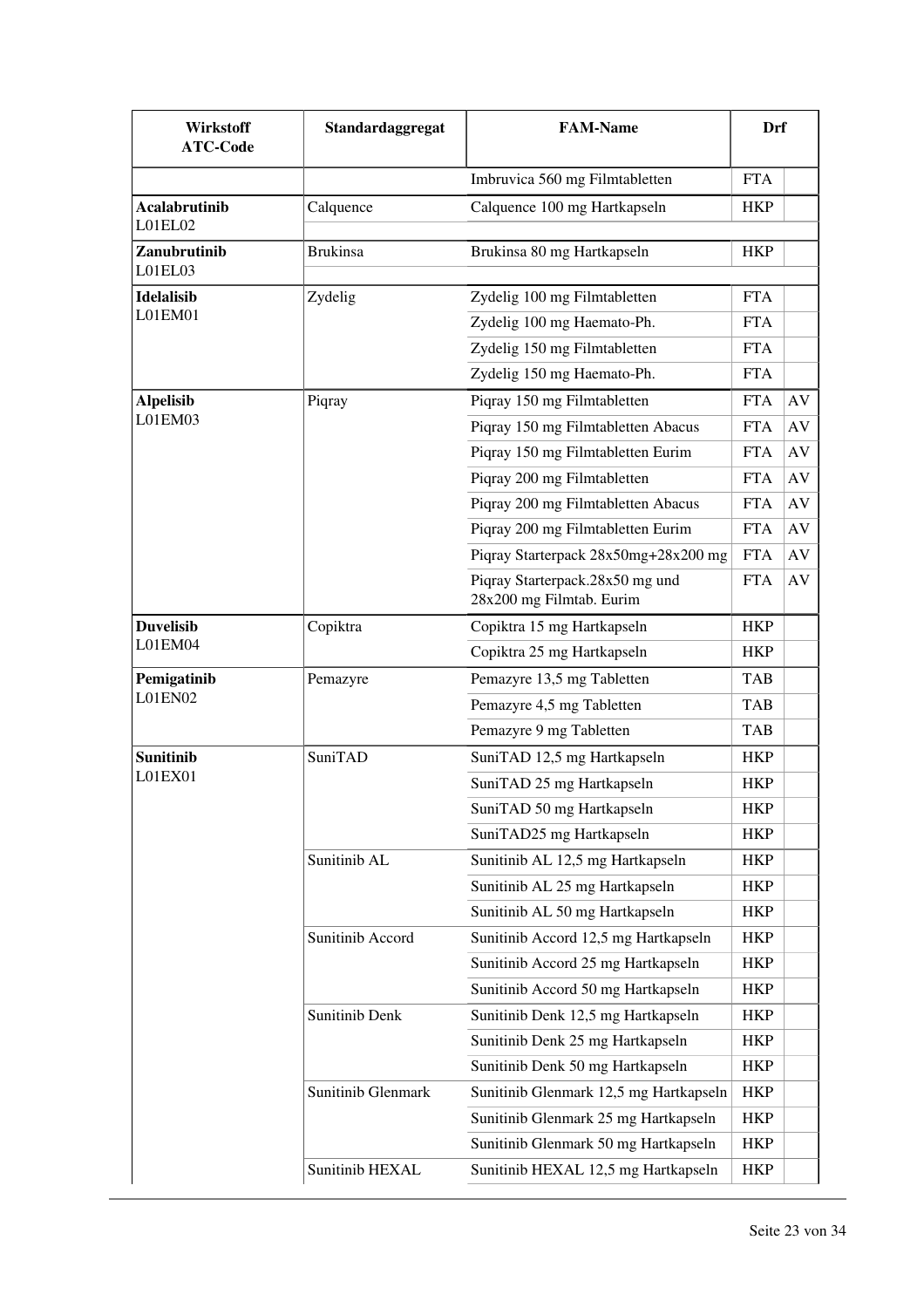| Wirkstoff<br><b>ATC-Code</b>    | Standardaggregat   | <b>FAM-Name</b>                                             | Drf        |    |
|---------------------------------|--------------------|-------------------------------------------------------------|------------|----|
|                                 |                    | Imbruvica 560 mg Filmtabletten                              | <b>FTA</b> |    |
| <b>Acalabrutinib</b><br>L01EL02 | Calquence          | Calquence 100 mg Hartkapseln                                | <b>HKP</b> |    |
| Zanubrutinib<br>L01EL03         | <b>Brukinsa</b>    | Brukinsa 80 mg Hartkapseln                                  | <b>HKP</b> |    |
| <b>Idelalisib</b>               | Zydelig            | Zydelig 100 mg Filmtabletten                                | <b>FTA</b> |    |
| L01EM01                         |                    | Zydelig 100 mg Haemato-Ph.                                  | <b>FTA</b> |    |
|                                 |                    | Zydelig 150 mg Filmtabletten                                | <b>FTA</b> |    |
|                                 |                    | Zydelig 150 mg Haemato-Ph.                                  | <b>FTA</b> |    |
| <b>Alpelisib</b>                | Piqray             | Piqray 150 mg Filmtabletten                                 | <b>FTA</b> | AV |
| L01EM03                         |                    | Piqray 150 mg Filmtabletten Abacus                          | <b>FTA</b> | AV |
|                                 |                    | Piqray 150 mg Filmtabletten Eurim                           | <b>FTA</b> | AV |
|                                 |                    | Piqray 200 mg Filmtabletten                                 | <b>FTA</b> | AV |
|                                 |                    | Piqray 200 mg Filmtabletten Abacus                          | <b>FTA</b> | AV |
|                                 |                    | Piqray 200 mg Filmtabletten Eurim                           | <b>FTA</b> | AV |
|                                 |                    | Piqray Starterpack 28x50mg+28x200 mg                        | <b>FTA</b> | AV |
|                                 |                    | Piqray Starterpack.28x50 mg und<br>28x200 mg Filmtab. Eurim | <b>FTA</b> | AV |
| <b>Duvelisib</b>                | Copiktra           | Copiktra 15 mg Hartkapseln                                  | <b>HKP</b> |    |
| L01EM04                         |                    | Copiktra 25 mg Hartkapseln                                  | <b>HKP</b> |    |
| Pemigatinib                     | Pemazyre           | Pemazyre 13,5 mg Tabletten                                  | <b>TAB</b> |    |
| L01EN02                         |                    | Pemazyre 4,5 mg Tabletten                                   | <b>TAB</b> |    |
|                                 |                    | Pemazyre 9 mg Tabletten                                     | <b>TAB</b> |    |
| <b>Sunitinib</b>                | SuniTAD            | SuniTAD 12,5 mg Hartkapseln                                 | <b>HKP</b> |    |
| L01EX01                         |                    | SuniTAD 25 mg Hartkapseln                                   | <b>HKP</b> |    |
|                                 |                    | SuniTAD 50 mg Hartkapseln                                   | <b>HKP</b> |    |
|                                 |                    | SuniTAD25 mg Hartkapseln                                    | HKP        |    |
|                                 | Sunitinib AL       | Sunitinib AL 12,5 mg Hartkapseln                            | <b>HKP</b> |    |
|                                 |                    | Sunitinib AL 25 mg Hartkapseln                              | HKP        |    |
|                                 |                    | Sunitinib AL 50 mg Hartkapseln                              | <b>HKP</b> |    |
|                                 | Sunitinib Accord   | Sunitinib Accord 12,5 mg Hartkapseln                        | <b>HKP</b> |    |
|                                 |                    | Sunitinib Accord 25 mg Hartkapseln                          | <b>HKP</b> |    |
|                                 |                    | Sunitinib Accord 50 mg Hartkapseln                          | HKP        |    |
|                                 | Sunitinib Denk     | Sunitinib Denk 12,5 mg Hartkapseln                          | <b>HKP</b> |    |
|                                 |                    | Sunitinib Denk 25 mg Hartkapseln                            | HKP        |    |
|                                 |                    | Sunitinib Denk 50 mg Hartkapseln                            | <b>HKP</b> |    |
|                                 | Sunitinib Glenmark | Sunitinib Glenmark 12,5 mg Hartkapseln                      | <b>HKP</b> |    |
|                                 |                    | Sunitinib Glenmark 25 mg Hartkapseln                        | <b>HKP</b> |    |
|                                 |                    | Sunitinib Glenmark 50 mg Hartkapseln                        | <b>HKP</b> |    |
|                                 | Sunitinib HEXAL    | Sunitinib HEXAL 12,5 mg Hartkapseln                         | <b>HKP</b> |    |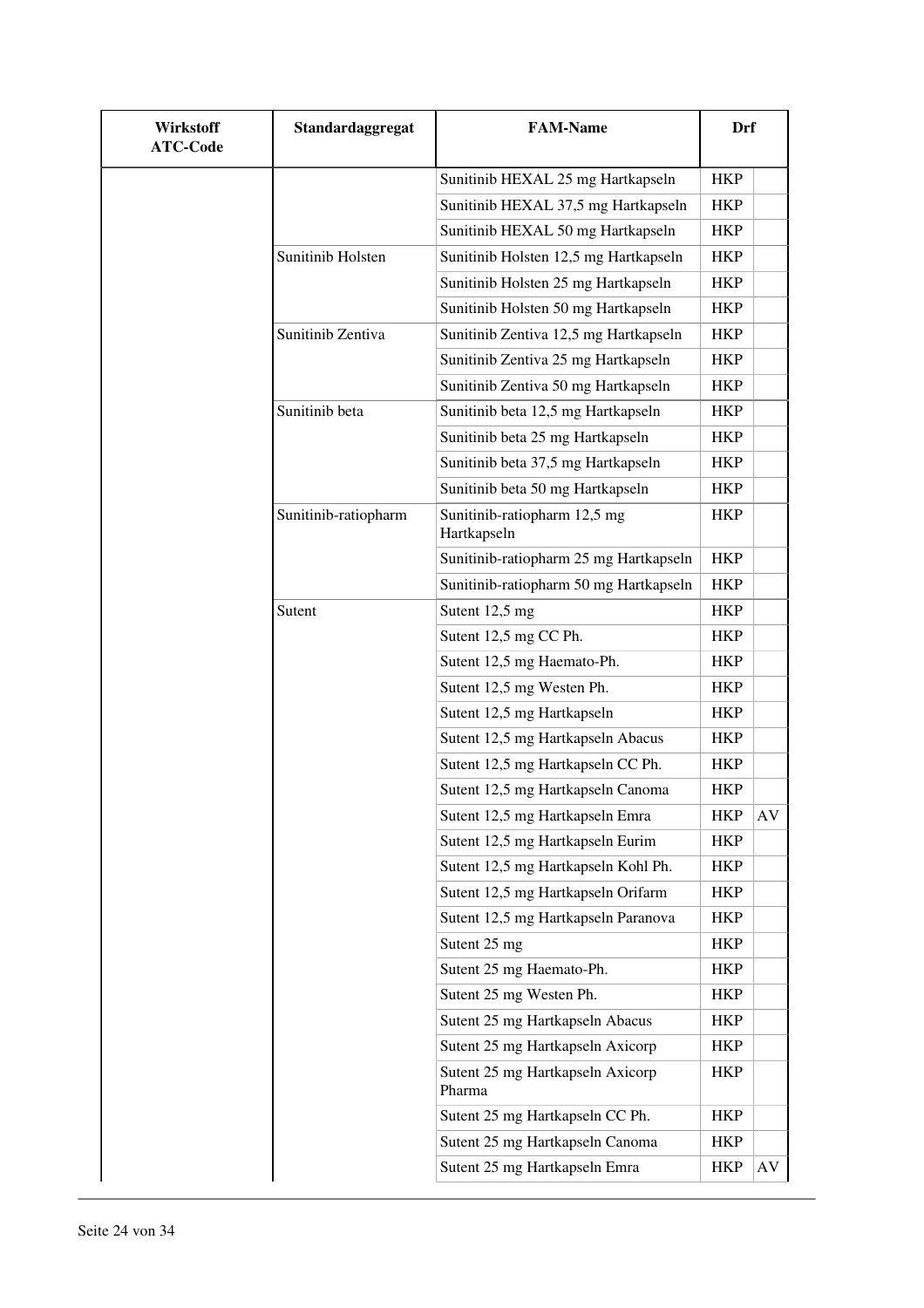| Wirkstoff<br><b>ATC-Code</b> | Standardaggregat     | <b>FAM-Name</b>                             | <b>Drf</b> |    |
|------------------------------|----------------------|---------------------------------------------|------------|----|
|                              |                      | Sunitinib HEXAL 25 mg Hartkapseln           | <b>HKP</b> |    |
|                              |                      | Sunitinib HEXAL 37,5 mg Hartkapseln         | <b>HKP</b> |    |
|                              |                      | Sunitinib HEXAL 50 mg Hartkapseln           | <b>HKP</b> |    |
|                              | Sunitinib Holsten    | Sunitinib Holsten 12,5 mg Hartkapseln       | <b>HKP</b> |    |
|                              |                      | Sunitinib Holsten 25 mg Hartkapseln         | <b>HKP</b> |    |
|                              |                      | Sunitinib Holsten 50 mg Hartkapseln         | <b>HKP</b> |    |
|                              | Sunitinib Zentiva    | Sunitinib Zentiva 12,5 mg Hartkapseln       | <b>HKP</b> |    |
|                              |                      | Sunitinib Zentiva 25 mg Hartkapseln         | <b>HKP</b> |    |
|                              |                      | Sunitinib Zentiva 50 mg Hartkapseln         | <b>HKP</b> |    |
|                              | Sunitinib beta       | Sunitinib beta 12,5 mg Hartkapseln          | <b>HKP</b> |    |
|                              |                      | Sunitinib beta 25 mg Hartkapseln            | HKP        |    |
|                              |                      | Sunitinib beta 37,5 mg Hartkapseln          | <b>HKP</b> |    |
|                              |                      | Sunitinib beta 50 mg Hartkapseln            | HKP        |    |
|                              | Sunitinib-ratiopharm | Sunitinib-ratiopharm 12,5 mg<br>Hartkapseln | <b>HKP</b> |    |
|                              |                      | Sunitinib-ratiopharm 25 mg Hartkapseln      | <b>HKP</b> |    |
|                              |                      | Sunitinib-ratiopharm 50 mg Hartkapseln      | <b>HKP</b> |    |
|                              | Sutent               | Sutent 12,5 mg                              | <b>HKP</b> |    |
|                              |                      | Sutent 12,5 mg CC Ph.                       | <b>HKP</b> |    |
|                              |                      | Sutent 12,5 mg Haemato-Ph.                  | HKP        |    |
|                              |                      | Sutent 12,5 mg Westen Ph.                   | <b>HKP</b> |    |
|                              |                      | Sutent 12,5 mg Hartkapseln                  | <b>HKP</b> |    |
|                              |                      | Sutent 12,5 mg Hartkapseln Abacus           | <b>HKP</b> |    |
|                              |                      | Sutent 12,5 mg Hartkapseln CC Ph.           | <b>HKP</b> |    |
|                              |                      | Sutent 12,5 mg Hartkapseln Canoma           | <b>HKP</b> |    |
|                              |                      | Sutent 12,5 mg Hartkapseln Emra             | HKP        | AV |
|                              |                      | Sutent 12,5 mg Hartkapseln Eurim            | <b>HKP</b> |    |
|                              |                      | Sutent 12,5 mg Hartkapseln Kohl Ph.         | <b>HKP</b> |    |
|                              |                      | Sutent 12,5 mg Hartkapseln Orifarm          | <b>HKP</b> |    |
|                              |                      | Sutent 12,5 mg Hartkapseln Paranova         | <b>HKP</b> |    |
|                              |                      | Sutent 25 mg                                | <b>HKP</b> |    |
|                              |                      | Sutent 25 mg Haemato-Ph.                    | HKP        |    |
|                              |                      | Sutent 25 mg Westen Ph.                     | <b>HKP</b> |    |
|                              |                      | Sutent 25 mg Hartkapseln Abacus             | HKP        |    |
|                              |                      | Sutent 25 mg Hartkapseln Axicorp            | <b>HKP</b> |    |
|                              |                      | Sutent 25 mg Hartkapseln Axicorp<br>Pharma  | HKP        |    |
|                              |                      | Sutent 25 mg Hartkapseln CC Ph.             | <b>HKP</b> |    |
|                              |                      | Sutent 25 mg Hartkapseln Canoma             | <b>HKP</b> |    |
|                              |                      | Sutent 25 mg Hartkapseln Emra               | <b>HKP</b> | AV |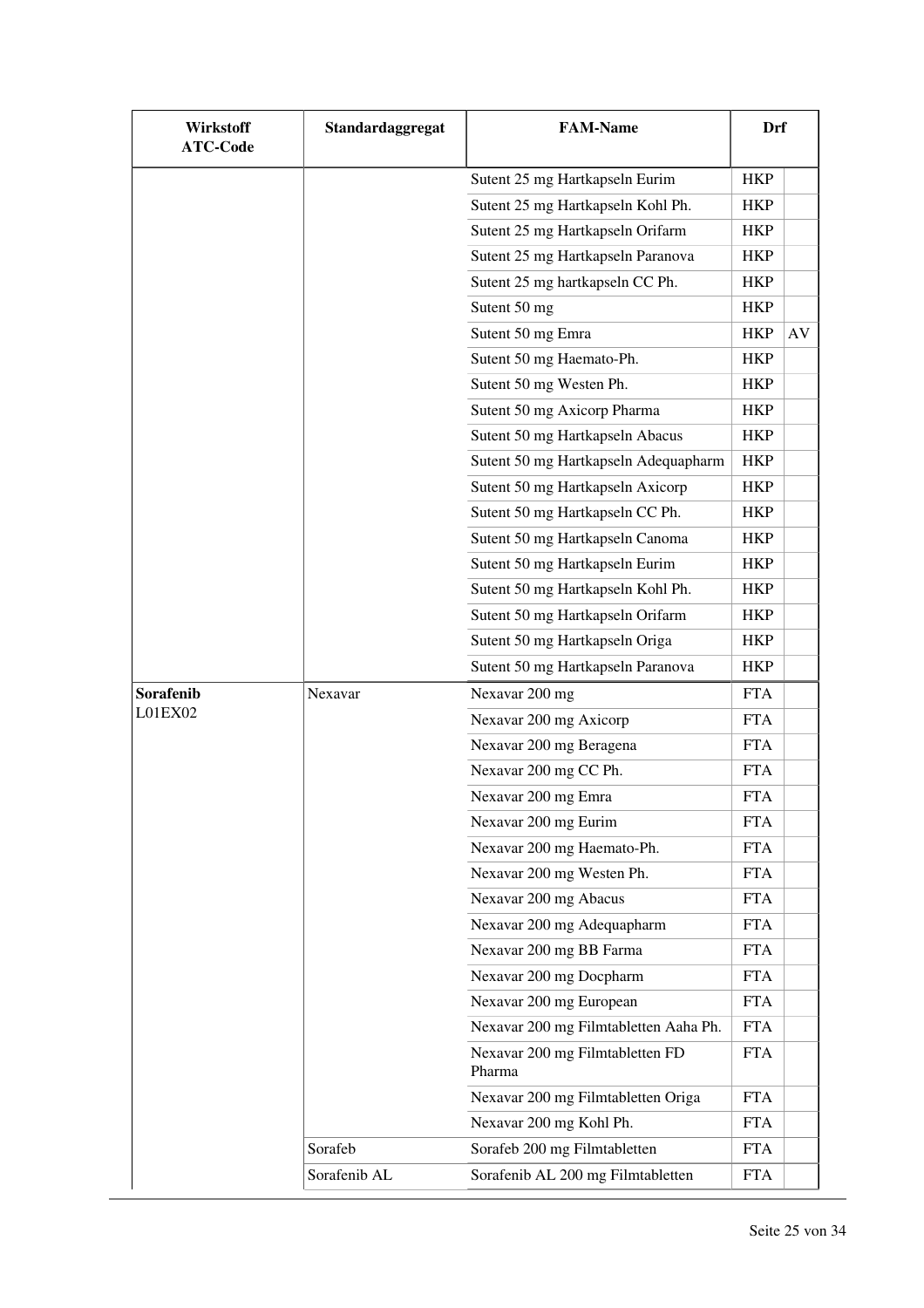| <b>Wirkstoff</b><br><b>ATC-Code</b> | Standardaggregat | <b>FAM-Name</b>                           | Drf        |    |
|-------------------------------------|------------------|-------------------------------------------|------------|----|
|                                     |                  | Sutent 25 mg Hartkapseln Eurim            | <b>HKP</b> |    |
|                                     |                  | Sutent 25 mg Hartkapseln Kohl Ph.         | <b>HKP</b> |    |
|                                     |                  | Sutent 25 mg Hartkapseln Orifarm          | <b>HKP</b> |    |
|                                     |                  | Sutent 25 mg Hartkapseln Paranova         | <b>HKP</b> |    |
|                                     |                  | Sutent 25 mg hartkapseln CC Ph.           | <b>HKP</b> |    |
|                                     |                  | Sutent 50 mg                              | <b>HKP</b> |    |
|                                     |                  | Sutent 50 mg Emra                         | <b>HKP</b> | AV |
|                                     |                  | Sutent 50 mg Haemato-Ph.                  | <b>HKP</b> |    |
|                                     |                  | Sutent 50 mg Westen Ph.                   | <b>HKP</b> |    |
|                                     |                  | Sutent 50 mg Axicorp Pharma               | <b>HKP</b> |    |
|                                     |                  | Sutent 50 mg Hartkapseln Abacus           | <b>HKP</b> |    |
|                                     |                  | Sutent 50 mg Hartkapseln Adequapharm      | <b>HKP</b> |    |
|                                     |                  | Sutent 50 mg Hartkapseln Axicorp          | <b>HKP</b> |    |
|                                     |                  | Sutent 50 mg Hartkapseln CC Ph.           | <b>HKP</b> |    |
|                                     |                  | Sutent 50 mg Hartkapseln Canoma           | <b>HKP</b> |    |
|                                     |                  | Sutent 50 mg Hartkapseln Eurim            | <b>HKP</b> |    |
|                                     |                  | Sutent 50 mg Hartkapseln Kohl Ph.         | <b>HKP</b> |    |
|                                     |                  | Sutent 50 mg Hartkapseln Orifarm          | <b>HKP</b> |    |
|                                     |                  | Sutent 50 mg Hartkapseln Origa            | <b>HKP</b> |    |
|                                     |                  | Sutent 50 mg Hartkapseln Paranova         | <b>HKP</b> |    |
| Sorafenib                           | Nexavar          | Nexavar 200 mg                            | <b>FTA</b> |    |
| L01EX02                             |                  | Nexavar 200 mg Axicorp                    | <b>FTA</b> |    |
|                                     |                  | Nexavar 200 mg Beragena                   | <b>FTA</b> |    |
|                                     |                  | Nexavar 200 mg CC Ph.                     | <b>FTA</b> |    |
|                                     |                  | Nexavar 200 mg Emra                       | <b>FTA</b> |    |
|                                     |                  | Nexavar 200 mg Eurim                      | <b>FTA</b> |    |
|                                     |                  | Nexavar 200 mg Haemato-Ph.                | <b>FTA</b> |    |
|                                     |                  | Nexavar 200 mg Westen Ph.                 | <b>FTA</b> |    |
|                                     |                  | Nexavar 200 mg Abacus                     | <b>FTA</b> |    |
|                                     |                  | Nexavar 200 mg Adequapharm                | <b>FTA</b> |    |
|                                     |                  | Nexavar 200 mg BB Farma                   | <b>FTA</b> |    |
|                                     |                  | Nexavar 200 mg Docpharm                   | <b>FTA</b> |    |
|                                     |                  | Nexavar 200 mg European                   | <b>FTA</b> |    |
|                                     |                  | Nexavar 200 mg Filmtabletten Aaha Ph.     | <b>FTA</b> |    |
|                                     |                  | Nexavar 200 mg Filmtabletten FD<br>Pharma | <b>FTA</b> |    |
|                                     |                  | Nexavar 200 mg Filmtabletten Origa        | <b>FTA</b> |    |
|                                     |                  | Nexavar 200 mg Kohl Ph.                   | <b>FTA</b> |    |
|                                     | Sorafeb          | Sorafeb 200 mg Filmtabletten              | <b>FTA</b> |    |
|                                     | Sorafenib AL     | Sorafenib AL 200 mg Filmtabletten         | <b>FTA</b> |    |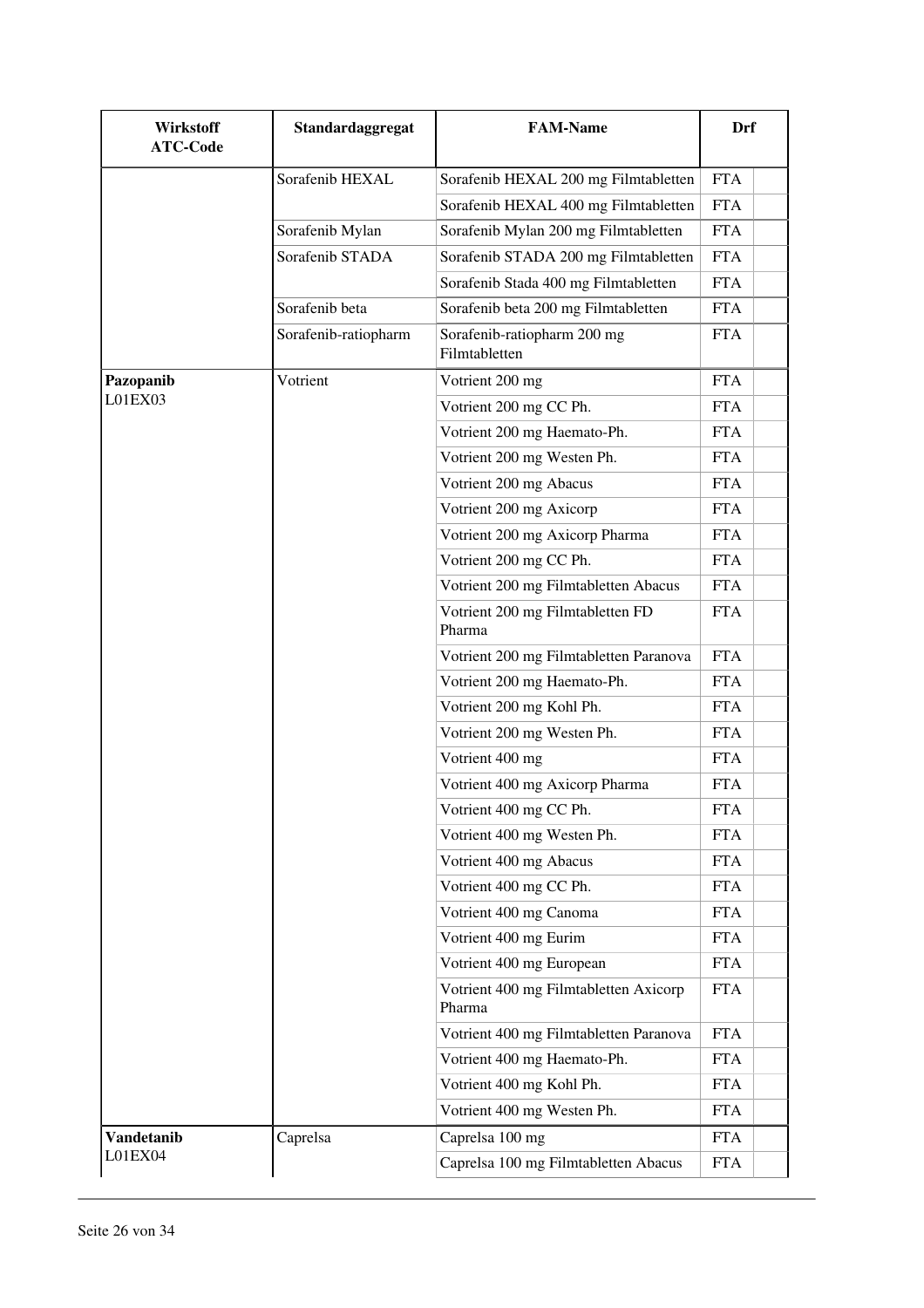| Wirkstoff<br><b>ATC-Code</b> | Standardaggregat     | <b>FAM-Name</b>                                 | Drf        |
|------------------------------|----------------------|-------------------------------------------------|------------|
|                              | Sorafenib HEXAL      | Sorafenib HEXAL 200 mg Filmtabletten            | <b>FTA</b> |
|                              |                      | Sorafenib HEXAL 400 mg Filmtabletten            | <b>FTA</b> |
|                              | Sorafenib Mylan      | Sorafenib Mylan 200 mg Filmtabletten            | <b>FTA</b> |
|                              | Sorafenib STADA      | Sorafenib STADA 200 mg Filmtabletten            | <b>FTA</b> |
|                              |                      | Sorafenib Stada 400 mg Filmtabletten            | <b>FTA</b> |
|                              | Sorafenib beta       | Sorafenib beta 200 mg Filmtabletten             | <b>FTA</b> |
|                              | Sorafenib-ratiopharm | Sorafenib-ratiopharm 200 mg<br>Filmtabletten    | <b>FTA</b> |
| Pazopanib                    | Votrient             | Votrient 200 mg                                 | <b>FTA</b> |
| L01EX03                      |                      | Votrient 200 mg CC Ph.                          | <b>FTA</b> |
|                              |                      | Votrient 200 mg Haemato-Ph.                     | <b>FTA</b> |
|                              |                      | Votrient 200 mg Westen Ph.                      | <b>FTA</b> |
|                              |                      | Votrient 200 mg Abacus                          | <b>FTA</b> |
|                              |                      | Votrient 200 mg Axicorp                         | <b>FTA</b> |
|                              |                      | Votrient 200 mg Axicorp Pharma                  | <b>FTA</b> |
|                              |                      | Votrient 200 mg CC Ph.                          | <b>FTA</b> |
|                              |                      | Votrient 200 mg Filmtabletten Abacus            | <b>FTA</b> |
|                              |                      | Votrient 200 mg Filmtabletten FD<br>Pharma      | <b>FTA</b> |
|                              |                      | Votrient 200 mg Filmtabletten Paranova          | <b>FTA</b> |
|                              |                      | Votrient 200 mg Haemato-Ph.                     | <b>FTA</b> |
|                              |                      | Votrient 200 mg Kohl Ph.                        | <b>FTA</b> |
|                              |                      | Votrient 200 mg Westen Ph.                      | <b>FTA</b> |
|                              |                      | Votrient 400 mg                                 | <b>FTA</b> |
|                              |                      | Votrient 400 mg Axicorp Pharma                  | <b>FTA</b> |
|                              |                      | Votrient 400 mg CC Ph.                          | FTA.       |
|                              |                      | Votrient 400 mg Westen Ph.                      | <b>FTA</b> |
|                              |                      | Votrient 400 mg Abacus                          | <b>FTA</b> |
|                              |                      | Votrient 400 mg CC Ph.                          | <b>FTA</b> |
|                              |                      | Votrient 400 mg Canoma                          | <b>FTA</b> |
|                              |                      | Votrient 400 mg Eurim                           | <b>FTA</b> |
|                              |                      | Votrient 400 mg European                        | <b>FTA</b> |
|                              |                      | Votrient 400 mg Filmtabletten Axicorp<br>Pharma | <b>FTA</b> |
|                              |                      | Votrient 400 mg Filmtabletten Paranova          | <b>FTA</b> |
|                              |                      | Votrient 400 mg Haemato-Ph.                     | <b>FTA</b> |
|                              |                      | Votrient 400 mg Kohl Ph.                        | <b>FTA</b> |
|                              |                      | Votrient 400 mg Westen Ph.                      | <b>FTA</b> |
| Vandetanib                   | Caprelsa             | Caprelsa 100 mg                                 | <b>FTA</b> |
| L01EX04                      |                      | Caprelsa 100 mg Filmtabletten Abacus            | <b>FTA</b> |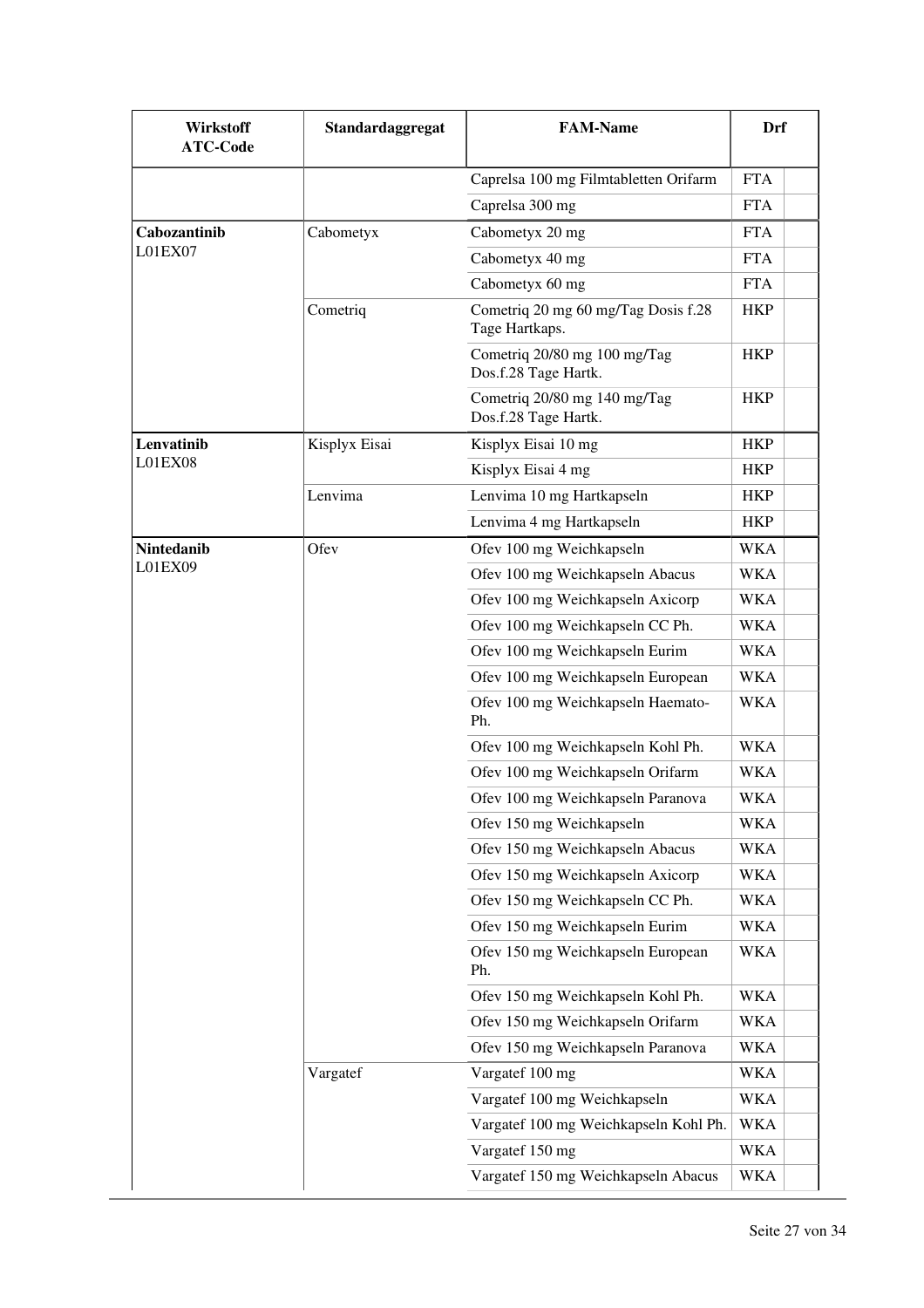| <b>Wirkstoff</b><br><b>ATC-Code</b> | Standardaggregat | <b>FAM-Name</b>                                       | Drf        |
|-------------------------------------|------------------|-------------------------------------------------------|------------|
|                                     |                  | Caprelsa 100 mg Filmtabletten Orifarm                 | <b>FTA</b> |
|                                     |                  | Caprelsa 300 mg                                       | <b>FTA</b> |
| Cabozantinib                        | Cabometyx        | Cabometyx 20 mg                                       | <b>FTA</b> |
| L01EX07                             |                  | Cabometyx 40 mg                                       | <b>FTA</b> |
|                                     |                  | Cabometyx 60 mg                                       | <b>FTA</b> |
|                                     | Cometriq         | Cometriq 20 mg 60 mg/Tag Dosis f.28<br>Tage Hartkaps. | <b>HKP</b> |
|                                     |                  | Cometriq 20/80 mg 100 mg/Tag<br>Dos.f.28 Tage Hartk.  | <b>HKP</b> |
|                                     |                  | Cometriq 20/80 mg 140 mg/Tag<br>Dos.f.28 Tage Hartk.  | <b>HKP</b> |
| Lenvatinib                          | Kisplyx Eisai    | Kisplyx Eisai 10 mg                                   | <b>HKP</b> |
| L01EX08                             |                  | Kisplyx Eisai 4 mg                                    | <b>HKP</b> |
|                                     | Lenvima          | Lenvima 10 mg Hartkapseln                             | <b>HKP</b> |
|                                     |                  | Lenvima 4 mg Hartkapseln                              | <b>HKP</b> |
| <b>Nintedanib</b>                   | Ofev             | Ofev 100 mg Weichkapseln                              | <b>WKA</b> |
| L01EX09                             |                  | Ofev 100 mg Weichkapseln Abacus                       | WKA        |
|                                     |                  | Ofev 100 mg Weichkapseln Axicorp                      | WKA        |
|                                     |                  | Ofev 100 mg Weichkapseln CC Ph.                       | <b>WKA</b> |
|                                     |                  | Ofev 100 mg Weichkapseln Eurim                        | <b>WKA</b> |
|                                     |                  | Ofev 100 mg Weichkapseln European                     | <b>WKA</b> |
|                                     |                  | Ofev 100 mg Weichkapseln Haemato-<br>Ph.              | <b>WKA</b> |
|                                     |                  | Ofev 100 mg Weichkapseln Kohl Ph.                     | <b>WKA</b> |
|                                     |                  | Ofev 100 mg Weichkapseln Orifarm                      | WKA        |
|                                     |                  | Ofev 100 mg Weichkapseln Paranova                     | WKA        |
|                                     |                  | Ofev 150 mg Weichkapseln                              | <b>WKA</b> |
|                                     |                  | Ofev 150 mg Weichkapseln Abacus                       | <b>WKA</b> |
|                                     |                  | Ofev 150 mg Weichkapseln Axicorp                      | WKA        |
|                                     |                  | Ofev 150 mg Weichkapseln CC Ph.                       | WKA        |
|                                     |                  | Ofev 150 mg Weichkapseln Eurim                        | <b>WKA</b> |
|                                     |                  | Ofev 150 mg Weichkapseln European<br>Ph.              | WKA        |
|                                     |                  | Ofev 150 mg Weichkapseln Kohl Ph.                     | <b>WKA</b> |
|                                     |                  | Ofev 150 mg Weichkapseln Orifarm                      | WKA        |
|                                     |                  | Ofev 150 mg Weichkapseln Paranova                     | <b>WKA</b> |
|                                     | Vargatef         | Vargatef 100 mg                                       | <b>WKA</b> |
|                                     |                  | Vargatef 100 mg Weichkapseln                          | WKA        |
|                                     |                  | Vargatef 100 mg Weichkapseln Kohl Ph.                 | WKA        |
|                                     |                  | Vargatef 150 mg                                       | <b>WKA</b> |
|                                     |                  | Vargatef 150 mg Weichkapseln Abacus                   | <b>WKA</b> |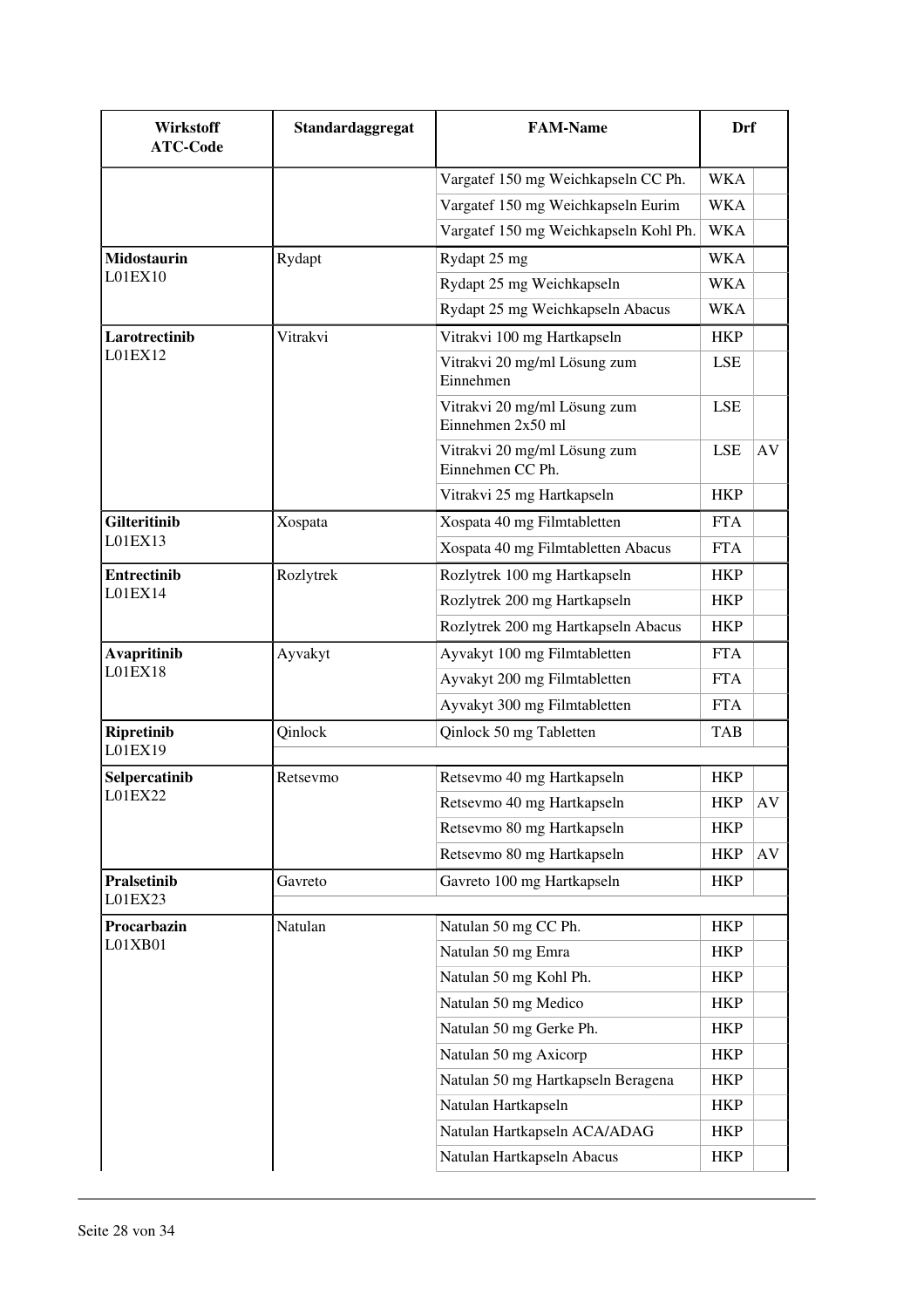| Vargatef 150 mg Weichkapseln CC Ph.<br><b>WKA</b><br>Vargatef 150 mg Weichkapseln Eurim<br><b>WKA</b><br>Vargatef 150 mg Weichkapseln Kohl Ph.<br><b>WKA</b><br><b>Midostaurin</b><br>Rydapt 25 mg<br><b>WKA</b><br>Rydapt<br>L01EX10<br>Rydapt 25 mg Weichkapseln<br><b>WKA</b><br>Rydapt 25 mg Weichkapseln Abacus<br>WKA<br>Larotrectinib<br>Vitrakvi<br>Vitrakvi 100 mg Hartkapseln<br><b>HKP</b><br>L01EX12<br>Vitrakvi 20 mg/ml Lösung zum<br><b>LSE</b><br>Einnehmen<br>Vitrakvi 20 mg/ml Lösung zum<br><b>LSE</b><br>Einnehmen $2x50$ ml<br><b>LSE</b><br>Vitrakvi 20 mg/ml Lösung zum<br>AV<br>Einnehmen CC Ph.<br><b>HKP</b><br>Vitrakvi 25 mg Hartkapseln<br><b>Gilteritinib</b><br>Xospata 40 mg Filmtabletten<br><b>FTA</b><br>Xospata<br>LO1EX13<br>Xospata 40 mg Filmtabletten Abacus<br><b>FTA</b><br>Rozlytrek<br>Rozlytrek 100 mg Hartkapseln<br>Entrectinib<br><b>HKP</b><br>L01EX14<br>Rozlytrek 200 mg Hartkapseln<br><b>HKP</b><br>Rozlytrek 200 mg Hartkapseln Abacus<br><b>HKP</b><br><b>Avapritinib</b><br>Ayvakyt 100 mg Filmtabletten<br><b>FTA</b><br>Ayvakyt<br>L01EX18<br>Ayvakyt 200 mg Filmtabletten<br><b>FTA</b><br>Ayvakyt 300 mg Filmtabletten<br><b>FTA</b><br>Qinlock<br><b>Ripretinib</b><br>Qinlock 50 mg Tabletten<br><b>TAB</b><br>L01EX19<br>Selpercatinib<br>Retsevmo 40 mg Hartkapseln<br><b>HKP</b><br>Retsevmo<br>L01EX22<br>Retsevmo 40 mg Hartkapseln<br>AV<br>HKP<br>Retsevmo 80 mg Hartkapseln<br><b>HKP</b><br>Retsevmo 80 mg Hartkapseln<br><b>HKP</b><br>AV<br><b>Pralsetinib</b><br>Gavreto 100 mg Hartkapseln<br>Gavreto<br><b>HKP</b><br>L01EX23<br>Procarbazin<br>Natulan 50 mg CC Ph.<br>Natulan<br><b>HKP</b> |
|---------------------------------------------------------------------------------------------------------------------------------------------------------------------------------------------------------------------------------------------------------------------------------------------------------------------------------------------------------------------------------------------------------------------------------------------------------------------------------------------------------------------------------------------------------------------------------------------------------------------------------------------------------------------------------------------------------------------------------------------------------------------------------------------------------------------------------------------------------------------------------------------------------------------------------------------------------------------------------------------------------------------------------------------------------------------------------------------------------------------------------------------------------------------------------------------------------------------------------------------------------------------------------------------------------------------------------------------------------------------------------------------------------------------------------------------------------------------------------------------------------------------------------------------------------------------------------------------------------------------------------------------------------------------------|
|                                                                                                                                                                                                                                                                                                                                                                                                                                                                                                                                                                                                                                                                                                                                                                                                                                                                                                                                                                                                                                                                                                                                                                                                                                                                                                                                                                                                                                                                                                                                                                                                                                                                           |
|                                                                                                                                                                                                                                                                                                                                                                                                                                                                                                                                                                                                                                                                                                                                                                                                                                                                                                                                                                                                                                                                                                                                                                                                                                                                                                                                                                                                                                                                                                                                                                                                                                                                           |
|                                                                                                                                                                                                                                                                                                                                                                                                                                                                                                                                                                                                                                                                                                                                                                                                                                                                                                                                                                                                                                                                                                                                                                                                                                                                                                                                                                                                                                                                                                                                                                                                                                                                           |
|                                                                                                                                                                                                                                                                                                                                                                                                                                                                                                                                                                                                                                                                                                                                                                                                                                                                                                                                                                                                                                                                                                                                                                                                                                                                                                                                                                                                                                                                                                                                                                                                                                                                           |
|                                                                                                                                                                                                                                                                                                                                                                                                                                                                                                                                                                                                                                                                                                                                                                                                                                                                                                                                                                                                                                                                                                                                                                                                                                                                                                                                                                                                                                                                                                                                                                                                                                                                           |
|                                                                                                                                                                                                                                                                                                                                                                                                                                                                                                                                                                                                                                                                                                                                                                                                                                                                                                                                                                                                                                                                                                                                                                                                                                                                                                                                                                                                                                                                                                                                                                                                                                                                           |
|                                                                                                                                                                                                                                                                                                                                                                                                                                                                                                                                                                                                                                                                                                                                                                                                                                                                                                                                                                                                                                                                                                                                                                                                                                                                                                                                                                                                                                                                                                                                                                                                                                                                           |
|                                                                                                                                                                                                                                                                                                                                                                                                                                                                                                                                                                                                                                                                                                                                                                                                                                                                                                                                                                                                                                                                                                                                                                                                                                                                                                                                                                                                                                                                                                                                                                                                                                                                           |
|                                                                                                                                                                                                                                                                                                                                                                                                                                                                                                                                                                                                                                                                                                                                                                                                                                                                                                                                                                                                                                                                                                                                                                                                                                                                                                                                                                                                                                                                                                                                                                                                                                                                           |
|                                                                                                                                                                                                                                                                                                                                                                                                                                                                                                                                                                                                                                                                                                                                                                                                                                                                                                                                                                                                                                                                                                                                                                                                                                                                                                                                                                                                                                                                                                                                                                                                                                                                           |
|                                                                                                                                                                                                                                                                                                                                                                                                                                                                                                                                                                                                                                                                                                                                                                                                                                                                                                                                                                                                                                                                                                                                                                                                                                                                                                                                                                                                                                                                                                                                                                                                                                                                           |
|                                                                                                                                                                                                                                                                                                                                                                                                                                                                                                                                                                                                                                                                                                                                                                                                                                                                                                                                                                                                                                                                                                                                                                                                                                                                                                                                                                                                                                                                                                                                                                                                                                                                           |
|                                                                                                                                                                                                                                                                                                                                                                                                                                                                                                                                                                                                                                                                                                                                                                                                                                                                                                                                                                                                                                                                                                                                                                                                                                                                                                                                                                                                                                                                                                                                                                                                                                                                           |
|                                                                                                                                                                                                                                                                                                                                                                                                                                                                                                                                                                                                                                                                                                                                                                                                                                                                                                                                                                                                                                                                                                                                                                                                                                                                                                                                                                                                                                                                                                                                                                                                                                                                           |
|                                                                                                                                                                                                                                                                                                                                                                                                                                                                                                                                                                                                                                                                                                                                                                                                                                                                                                                                                                                                                                                                                                                                                                                                                                                                                                                                                                                                                                                                                                                                                                                                                                                                           |
|                                                                                                                                                                                                                                                                                                                                                                                                                                                                                                                                                                                                                                                                                                                                                                                                                                                                                                                                                                                                                                                                                                                                                                                                                                                                                                                                                                                                                                                                                                                                                                                                                                                                           |
|                                                                                                                                                                                                                                                                                                                                                                                                                                                                                                                                                                                                                                                                                                                                                                                                                                                                                                                                                                                                                                                                                                                                                                                                                                                                                                                                                                                                                                                                                                                                                                                                                                                                           |
|                                                                                                                                                                                                                                                                                                                                                                                                                                                                                                                                                                                                                                                                                                                                                                                                                                                                                                                                                                                                                                                                                                                                                                                                                                                                                                                                                                                                                                                                                                                                                                                                                                                                           |
|                                                                                                                                                                                                                                                                                                                                                                                                                                                                                                                                                                                                                                                                                                                                                                                                                                                                                                                                                                                                                                                                                                                                                                                                                                                                                                                                                                                                                                                                                                                                                                                                                                                                           |
|                                                                                                                                                                                                                                                                                                                                                                                                                                                                                                                                                                                                                                                                                                                                                                                                                                                                                                                                                                                                                                                                                                                                                                                                                                                                                                                                                                                                                                                                                                                                                                                                                                                                           |
|                                                                                                                                                                                                                                                                                                                                                                                                                                                                                                                                                                                                                                                                                                                                                                                                                                                                                                                                                                                                                                                                                                                                                                                                                                                                                                                                                                                                                                                                                                                                                                                                                                                                           |
|                                                                                                                                                                                                                                                                                                                                                                                                                                                                                                                                                                                                                                                                                                                                                                                                                                                                                                                                                                                                                                                                                                                                                                                                                                                                                                                                                                                                                                                                                                                                                                                                                                                                           |
|                                                                                                                                                                                                                                                                                                                                                                                                                                                                                                                                                                                                                                                                                                                                                                                                                                                                                                                                                                                                                                                                                                                                                                                                                                                                                                                                                                                                                                                                                                                                                                                                                                                                           |
|                                                                                                                                                                                                                                                                                                                                                                                                                                                                                                                                                                                                                                                                                                                                                                                                                                                                                                                                                                                                                                                                                                                                                                                                                                                                                                                                                                                                                                                                                                                                                                                                                                                                           |
|                                                                                                                                                                                                                                                                                                                                                                                                                                                                                                                                                                                                                                                                                                                                                                                                                                                                                                                                                                                                                                                                                                                                                                                                                                                                                                                                                                                                                                                                                                                                                                                                                                                                           |
|                                                                                                                                                                                                                                                                                                                                                                                                                                                                                                                                                                                                                                                                                                                                                                                                                                                                                                                                                                                                                                                                                                                                                                                                                                                                                                                                                                                                                                                                                                                                                                                                                                                                           |
|                                                                                                                                                                                                                                                                                                                                                                                                                                                                                                                                                                                                                                                                                                                                                                                                                                                                                                                                                                                                                                                                                                                                                                                                                                                                                                                                                                                                                                                                                                                                                                                                                                                                           |
| L01XB01<br>Natulan 50 mg Emra<br><b>HKP</b>                                                                                                                                                                                                                                                                                                                                                                                                                                                                                                                                                                                                                                                                                                                                                                                                                                                                                                                                                                                                                                                                                                                                                                                                                                                                                                                                                                                                                                                                                                                                                                                                                               |
| Natulan 50 mg Kohl Ph.<br><b>HKP</b>                                                                                                                                                                                                                                                                                                                                                                                                                                                                                                                                                                                                                                                                                                                                                                                                                                                                                                                                                                                                                                                                                                                                                                                                                                                                                                                                                                                                                                                                                                                                                                                                                                      |
| Natulan 50 mg Medico<br><b>HKP</b>                                                                                                                                                                                                                                                                                                                                                                                                                                                                                                                                                                                                                                                                                                                                                                                                                                                                                                                                                                                                                                                                                                                                                                                                                                                                                                                                                                                                                                                                                                                                                                                                                                        |
| Natulan 50 mg Gerke Ph.<br><b>HKP</b>                                                                                                                                                                                                                                                                                                                                                                                                                                                                                                                                                                                                                                                                                                                                                                                                                                                                                                                                                                                                                                                                                                                                                                                                                                                                                                                                                                                                                                                                                                                                                                                                                                     |
| Natulan 50 mg Axicorp<br><b>HKP</b>                                                                                                                                                                                                                                                                                                                                                                                                                                                                                                                                                                                                                                                                                                                                                                                                                                                                                                                                                                                                                                                                                                                                                                                                                                                                                                                                                                                                                                                                                                                                                                                                                                       |
| Natulan 50 mg Hartkapseln Beragena<br><b>HKP</b>                                                                                                                                                                                                                                                                                                                                                                                                                                                                                                                                                                                                                                                                                                                                                                                                                                                                                                                                                                                                                                                                                                                                                                                                                                                                                                                                                                                                                                                                                                                                                                                                                          |
| Natulan Hartkapseln<br><b>HKP</b>                                                                                                                                                                                                                                                                                                                                                                                                                                                                                                                                                                                                                                                                                                                                                                                                                                                                                                                                                                                                                                                                                                                                                                                                                                                                                                                                                                                                                                                                                                                                                                                                                                         |
| Natulan Hartkapseln ACA/ADAG<br><b>HKP</b>                                                                                                                                                                                                                                                                                                                                                                                                                                                                                                                                                                                                                                                                                                                                                                                                                                                                                                                                                                                                                                                                                                                                                                                                                                                                                                                                                                                                                                                                                                                                                                                                                                |
| Natulan Hartkapseln Abacus<br><b>HKP</b>                                                                                                                                                                                                                                                                                                                                                                                                                                                                                                                                                                                                                                                                                                                                                                                                                                                                                                                                                                                                                                                                                                                                                                                                                                                                                                                                                                                                                                                                                                                                                                                                                                  |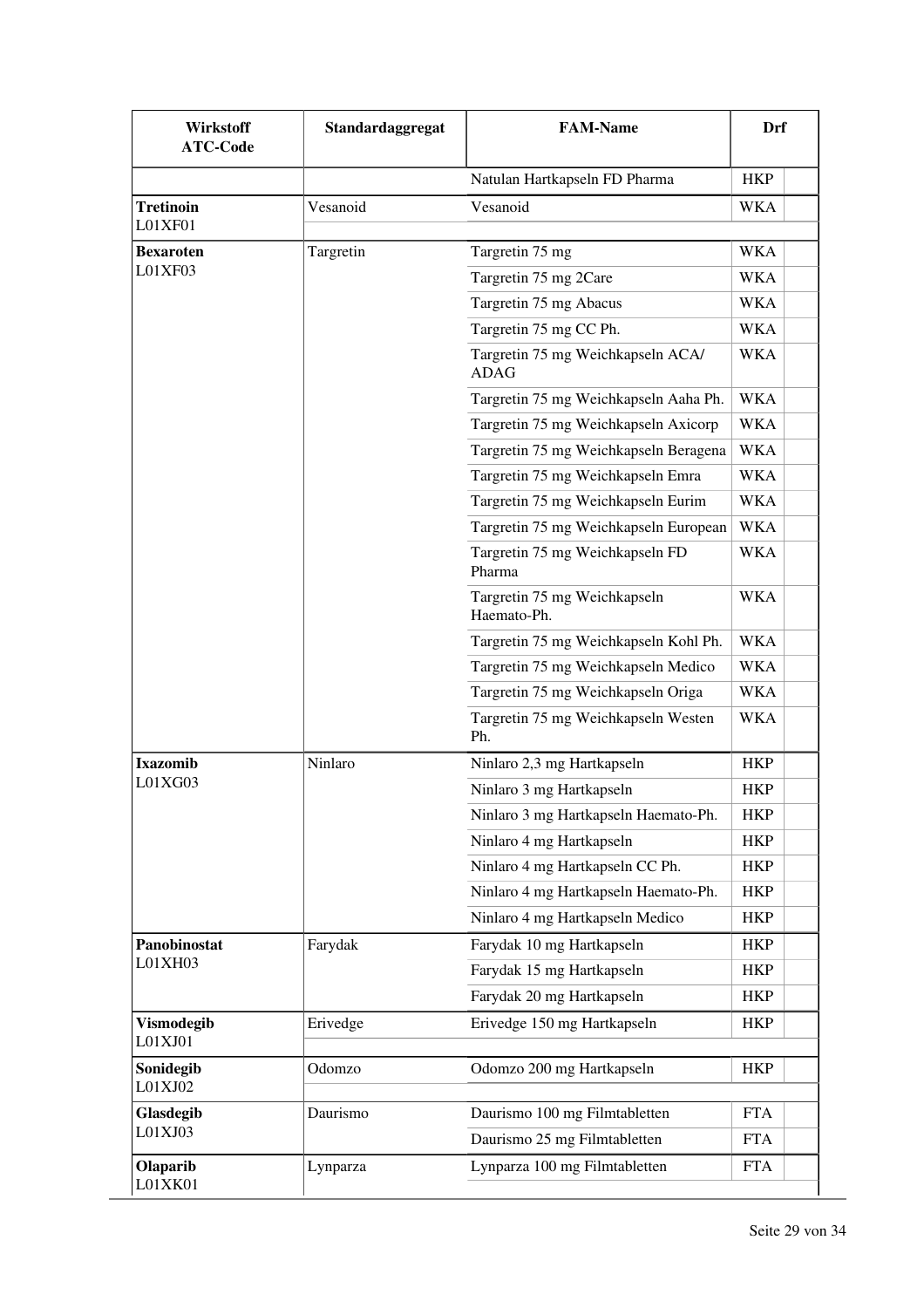| <b>Wirkstoff</b><br><b>ATC-Code</b> | Standardaggregat | <b>FAM-Name</b>                                  | Drf        |
|-------------------------------------|------------------|--------------------------------------------------|------------|
|                                     |                  | Natulan Hartkapseln FD Pharma                    | <b>HKP</b> |
| <b>Tretinoin</b><br>L01XF01         | Vesanoid         | Vesanoid                                         | WKA        |
| <b>Bexaroten</b>                    | Targretin        | Targretin 75 mg                                  | <b>WKA</b> |
| L01XF03                             |                  | Targretin 75 mg 2Care                            | WKA        |
|                                     |                  | Targretin 75 mg Abacus                           | WKA        |
|                                     |                  | Targretin 75 mg CC Ph.                           | <b>WKA</b> |
|                                     |                  | Targretin 75 mg Weichkapseln ACA/<br><b>ADAG</b> | WKA        |
|                                     |                  | Targretin 75 mg Weichkapseln Aaha Ph.            | WKA        |
|                                     |                  | Targretin 75 mg Weichkapseln Axicorp             | <b>WKA</b> |
|                                     |                  | Targretin 75 mg Weichkapseln Beragena            | <b>WKA</b> |
|                                     |                  | Targretin 75 mg Weichkapseln Emra                | <b>WKA</b> |
|                                     |                  | Targretin 75 mg Weichkapseln Eurim               | <b>WKA</b> |
|                                     |                  | Targretin 75 mg Weichkapseln European            | <b>WKA</b> |
|                                     |                  | Targretin 75 mg Weichkapseln FD<br>Pharma        | <b>WKA</b> |
|                                     |                  | Targretin 75 mg Weichkapseln<br>Haemato-Ph.      | WKA        |
|                                     |                  | Targretin 75 mg Weichkapseln Kohl Ph.            | <b>WKA</b> |
|                                     |                  | Targretin 75 mg Weichkapseln Medico              | <b>WKA</b> |
|                                     |                  | Targretin 75 mg Weichkapseln Origa               | <b>WKA</b> |
|                                     |                  | Targretin 75 mg Weichkapseln Westen<br>Ph.       | WKA        |
| Ixazomib                            | Ninlaro          | Ninlaro 2,3 mg Hartkapseln                       | HKP        |
| L01XG03                             |                  | Ninlaro 3 mg Hartkapseln                         | <b>HKP</b> |
|                                     |                  | Ninlaro 3 mg Hartkapseln Haemato-Ph.             | <b>HKP</b> |
|                                     |                  | Ninlaro 4 mg Hartkapseln                         | <b>HKP</b> |
|                                     |                  | Ninlaro 4 mg Hartkapseln CC Ph.                  | <b>HKP</b> |
|                                     |                  | Ninlaro 4 mg Hartkapseln Haemato-Ph.             | <b>HKP</b> |
|                                     |                  | Ninlaro 4 mg Hartkapseln Medico                  | <b>HKP</b> |
| Panobinostat                        | Farydak          | Farydak 10 mg Hartkapseln                        | <b>HKP</b> |
| L01XH03                             |                  | Farydak 15 mg Hartkapseln                        | <b>HKP</b> |
|                                     |                  | Farydak 20 mg Hartkapseln                        | <b>HKP</b> |
| Vismodegib<br>L01XJ01               | Erivedge         | Erivedge 150 mg Hartkapseln                      | <b>HKP</b> |
| Sonidegib<br>L01XJ02                | Odomzo           | Odomzo 200 mg Hartkapseln                        | <b>HKP</b> |
| Glasdegib                           | Daurismo         | Daurismo 100 mg Filmtabletten                    | <b>FTA</b> |
| L01XJ03                             |                  | Daurismo 25 mg Filmtabletten                     | <b>FTA</b> |
| Olaparib<br>L01XK01                 | Lynparza         | Lynparza 100 mg Filmtabletten                    | <b>FTA</b> |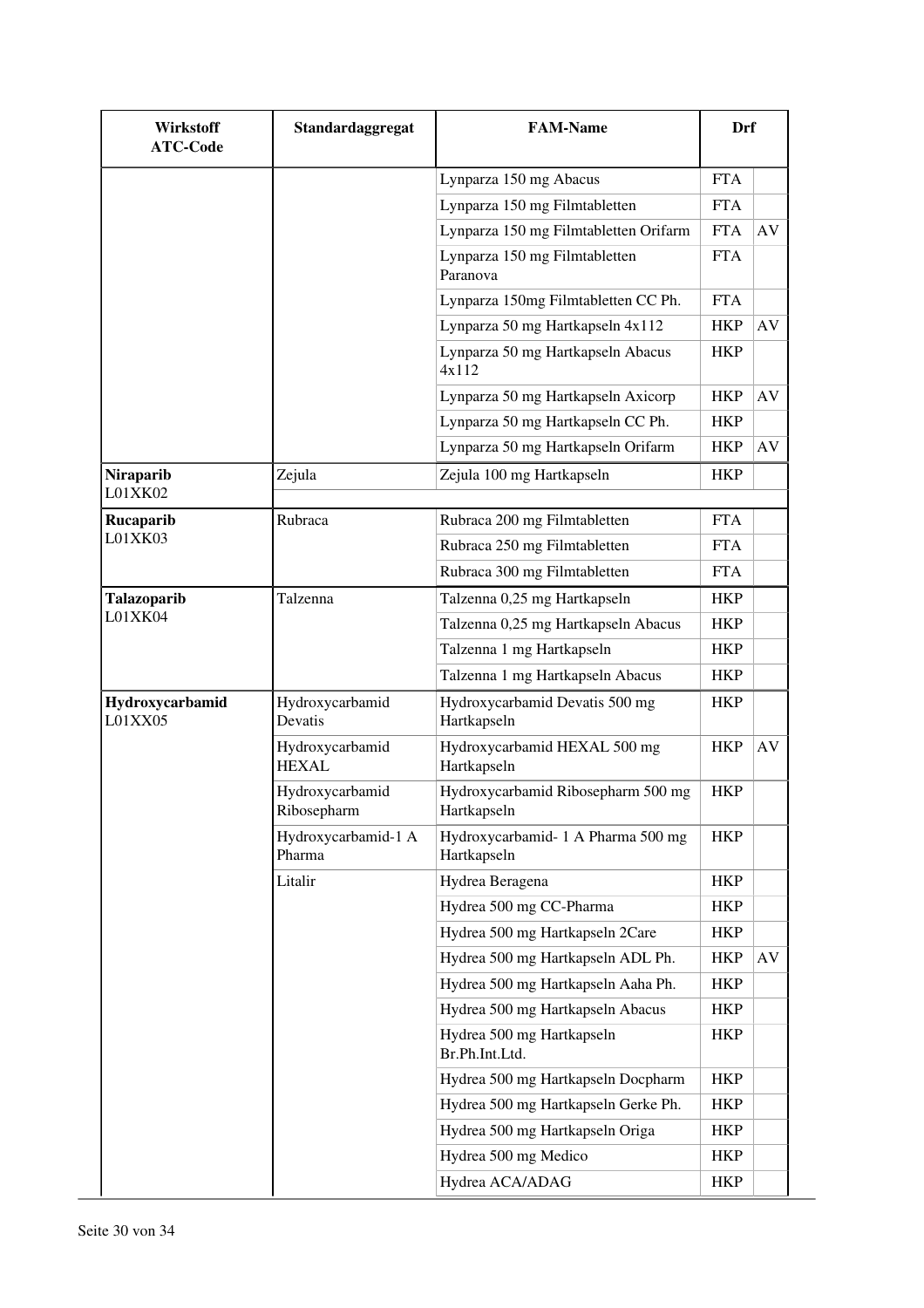| <b>Wirkstoff</b><br><b>ATC-Code</b> | Standardaggregat                | <b>FAM-Name</b>                                   | Drf        |    |
|-------------------------------------|---------------------------------|---------------------------------------------------|------------|----|
|                                     |                                 | Lynparza 150 mg Abacus                            | <b>FTA</b> |    |
|                                     |                                 | Lynparza 150 mg Filmtabletten                     | <b>FTA</b> |    |
|                                     |                                 | Lynparza 150 mg Filmtabletten Orifarm             | <b>FTA</b> | AV |
|                                     |                                 | Lynparza 150 mg Filmtabletten<br>Paranova         | <b>FTA</b> |    |
|                                     |                                 | Lynparza 150mg Filmtabletten CC Ph.               | <b>FTA</b> |    |
|                                     |                                 | Lynparza 50 mg Hartkapseln 4x112                  | <b>HKP</b> | AV |
|                                     |                                 | Lynparza 50 mg Hartkapseln Abacus<br>4x112        | <b>HKP</b> |    |
|                                     |                                 | Lynparza 50 mg Hartkapseln Axicorp                | <b>HKP</b> | AV |
|                                     |                                 | Lynparza 50 mg Hartkapseln CC Ph.                 | <b>HKP</b> |    |
|                                     |                                 | Lynparza 50 mg Hartkapseln Orifarm                | <b>HKP</b> | AV |
| Niraparib                           | Zejula                          | Zejula 100 mg Hartkapseln                         | <b>HKP</b> |    |
| L01XK02                             |                                 |                                                   |            |    |
| Rucaparib<br>L01XK03                | Rubraca                         | Rubraca 200 mg Filmtabletten                      | <b>FTA</b> |    |
|                                     |                                 | Rubraca 250 mg Filmtabletten                      | <b>FTA</b> |    |
|                                     |                                 | Rubraca 300 mg Filmtabletten                      | <b>FTA</b> |    |
| <b>Talazoparib</b><br>L01XK04       | Talzenna                        | Talzenna 0,25 mg Hartkapseln                      | <b>HKP</b> |    |
|                                     |                                 | Talzenna 0,25 mg Hartkapseln Abacus               | <b>HKP</b> |    |
|                                     |                                 | Talzenna 1 mg Hartkapseln                         | <b>HKP</b> |    |
|                                     |                                 | Talzenna 1 mg Hartkapseln Abacus                  | <b>HKP</b> |    |
| Hydroxycarbamid<br>L01XX05          | Hydroxycarbamid<br>Devatis      | Hydroxycarbamid Devatis 500 mg<br>Hartkapseln     | <b>HKP</b> |    |
|                                     | Hydroxycarbamid<br><b>HEXAL</b> | Hydroxycarbamid HEXAL 500 mg<br>Hartkapseln       | <b>HKP</b> | AV |
|                                     | Hydroxycarbamid<br>Ribosepharm  | Hydroxycarbamid Ribosepharm 500 mg<br>Hartkapseln | <b>HKP</b> |    |
|                                     | Hydroxycarbamid-1 A<br>Pharma   | Hydroxycarbamid-1 A Pharma 500 mg<br>Hartkapseln  | <b>HKP</b> |    |
|                                     | Litalir                         | Hydrea Beragena                                   | <b>HKP</b> |    |
|                                     |                                 | Hydrea 500 mg CC-Pharma                           | <b>HKP</b> |    |
|                                     |                                 | Hydrea 500 mg Hartkapseln 2Care                   | <b>HKP</b> |    |
|                                     |                                 | Hydrea 500 mg Hartkapseln ADL Ph.                 | <b>HKP</b> | AV |
|                                     |                                 | Hydrea 500 mg Hartkapseln Aaha Ph.                | <b>HKP</b> |    |
|                                     |                                 | Hydrea 500 mg Hartkapseln Abacus                  | <b>HKP</b> |    |
|                                     |                                 | Hydrea 500 mg Hartkapseln<br>Br.Ph.Int.Ltd.       | HKP        |    |
|                                     |                                 | Hydrea 500 mg Hartkapseln Docpharm                | <b>HKP</b> |    |
|                                     |                                 | Hydrea 500 mg Hartkapseln Gerke Ph.               | <b>HKP</b> |    |
|                                     |                                 | Hydrea 500 mg Hartkapseln Origa                   | <b>HKP</b> |    |
|                                     |                                 | Hydrea 500 mg Medico                              | <b>HKP</b> |    |
|                                     |                                 | Hydrea ACA/ADAG                                   | <b>HKP</b> |    |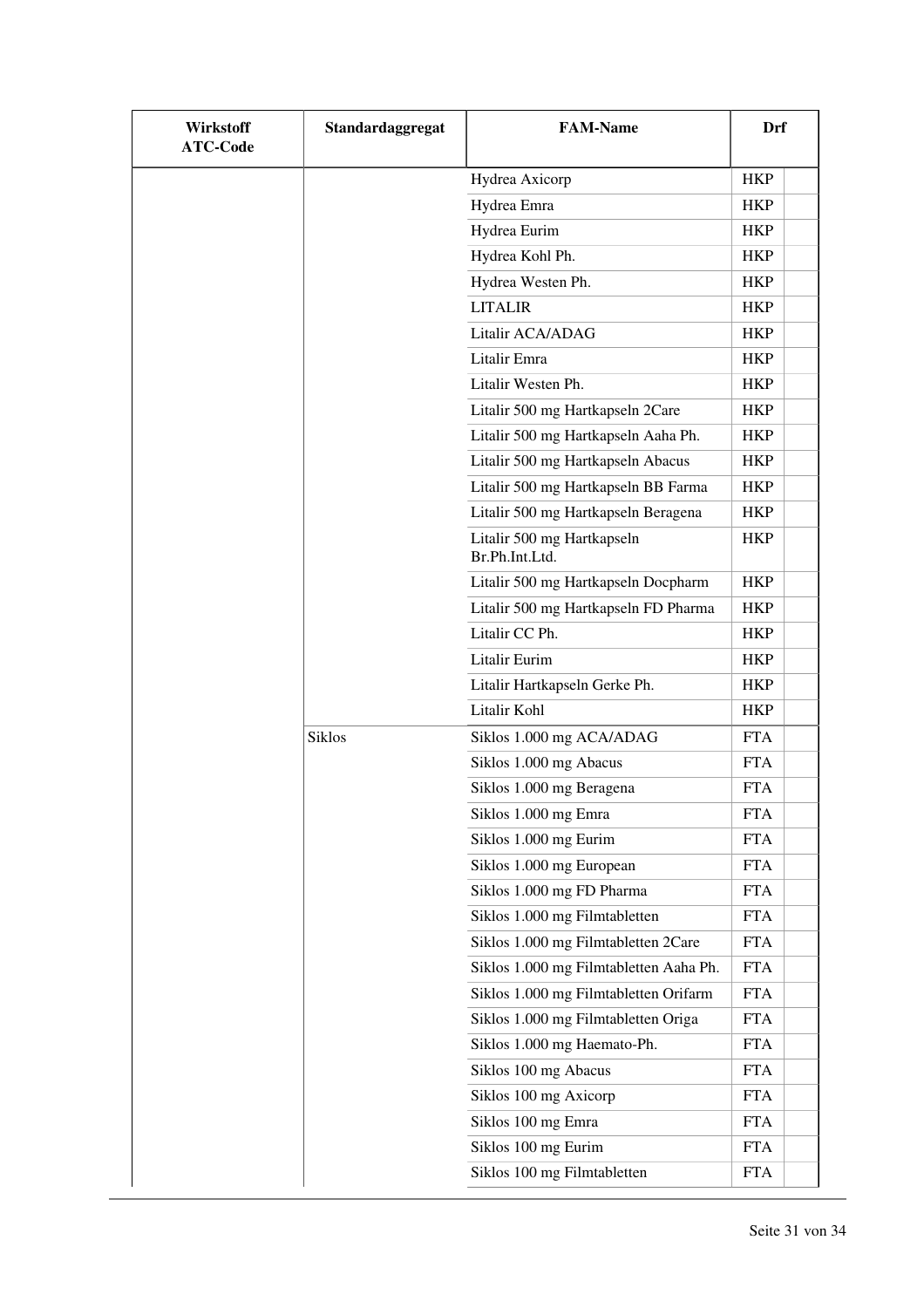| <b>Wirkstoff</b><br><b>ATC-Code</b> | Standardaggregat | <b>FAM-Name</b>                              | Drf        |
|-------------------------------------|------------------|----------------------------------------------|------------|
|                                     |                  | Hydrea Axicorp                               | <b>HKP</b> |
|                                     |                  | Hydrea Emra                                  | <b>HKP</b> |
|                                     |                  | Hydrea Eurim                                 | <b>HKP</b> |
|                                     |                  | Hydrea Kohl Ph.                              | <b>HKP</b> |
|                                     |                  | Hydrea Westen Ph.                            | <b>HKP</b> |
|                                     |                  | <b>LITALIR</b>                               | <b>HKP</b> |
|                                     |                  | Litalir ACA/ADAG                             | <b>HKP</b> |
|                                     |                  | Litalir Emra                                 | <b>HKP</b> |
|                                     |                  | Litalir Westen Ph.                           | <b>HKP</b> |
|                                     |                  | Litalir 500 mg Hartkapseln 2Care             | HKP        |
|                                     |                  | Litalir 500 mg Hartkapseln Aaha Ph.          | <b>HKP</b> |
|                                     |                  | Litalir 500 mg Hartkapseln Abacus            | <b>HKP</b> |
|                                     |                  | Litalir 500 mg Hartkapseln BB Farma          | <b>HKP</b> |
|                                     |                  | Litalir 500 mg Hartkapseln Beragena          | <b>HKP</b> |
|                                     |                  | Litalir 500 mg Hartkapseln<br>Br.Ph.Int.Ltd. | <b>HKP</b> |
|                                     |                  | Litalir 500 mg Hartkapseln Docpharm          | <b>HKP</b> |
|                                     |                  | Litalir 500 mg Hartkapseln FD Pharma         | <b>HKP</b> |
|                                     |                  | Litalir CC Ph.                               | <b>HKP</b> |
|                                     |                  | Litalir Eurim                                | <b>HKP</b> |
|                                     |                  | Litalir Hartkapseln Gerke Ph.                | <b>HKP</b> |
|                                     |                  | Litalir Kohl                                 | <b>HKP</b> |
|                                     | <b>Siklos</b>    | Siklos 1.000 mg ACA/ADAG                     | <b>FTA</b> |
|                                     |                  | Siklos 1.000 mg Abacus                       | <b>FTA</b> |
|                                     |                  | Siklos 1.000 mg Beragena                     | <b>FTA</b> |
|                                     |                  | Siklos 1.000 mg Emra                         | <b>FTA</b> |
|                                     |                  | Siklos 1.000 mg Eurim                        | <b>FTA</b> |
|                                     |                  | Siklos 1.000 mg European                     | <b>FTA</b> |
|                                     |                  | Siklos 1.000 mg FD Pharma                    | <b>FTA</b> |
|                                     |                  | Siklos 1.000 mg Filmtabletten                | <b>FTA</b> |
|                                     |                  | Siklos 1.000 mg Filmtabletten 2Care          | <b>FTA</b> |
|                                     |                  | Siklos 1.000 mg Filmtabletten Aaha Ph.       | <b>FTA</b> |
|                                     |                  | Siklos 1.000 mg Filmtabletten Orifarm        | <b>FTA</b> |
|                                     |                  | Siklos 1.000 mg Filmtabletten Origa          | <b>FTA</b> |
|                                     |                  | Siklos 1.000 mg Haemato-Ph.                  | <b>FTA</b> |
|                                     |                  | Siklos 100 mg Abacus                         | <b>FTA</b> |
|                                     |                  | Siklos 100 mg Axicorp                        | <b>FTA</b> |
|                                     |                  | Siklos 100 mg Emra                           | <b>FTA</b> |
|                                     |                  | Siklos 100 mg Eurim                          | <b>FTA</b> |
|                                     |                  | Siklos 100 mg Filmtabletten                  | <b>FTA</b> |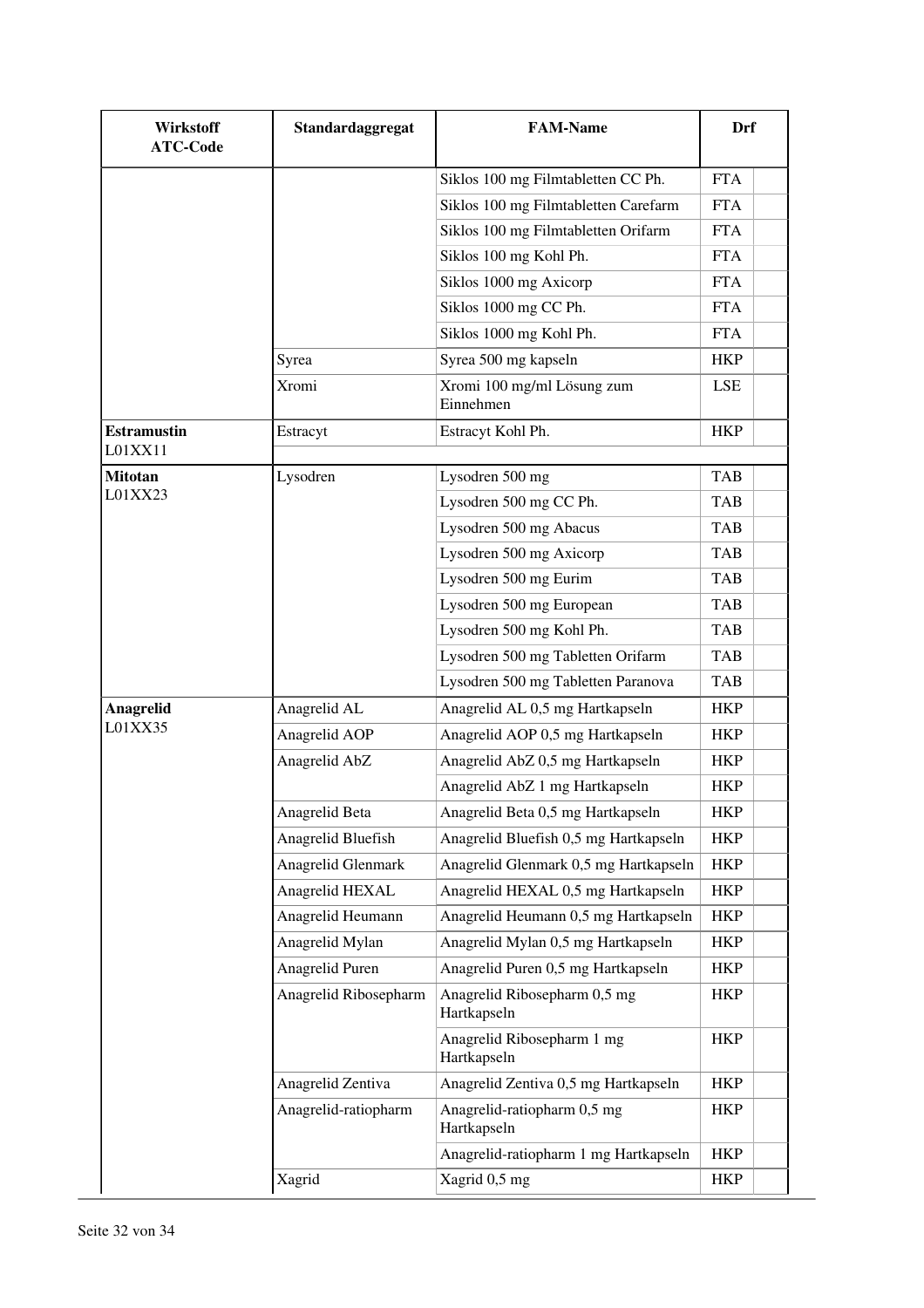| <b>Wirkstoff</b><br><b>ATC-Code</b> | Standardaggregat      | <b>FAM-Name</b>                             | Drf        |
|-------------------------------------|-----------------------|---------------------------------------------|------------|
|                                     |                       | Siklos 100 mg Filmtabletten CC Ph.          | <b>FTA</b> |
|                                     |                       | Siklos 100 mg Filmtabletten Carefarm        | <b>FTA</b> |
|                                     |                       | Siklos 100 mg Filmtabletten Orifarm         | <b>FTA</b> |
|                                     |                       | Siklos 100 mg Kohl Ph.                      | <b>FTA</b> |
|                                     |                       | Siklos 1000 mg Axicorp                      | <b>FTA</b> |
|                                     |                       | Siklos 1000 mg CC Ph.                       | <b>FTA</b> |
|                                     |                       | Siklos 1000 mg Kohl Ph.                     | <b>FTA</b> |
|                                     | Syrea                 | Syrea 500 mg kapseln                        | <b>HKP</b> |
|                                     | Xromi                 | Xromi 100 mg/ml Lösung zum<br>Einnehmen     | <b>LSE</b> |
| <b>Estramustin</b><br>L01XX11       | Estracyt              | Estracyt Kohl Ph.                           | <b>HKP</b> |
| <b>Mitotan</b>                      | Lysodren              | Lysodren 500 mg                             | <b>TAB</b> |
| L01XX23                             |                       | Lysodren 500 mg CC Ph.                      | <b>TAB</b> |
|                                     |                       | Lysodren 500 mg Abacus                      | <b>TAB</b> |
|                                     |                       | Lysodren 500 mg Axicorp                     | <b>TAB</b> |
|                                     |                       | Lysodren 500 mg Eurim                       | <b>TAB</b> |
|                                     |                       | Lysodren 500 mg European                    | <b>TAB</b> |
|                                     |                       | Lysodren 500 mg Kohl Ph.                    | <b>TAB</b> |
|                                     |                       | Lysodren 500 mg Tabletten Orifarm           | <b>TAB</b> |
|                                     |                       | Lysodren 500 mg Tabletten Paranova          | TAB        |
| Anagrelid                           | Anagrelid AL          | Anagrelid AL 0,5 mg Hartkapseln             | <b>HKP</b> |
| L01XX35                             | Anagrelid AOP         | Anagrelid AOP 0,5 mg Hartkapseln            | <b>HKP</b> |
|                                     | Anagrelid AbZ         | Anagrelid AbZ 0,5 mg Hartkapseln            | <b>HKP</b> |
|                                     |                       | Anagrelid AbZ 1 mg Hartkapseln              | <b>HKP</b> |
|                                     | Anagrelid Beta        | Anagrelid Beta 0,5 mg Hartkapseln           | <b>HKP</b> |
|                                     | Anagrelid Bluefish    | Anagrelid Bluefish 0,5 mg Hartkapseln       | <b>HKP</b> |
|                                     | Anagrelid Glenmark    | Anagrelid Glenmark 0,5 mg Hartkapseln       | <b>HKP</b> |
|                                     | Anagrelid HEXAL       | Anagrelid HEXAL 0,5 mg Hartkapseln          | <b>HKP</b> |
|                                     | Anagrelid Heumann     | Anagrelid Heumann 0,5 mg Hartkapseln        | <b>HKP</b> |
|                                     | Anagrelid Mylan       | Anagrelid Mylan 0,5 mg Hartkapseln          | <b>HKP</b> |
|                                     | Anagrelid Puren       | Anagrelid Puren 0,5 mg Hartkapseln          | <b>HKP</b> |
|                                     | Anagrelid Ribosepharm | Anagrelid Ribosepharm 0,5 mg<br>Hartkapseln | <b>HKP</b> |
|                                     |                       | Anagrelid Ribosepharm 1 mg<br>Hartkapseln   | <b>HKP</b> |
|                                     | Anagrelid Zentiva     | Anagrelid Zentiva 0,5 mg Hartkapseln        | <b>HKP</b> |
|                                     | Anagrelid-ratiopharm  | Anagrelid-ratiopharm 0,5 mg<br>Hartkapseln  | HKP        |
|                                     |                       | Anagrelid-ratiopharm 1 mg Hartkapseln       | <b>HKP</b> |
|                                     | Xagrid                | Xagrid 0,5 mg                               | <b>HKP</b> |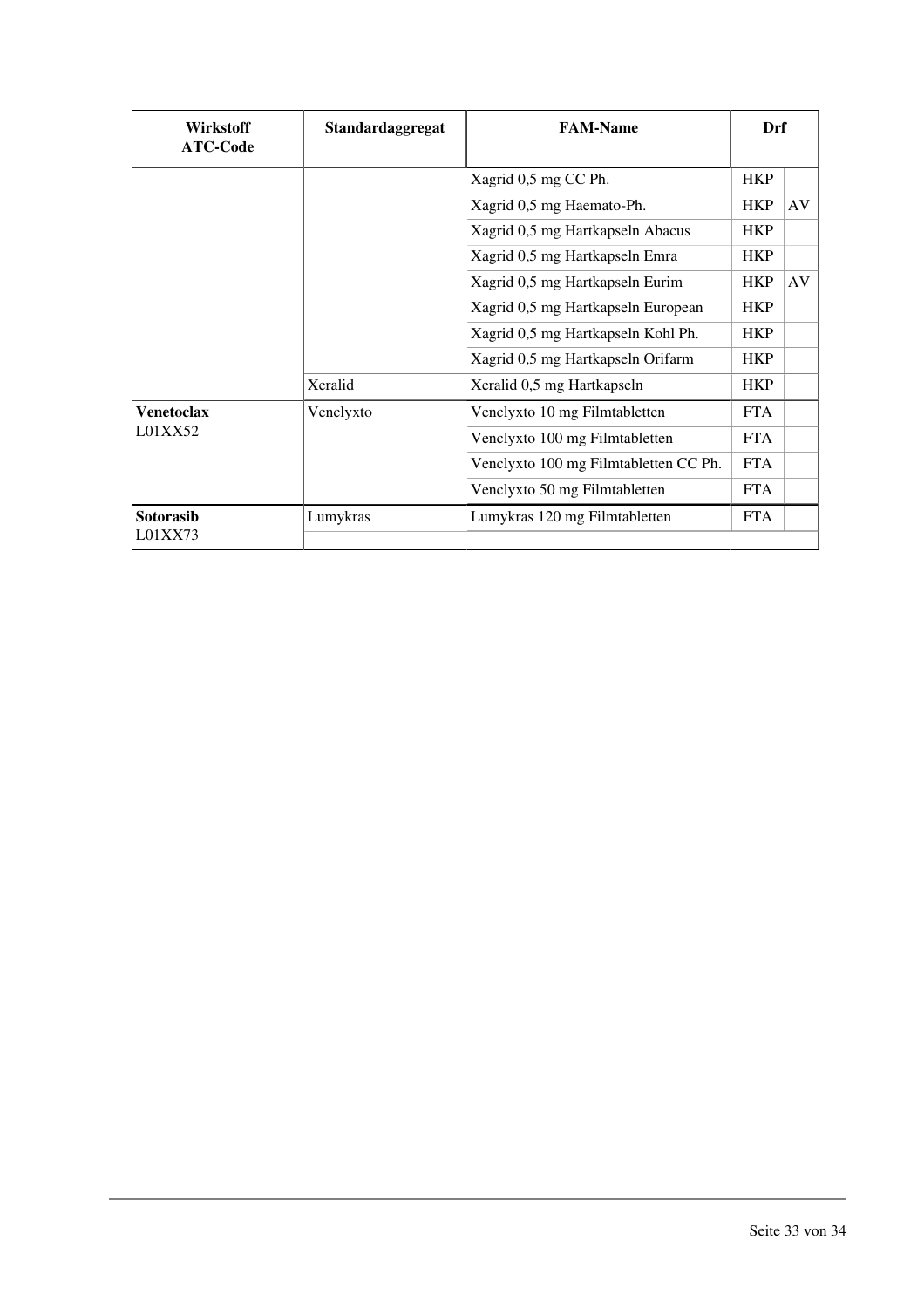| <b>Wirkstoff</b><br><b>ATC-Code</b> | Standardaggregat | <b>FAM-Name</b>                       | Drf        |    |
|-------------------------------------|------------------|---------------------------------------|------------|----|
|                                     |                  | Xagrid 0,5 mg CC Ph.                  | <b>HKP</b> |    |
|                                     |                  | Xagrid 0,5 mg Haemato-Ph.             | <b>HKP</b> | AV |
|                                     |                  | Xagrid 0,5 mg Hartkapseln Abacus      | <b>HKP</b> |    |
|                                     |                  | Xagrid 0,5 mg Hartkapseln Emra        | <b>HKP</b> |    |
|                                     |                  | Xagrid 0,5 mg Hartkapseln Eurim       | <b>HKP</b> | AV |
|                                     |                  | Xagrid 0,5 mg Hartkapseln European    | <b>HKP</b> |    |
|                                     |                  | Xagrid 0,5 mg Hartkapseln Kohl Ph.    | <b>HKP</b> |    |
|                                     |                  | Xagrid 0,5 mg Hartkapseln Orifarm     | <b>HKP</b> |    |
|                                     | Xeralid          | Xeralid 0,5 mg Hartkapseln            | <b>HKP</b> |    |
| <b>Venetoclax</b><br>L01XX52        | Venclyxto        | Venclyxto 10 mg Filmtabletten         | <b>FTA</b> |    |
|                                     |                  | Venclyxto 100 mg Filmtabletten        | <b>FTA</b> |    |
|                                     |                  | Venclyxto 100 mg Filmtabletten CC Ph. | <b>FTA</b> |    |
|                                     |                  | Venclyxto 50 mg Filmtabletten         | <b>FTA</b> |    |
| Sotorasib<br>L01XX73                | Lumykras         | Lumykras 120 mg Filmtabletten         | <b>FTA</b> |    |